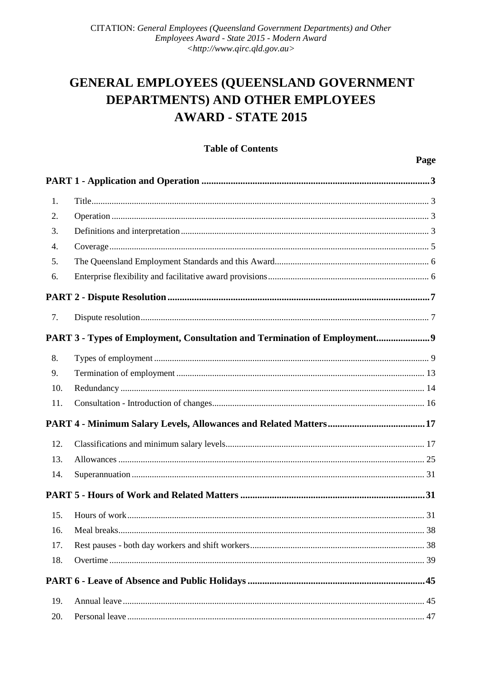# GENERAL EMPLOYEES (QUEENSLAND GOVERNMENT DEPARTMENTS) AND OTHER EMPLOYEES **AWARD - STATE 2015**

**Table of Contents** 

|                  |                                                                           | Page |
|------------------|---------------------------------------------------------------------------|------|
|                  |                                                                           |      |
| 1.               |                                                                           |      |
| 2.               |                                                                           |      |
| 3.               |                                                                           |      |
| $\overline{4}$ . |                                                                           |      |
| 5.               |                                                                           |      |
| 6.               |                                                                           |      |
|                  |                                                                           |      |
| 7.               |                                                                           |      |
|                  | PART 3 - Types of Employment, Consultation and Termination of Employment9 |      |
| 8.               |                                                                           |      |
| 9.               |                                                                           |      |
| 10.              |                                                                           |      |
| 11.              |                                                                           |      |
|                  |                                                                           |      |
| 12.              |                                                                           |      |
| 13.              |                                                                           |      |
| 14.              |                                                                           |      |
|                  |                                                                           |      |
|                  |                                                                           |      |
| 16.              |                                                                           |      |
| 17.              |                                                                           |      |
| 18.              |                                                                           |      |
|                  |                                                                           |      |
| 19.              |                                                                           |      |
| 20.              |                                                                           |      |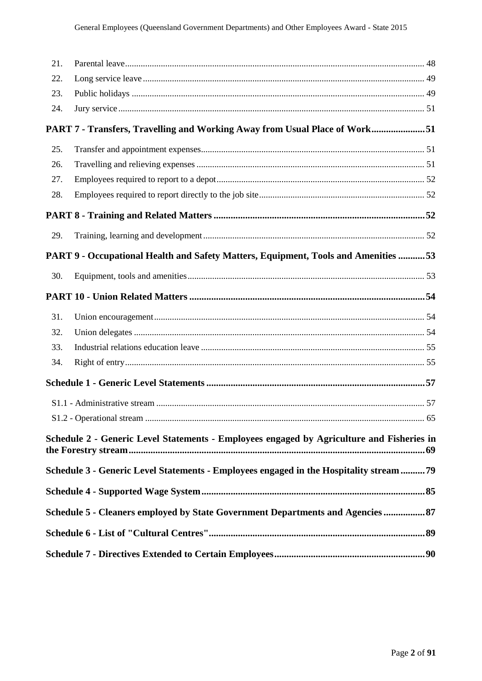| 21. |                                                                                           |    |
|-----|-------------------------------------------------------------------------------------------|----|
| 22. |                                                                                           |    |
| 23. |                                                                                           |    |
| 24. |                                                                                           |    |
|     | PART 7 - Transfers, Travelling and Working Away from Usual Place of Work51                |    |
| 25. |                                                                                           |    |
| 26. |                                                                                           |    |
| 27. |                                                                                           |    |
| 28. |                                                                                           |    |
|     |                                                                                           |    |
| 29. |                                                                                           |    |
|     | PART 9 - Occupational Health and Safety Matters, Equipment, Tools and Amenities 53        |    |
| 30. |                                                                                           |    |
|     |                                                                                           |    |
| 31. |                                                                                           |    |
| 32. |                                                                                           |    |
| 33. |                                                                                           |    |
| 34. |                                                                                           |    |
|     |                                                                                           |    |
|     |                                                                                           |    |
|     |                                                                                           | 65 |
|     | Schedule 2 - Generic Level Statements - Employees engaged by Agriculture and Fisheries in |    |
|     | Schedule 3 - Generic Level Statements - Employees engaged in the Hospitality stream79     |    |
|     |                                                                                           |    |
|     | Schedule 5 - Cleaners employed by State Government Departments and Agencies  87           |    |
|     |                                                                                           |    |
|     |                                                                                           |    |
|     |                                                                                           |    |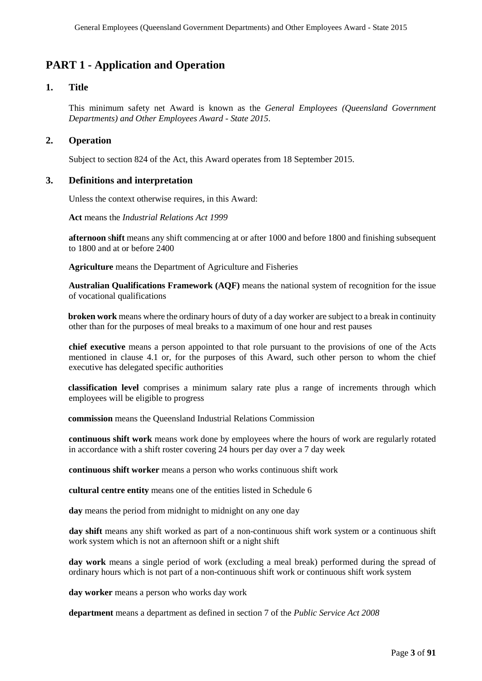## **PART 1 - Application and Operation**

## **1. Title**

This minimum safety net Award is known as the *General Employees (Queensland Government Departments) and Other Employees Award - State 2015*.

## **2. Operation**

Subject to section 824 of the Act, this Award operates from 18 September 2015.

#### **3. Definitions and interpretation**

Unless the context otherwise requires, in this Award:

**Act** means the *Industrial Relations Act 1999*

**afternoon** s**hift** means any shift commencing at or after 1000 and before 1800 and finishing subsequent to 1800 and at or before 2400

**Agriculture** means the Department of Agriculture and Fisheries

**Australian Qualifications Framework (AQF)** means the national system of recognition for the issue of vocational qualifications

**broken work** means where the ordinary hours of duty of a day worker are subject to a break in continuity other than for the purposes of meal breaks to a maximum of one hour and rest pauses

**chief executive** means a person appointed to that role pursuant to the provisions of one of the Acts mentioned in clause 4.1 or, for the purposes of this Award, such other person to whom the chief executive has delegated specific authorities

**classification level** comprises a minimum salary rate plus a range of increments through which employees will be eligible to progress

**commission** means the Queensland Industrial Relations Commission

**continuous shift work** means work done by employees where the hours of work are regularly rotated in accordance with a shift roster covering 24 hours per day over a 7 day week

**continuous shift worker** means a person who works continuous shift work

**cultural centre entity** means one of the entities listed in Schedule 6

**day** means the period from midnight to midnight on any one day

**day shift** means any shift worked as part of a non-continuous shift work system or a continuous shift work system which is not an afternoon shift or a night shift

**day work** means a single period of work (excluding a meal break) performed during the spread of ordinary hours which is not part of a non-continuous shift work or continuous shift work system

**day worker** means a person who works day work

**department** means a department as defined in section 7 of the *Public Service Act 2008*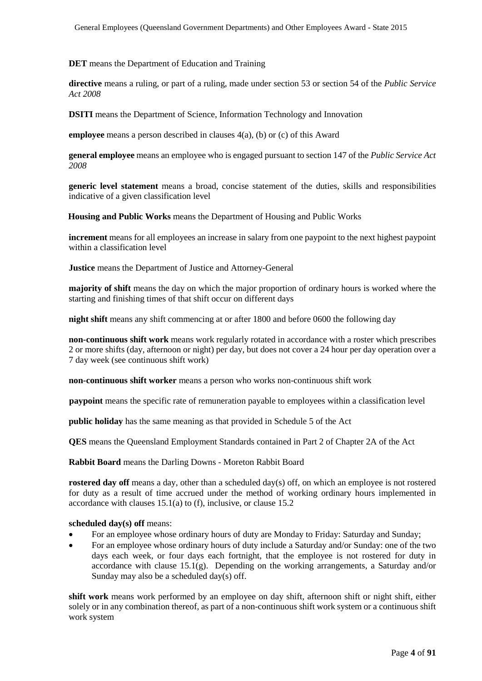**DET** means the Department of Education and Training

**directive** means a ruling, or part of a ruling, made under section 53 or section 54 of the *Public Service Act 2008*

**DSITI** means the Department of Science, Information Technology and Innovation

**employee** means a person described in clauses 4(a), (b) or (c) of this Award

**general employee** means an employee who is engaged pursuant to section 147 of the *Public Service Act 2008* 

**generic level statement** means a broad, concise statement of the duties, skills and responsibilities indicative of a given classification level

**Housing and Public Works** means the Department of Housing and Public Works

**increment** means for all employees an increase in salary from one paypoint to the next highest paypoint within a classification level

**Justice** means the Department of Justice and Attorney-General

**majority of shift** means the day on which the major proportion of ordinary hours is worked where the starting and finishing times of that shift occur on different days

**night shift** means any shift commencing at or after 1800 and before 0600 the following day

**non-continuous shift work** means work regularly rotated in accordance with a roster which prescribes 2 or more shifts (day, afternoon or night) per day, but does not cover a 24 hour per day operation over a 7 day week (see continuous shift work)

**non-continuous shift worker** means a person who works non-continuous shift work

**paypoint** means the specific rate of remuneration payable to employees within a classification level

**public holiday** has the same meaning as that provided in Schedule 5 of the Act

**QES** means the Queensland Employment Standards contained in Part 2 of Chapter 2A of the Act

**Rabbit Board** means the Darling Downs - Moreton Rabbit Board

**rostered day off** means a day, other than a scheduled day(s) off, on which an employee is not rostered for duty as a result of time accrued under the method of working ordinary hours implemented in accordance with clauses 15.1(a) to (f), inclusive, or clause 15.2

#### **scheduled day(s) off** means:

- For an employee whose ordinary hours of duty are Monday to Friday: Saturday and Sunday;
- For an employee whose ordinary hours of duty include a Saturday and/or Sunday: one of the two days each week, or four days each fortnight, that the employee is not rostered for duty in accordance with clause  $15.1(g)$ . Depending on the working arrangements, a Saturday and/or Sunday may also be a scheduled day(s) off.

**shift work** means work performed by an employee on day shift, afternoon shift or night shift, either solely or in any combination thereof, as part of a non-continuous shift work system or a continuous shift work system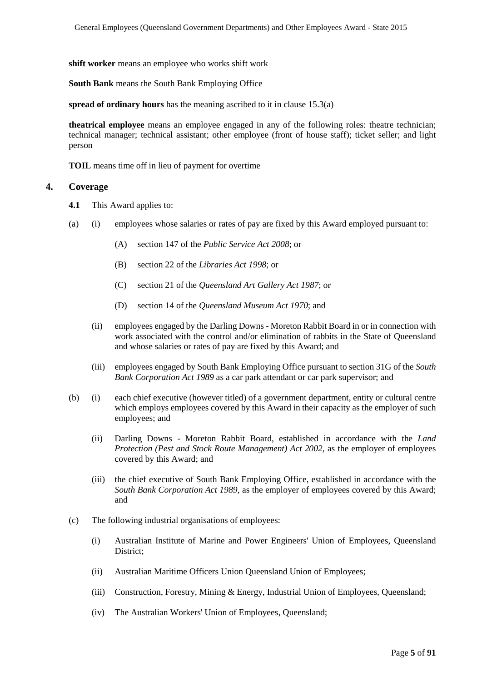**shift worker** means an employee who works shift work

**South Bank** means the South Bank Employing Office

**spread of ordinary hours** has the meaning ascribed to it in clause 15.3(a)

**theatrical employee** means an employee engaged in any of the following roles: theatre technician; technical manager; technical assistant; other employee (front of house staff); ticket seller; and light person

**TOIL** means time off in lieu of payment for overtime

#### **4. Coverage**

- **4.1** This Award applies to:
- (a) (i) employees whose salaries or rates of pay are fixed by this Award employed pursuant to:
	- (A) section 147 of the *Public Service Act 2008*; or
	- (B) section 22 of the *Libraries Act 1998*; or
	- (C) section 21 of the *Queensland Art Gallery Act 1987*; or
	- (D) section 14 of the *Queensland Museum Act 1970*; and
	- (ii) employees engaged by the Darling Downs Moreton Rabbit Board in or in connection with work associated with the control and/or elimination of rabbits in the State of Queensland and whose salaries or rates of pay are fixed by this Award; and
	- (iii) employees engaged by South Bank Employing Office pursuant to section 31G of the *South Bank Corporation Act 1989* as a car park attendant or car park supervisor; and
- (b) (i) each chief executive (however titled) of a government department, entity or cultural centre which employs employees covered by this Award in their capacity as the employer of such employees; and
	- (ii) Darling Downs Moreton Rabbit Board, established in accordance with the *Land Protection (Pest and Stock Route Management) Act 2002*, as the employer of employees covered by this Award; and
	- (iii) the chief executive of South Bank Employing Office, established in accordance with the *South Bank Corporation Act 1989*, as the employer of employees covered by this Award; and
- (c) The following industrial organisations of employees:
	- (i) Australian Institute of Marine and Power Engineers' Union of Employees, Queensland District;
	- (ii) Australian Maritime Officers Union Queensland Union of Employees;
	- (iii) Construction, Forestry, Mining & Energy, Industrial Union of Employees, Queensland;
	- (iv) The Australian Workers' Union of Employees, Queensland;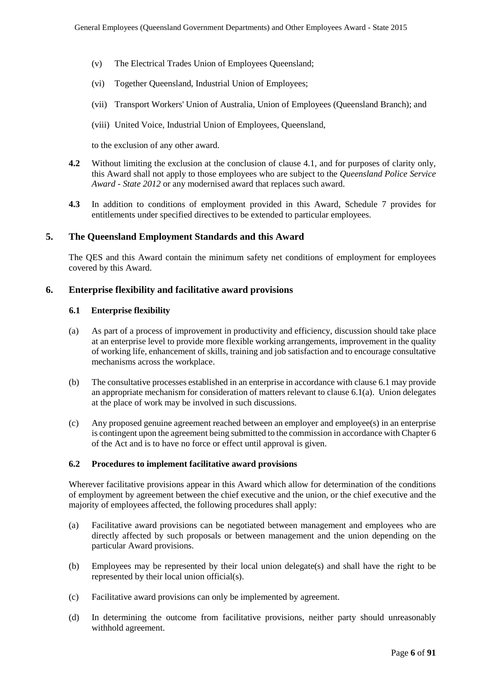- (v) The Electrical Trades Union of Employees Queensland;
- (vi) Together Queensland, Industrial Union of Employees;
- (vii) Transport Workers' Union of Australia, Union of Employees (Queensland Branch); and
- (viii) United Voice, Industrial Union of Employees, Queensland,

to the exclusion of any other award.

- **4.2** Without limiting the exclusion at the conclusion of clause 4.1, and for purposes of clarity only, this Award shall not apply to those employees who are subject to the *Queensland Police Service Award - State 2012* or any modernised award that replaces such award.
- **4.3** In addition to conditions of employment provided in this Award, Schedule 7 provides for entitlements under specified directives to be extended to particular employees.

## **5. The Queensland Employment Standards and this Award**

The QES and this Award contain the minimum safety net conditions of employment for employees covered by this Award.

## **6. Enterprise flexibility and facilitative award provisions**

#### **6.1 Enterprise flexibility**

- (a) As part of a process of improvement in productivity and efficiency, discussion should take place at an enterprise level to provide more flexible working arrangements, improvement in the quality of working life, enhancement of skills, training and job satisfaction and to encourage consultative mechanisms across the workplace.
- (b) The consultative processes established in an enterprise in accordance with clause 6.1 may provide an appropriate mechanism for consideration of matters relevant to clause 6.1(a). Union delegates at the place of work may be involved in such discussions.
- (c) Any proposed genuine agreement reached between an employer and employee(s) in an enterprise is contingent upon the agreement being submitted to the commission in accordance with Chapter 6 of the Act and is to have no force or effect until approval is given.

#### **6.2 Procedures to implement facilitative award provisions**

Wherever facilitative provisions appear in this Award which allow for determination of the conditions of employment by agreement between the chief executive and the union, or the chief executive and the majority of employees affected, the following procedures shall apply:

- (a) Facilitative award provisions can be negotiated between management and employees who are directly affected by such proposals or between management and the union depending on the particular Award provisions.
- (b) Employees may be represented by their local union delegate(s) and shall have the right to be represented by their local union official(s).
- (c) Facilitative award provisions can only be implemented by agreement.
- (d) In determining the outcome from facilitative provisions, neither party should unreasonably withhold agreement.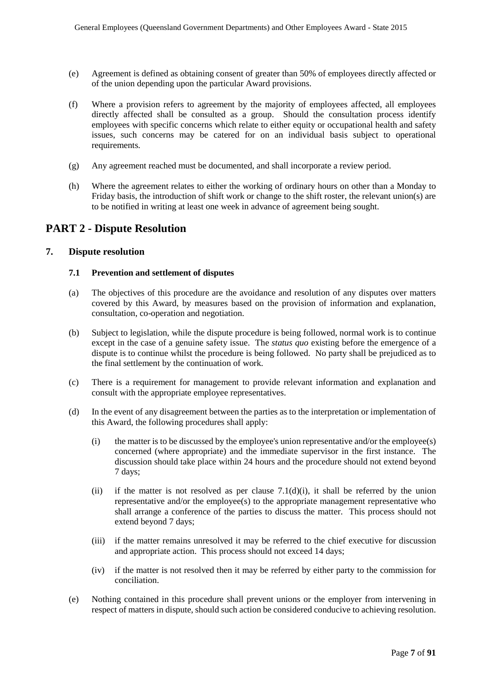- (e) Agreement is defined as obtaining consent of greater than 50% of employees directly affected or of the union depending upon the particular Award provisions.
- (f) Where a provision refers to agreement by the majority of employees affected, all employees directly affected shall be consulted as a group. Should the consultation process identify employees with specific concerns which relate to either equity or occupational health and safety issues, such concerns may be catered for on an individual basis subject to operational requirements.
- (g) Any agreement reached must be documented, and shall incorporate a review period.
- (h) Where the agreement relates to either the working of ordinary hours on other than a Monday to Friday basis, the introduction of shift work or change to the shift roster, the relevant union(s) are to be notified in writing at least one week in advance of agreement being sought.

## **PART 2 - Dispute Resolution**

#### **7. Dispute resolution**

#### **7.1 Prevention and settlement of disputes**

- (a) The objectives of this procedure are the avoidance and resolution of any disputes over matters covered by this Award, by measures based on the provision of information and explanation, consultation, co-operation and negotiation.
- (b) Subject to legislation, while the dispute procedure is being followed, normal work is to continue except in the case of a genuine safety issue. The *status quo* existing before the emergence of a dispute is to continue whilst the procedure is being followed. No party shall be prejudiced as to the final settlement by the continuation of work.
- (c) There is a requirement for management to provide relevant information and explanation and consult with the appropriate employee representatives.
- (d) In the event of any disagreement between the parties as to the interpretation or implementation of this Award, the following procedures shall apply:
	- (i) the matter is to be discussed by the employee's union representative and/or the employee(s) concerned (where appropriate) and the immediate supervisor in the first instance. The discussion should take place within 24 hours and the procedure should not extend beyond 7 days;
	- (ii) if the matter is not resolved as per clause  $7.1(d)(i)$ , it shall be referred by the union representative and/or the employee(s) to the appropriate management representative who shall arrange a conference of the parties to discuss the matter. This process should not extend beyond 7 days;
	- (iii) if the matter remains unresolved it may be referred to the chief executive for discussion and appropriate action. This process should not exceed 14 days;
	- (iv) if the matter is not resolved then it may be referred by either party to the commission for conciliation.
- (e) Nothing contained in this procedure shall prevent unions or the employer from intervening in respect of matters in dispute, should such action be considered conducive to achieving resolution.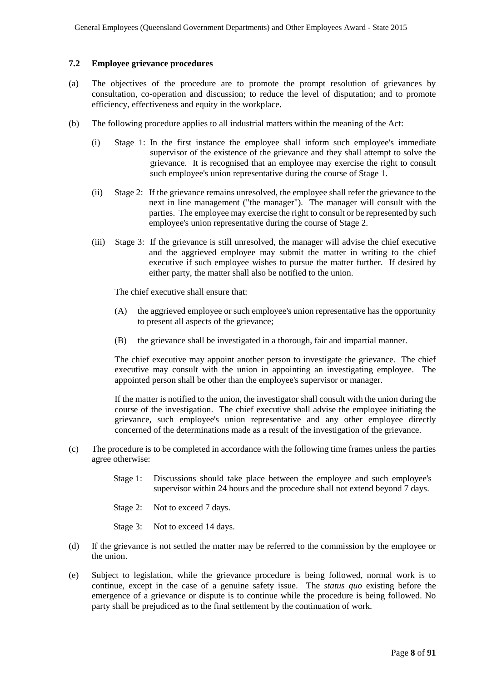#### **7.2 Employee grievance procedures**

- (a) The objectives of the procedure are to promote the prompt resolution of grievances by consultation, co-operation and discussion; to reduce the level of disputation; and to promote efficiency, effectiveness and equity in the workplace.
- (b) The following procedure applies to all industrial matters within the meaning of the Act:
	- (i) Stage 1: In the first instance the employee shall inform such employee's immediate supervisor of the existence of the grievance and they shall attempt to solve the grievance. It is recognised that an employee may exercise the right to consult such employee's union representative during the course of Stage 1.
	- (ii) Stage 2: If the grievance remains unresolved, the employee shall refer the grievance to the next in line management ("the manager"). The manager will consult with the parties. The employee may exercise the right to consult or be represented by such employee's union representative during the course of Stage 2.
	- (iii) Stage 3: If the grievance is still unresolved, the manager will advise the chief executive and the aggrieved employee may submit the matter in writing to the chief executive if such employee wishes to pursue the matter further. If desired by either party, the matter shall also be notified to the union.

The chief executive shall ensure that:

- (A) the aggrieved employee or such employee's union representative has the opportunity to present all aspects of the grievance;
- (B) the grievance shall be investigated in a thorough, fair and impartial manner.

The chief executive may appoint another person to investigate the grievance. The chief executive may consult with the union in appointing an investigating employee. The appointed person shall be other than the employee's supervisor or manager.

If the matter is notified to the union, the investigator shall consult with the union during the course of the investigation. The chief executive shall advise the employee initiating the grievance, such employee's union representative and any other employee directly concerned of the determinations made as a result of the investigation of the grievance.

- (c) The procedure is to be completed in accordance with the following time frames unless the parties agree otherwise:
	- Stage 1: Discussions should take place between the employee and such employee's supervisor within 24 hours and the procedure shall not extend beyond 7 days.
	- Stage 2: Not to exceed 7 days.
	- Stage 3: Not to exceed 14 days.
- (d) If the grievance is not settled the matter may be referred to the commission by the employee or the union.
- (e) Subject to legislation, while the grievance procedure is being followed, normal work is to continue, except in the case of a genuine safety issue. The *status quo* existing before the emergence of a grievance or dispute is to continue while the procedure is being followed. No party shall be prejudiced as to the final settlement by the continuation of work.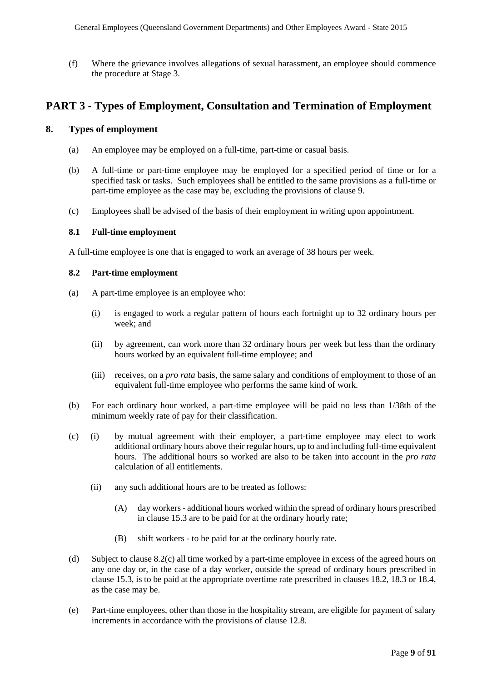(f) Where the grievance involves allegations of sexual harassment, an employee should commence the procedure at Stage 3.

## **PART 3 - Types of Employment, Consultation and Termination of Employment**

## **8. Types of employment**

- (a) An employee may be employed on a full-time, part-time or casual basis.
- (b) A full-time or part-time employee may be employed for a specified period of time or for a specified task or tasks. Such employees shall be entitled to the same provisions as a full-time or part-time employee as the case may be, excluding the provisions of clause 9.
- (c) Employees shall be advised of the basis of their employment in writing upon appointment.

#### **8.1 Full-time employment**

A full-time employee is one that is engaged to work an average of 38 hours per week.

#### **8.2 Part-time employment**

- (a) A part-time employee is an employee who:
	- (i) is engaged to work a regular pattern of hours each fortnight up to 32 ordinary hours per week; and
	- (ii) by agreement, can work more than 32 ordinary hours per week but less than the ordinary hours worked by an equivalent full-time employee; and
	- (iii) receives, on a *pro rata* basis, the same salary and conditions of employment to those of an equivalent full-time employee who performs the same kind of work.
- (b) For each ordinary hour worked, a part-time employee will be paid no less than 1/38th of the minimum weekly rate of pay for their classification.
- (c) (i) by mutual agreement with their employer, a part-time employee may elect to work additional ordinary hours above their regular hours, up to and including full-time equivalent hours. The additional hours so worked are also to be taken into account in the *pro rata*  calculation of all entitlements.
	- (ii) any such additional hours are to be treated as follows:
		- (A) day workers additional hours worked within the spread of ordinary hours prescribed in clause 15.3 are to be paid for at the ordinary hourly rate;
		- (B) shift workers to be paid for at the ordinary hourly rate.
- (d) Subject to clause 8.2(c) all time worked by a part-time employee in excess of the agreed hours on any one day or, in the case of a day worker, outside the spread of ordinary hours prescribed in clause 15.3, is to be paid at the appropriate overtime rate prescribed in clauses 18.2, 18.3 or 18.4, as the case may be.
- (e) Part-time employees, other than those in the hospitality stream, are eligible for payment of salary increments in accordance with the provisions of clause 12.8.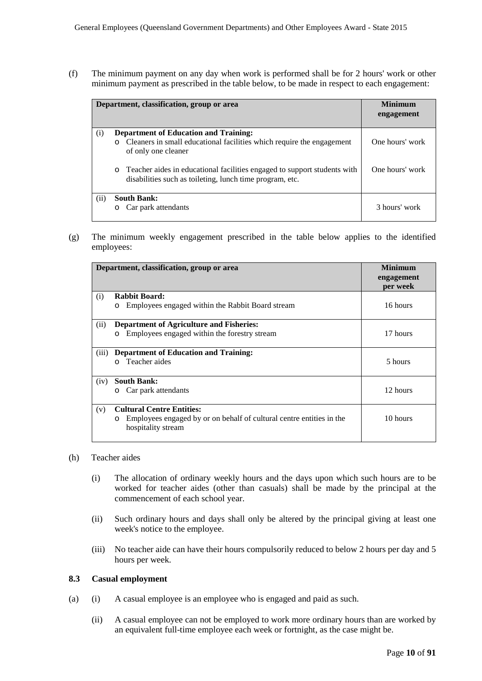(f) The minimum payment on any day when work is performed shall be for 2 hours' work or other minimum payment as prescribed in the table below, to be made in respect to each engagement:

|      | Department, classification, group or area                                                                                                                                                                                    | <b>Minimum</b><br>engagement       |
|------|------------------------------------------------------------------------------------------------------------------------------------------------------------------------------------------------------------------------------|------------------------------------|
| (i)  | <b>Department of Education and Training:</b><br>o Cleaners in small educational facilities which require the engagement<br>of only one cleaner<br>o Teacher aides in educational facilities engaged to support students with | One hours' work<br>One hours' work |
| (ii) | disabilities such as toileting, lunch time program, etc.<br><b>South Bank:</b><br>Car park attendants<br>$\circ$                                                                                                             | 3 hours' work                      |

(g) The minimum weekly engagement prescribed in the table below applies to the identified employees:

|       | Department, classification, group or area                                                                                                 | <b>Minimum</b><br>engagement |
|-------|-------------------------------------------------------------------------------------------------------------------------------------------|------------------------------|
|       |                                                                                                                                           | per week                     |
| (i)   | <b>Rabbit Board:</b><br>Employees engaged within the Rabbit Board stream<br>$\circ$                                                       | 16 hours                     |
| (ii)  | <b>Department of Agriculture and Fisheries:</b><br>Employees engaged within the forestry stream<br>$\circ$                                | 17 hours                     |
| (iii) | <b>Department of Education and Training:</b><br>Teacher aides<br>$\Omega$                                                                 | 5 hours                      |
| (iv)  | <b>South Bank:</b><br>Car park attendants<br>$\circ$                                                                                      | 12 hours                     |
| (v)   | <b>Cultural Centre Entities:</b><br>Employees engaged by or on behalf of cultural centre entities in the<br>$\circ$<br>hospitality stream | 10 hours                     |

- (h) Teacher aides
	- (i) The allocation of ordinary weekly hours and the days upon which such hours are to be worked for teacher aides (other than casuals) shall be made by the principal at the commencement of each school year.
	- (ii) Such ordinary hours and days shall only be altered by the principal giving at least one week's notice to the employee.
	- (iii) No teacher aide can have their hours compulsorily reduced to below 2 hours per day and 5 hours per week.

#### **8.3 Casual employment**

- (a) (i) A casual employee is an employee who is engaged and paid as such.
	- (ii) A casual employee can not be employed to work more ordinary hours than are worked by an equivalent full-time employee each week or fortnight, as the case might be.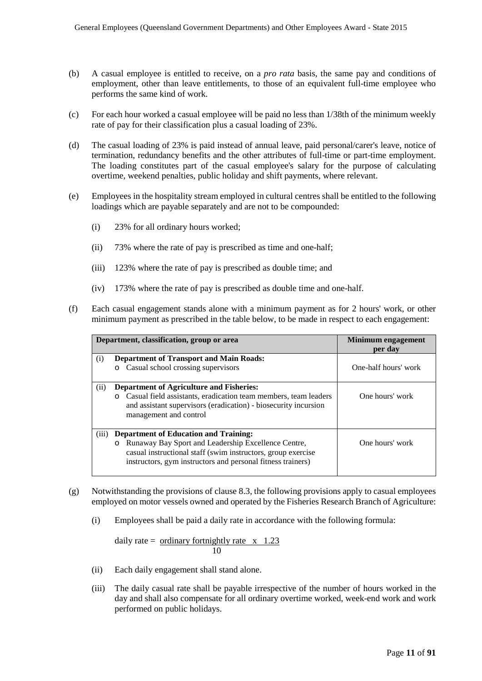- (b) A casual employee is entitled to receive, on a *pro rata* basis, the same pay and conditions of employment, other than leave entitlements, to those of an equivalent full-time employee who performs the same kind of work.
- (c) For each hour worked a casual employee will be paid no less than 1/38th of the minimum weekly rate of pay for their classification plus a casual loading of 23%.
- (d) The casual loading of 23% is paid instead of annual leave, paid personal/carer's leave, notice of termination, redundancy benefits and the other attributes of full-time or part-time employment. The loading constitutes part of the casual employee's salary for the purpose of calculating overtime, weekend penalties, public holiday and shift payments, where relevant.
- (e) Employees in the hospitality stream employed in cultural centres shall be entitled to the following loadings which are payable separately and are not to be compounded:
	- (i) 23% for all ordinary hours worked;
	- (ii) 73% where the rate of pay is prescribed as time and one-half;
	- (iii) 123% where the rate of pay is prescribed as double time; and
	- (iv) 173% where the rate of pay is prescribed as double time and one-half.
- (f) Each casual engagement stands alone with a minimum payment as for 2 hours' work, or other minimum payment as prescribed in the table below, to be made in respect to each engagement:

|       | Department, classification, group or area                                                                                                                                                                                                     | <b>Minimum engagement</b><br>per day |
|-------|-----------------------------------------------------------------------------------------------------------------------------------------------------------------------------------------------------------------------------------------------|--------------------------------------|
| (i)   | <b>Department of Transport and Main Roads:</b><br>Casual school crossing supervisors<br>$\circ$                                                                                                                                               | One-half hours' work                 |
| (ii)  | <b>Department of Agriculture and Fisheries:</b><br>Casual field assistants, eradication team members, team leaders<br>$\circ$<br>and assistant supervisors (eradication) - biosecurity incursion<br>management and control                    | One hours' work                      |
| (iii) | <b>Department of Education and Training:</b><br>Runaway Bay Sport and Leadership Excellence Centre,<br>$\circ$<br>casual instructional staff (swim instructors, group exercise<br>instructors, gym instructors and personal fitness trainers) | One hours' work                      |

- (g) Notwithstanding the provisions of clause 8.3, the following provisions apply to casual employees employed on motor vessels owned and operated by the Fisheries Research Branch of Agriculture:
	- (i) Employees shall be paid a daily rate in accordance with the following formula:

daily rate = <u>ordinary fortnightly rate  $x \neq 1.23$ </u> 10

- (ii) Each daily engagement shall stand alone.
- (iii) The daily casual rate shall be payable irrespective of the number of hours worked in the day and shall also compensate for all ordinary overtime worked, week-end work and work performed on public holidays.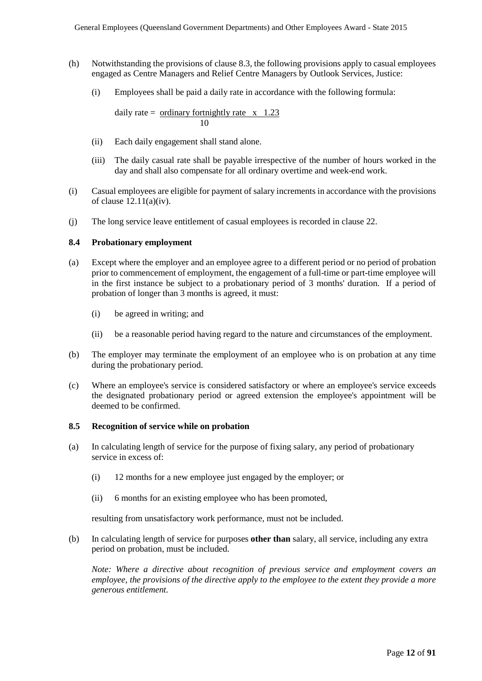- (h) Notwithstanding the provisions of clause 8.3, the following provisions apply to casual employees engaged as Centre Managers and Relief Centre Managers by Outlook Services, Justice:
	- (i) Employees shall be paid a daily rate in accordance with the following formula:

daily rate =  $\frac{\text{ordinary for}+ \text{output}}{\text{output}}$  rate  $x \neq 1.23$ 10

- (ii) Each daily engagement shall stand alone.
- (iii) The daily casual rate shall be payable irrespective of the number of hours worked in the day and shall also compensate for all ordinary overtime and week-end work.
- (i) Casual employees are eligible for payment of salary increments in accordance with the provisions of clause  $12.11(a)(iv)$ .
- (j) The long service leave entitlement of casual employees is recorded in clause 22.

#### **8.4 Probationary employment**

- (a) Except where the employer and an employee agree to a different period or no period of probation prior to commencement of employment, the engagement of a full-time or part-time employee will in the first instance be subject to a probationary period of 3 months' duration. If a period of probation of longer than 3 months is agreed, it must:
	- (i) be agreed in writing; and
	- (ii) be a reasonable period having regard to the nature and circumstances of the employment.
- (b) The employer may terminate the employment of an employee who is on probation at any time during the probationary period.
- (c) Where an employee's service is considered satisfactory or where an employee's service exceeds the designated probationary period or agreed extension the employee's appointment will be deemed to be confirmed.

#### **8.5 Recognition of service while on probation**

- (a) In calculating length of service for the purpose of fixing salary, any period of probationary service in excess of:
	- (i) 12 months for a new employee just engaged by the employer; or
	- (ii) 6 months for an existing employee who has been promoted,

resulting from unsatisfactory work performance, must not be included.

(b) In calculating length of service for purposes **other than** salary, all service, including any extra period on probation, must be included.

*Note: Where a directive about recognition of previous service and employment covers an employee, the provisions of the directive apply to the employee to the extent they provide a more generous entitlement.*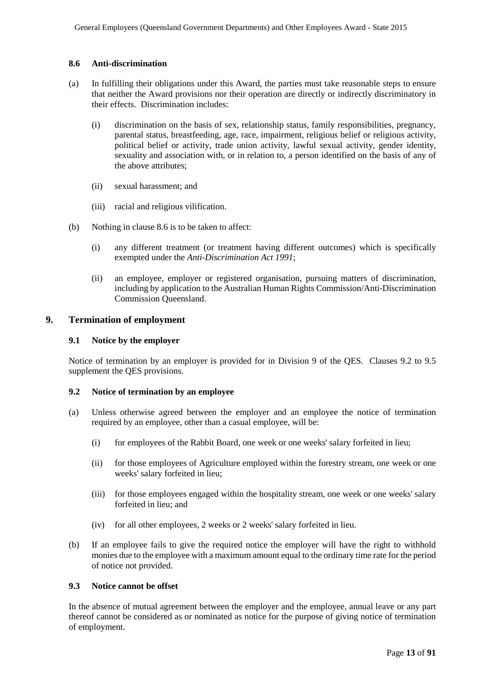#### **8.6 Anti-discrimination**

- (a) In fulfilling their obligations under this Award, the parties must take reasonable steps to ensure that neither the Award provisions nor their operation are directly or indirectly discriminatory in their effects. Discrimination includes:
	- (i) discrimination on the basis of sex, relationship status, family responsibilities, pregnancy, parental status, breastfeeding, age, race, impairment, religious belief or religious activity, political belief or activity, trade union activity, lawful sexual activity, gender identity, sexuality and association with, or in relation to, a person identified on the basis of any of the above attributes;
	- (ii) sexual harassment; and
	- (iii) racial and religious vilification.
- (b) Nothing in clause 8.6 is to be taken to affect:
	- (i) any different treatment (or treatment having different outcomes) which is specifically exempted under the *Anti-Discrimination Act 1991*;
	- (ii) an employee, employer or registered organisation, pursuing matters of discrimination, including by application to the Australian Human Rights Commission/Anti-Discrimination Commission Queensland.

#### **9. Termination of employment**

### **9.1 Notice by the employer**

Notice of termination by an employer is provided for in Division 9 of the QES. Clauses 9.2 to 9.5 supplement the QES provisions.

#### **9.2 Notice of termination by an employee**

- (a) Unless otherwise agreed between the employer and an employee the notice of termination required by an employee, other than a casual employee, will be:
	- (i) for employees of the Rabbit Board, one week or one weeks' salary forfeited in lieu;
	- (ii) for those employees of Agriculture employed within the forestry stream, one week or one weeks' salary forfeited in lieu;
	- (iii) for those employees engaged within the hospitality stream, one week or one weeks' salary forfeited in lieu; and
	- (iv) for all other employees, 2 weeks or 2 weeks' salary forfeited in lieu.
- (b) If an employee fails to give the required notice the employer will have the right to withhold monies due to the employee with a maximum amount equal to the ordinary time rate for the period of notice not provided.

#### **9.3 Notice cannot be offset**

In the absence of mutual agreement between the employer and the employee, annual leave or any part thereof cannot be considered as or nominated as notice for the purpose of giving notice of termination of employment.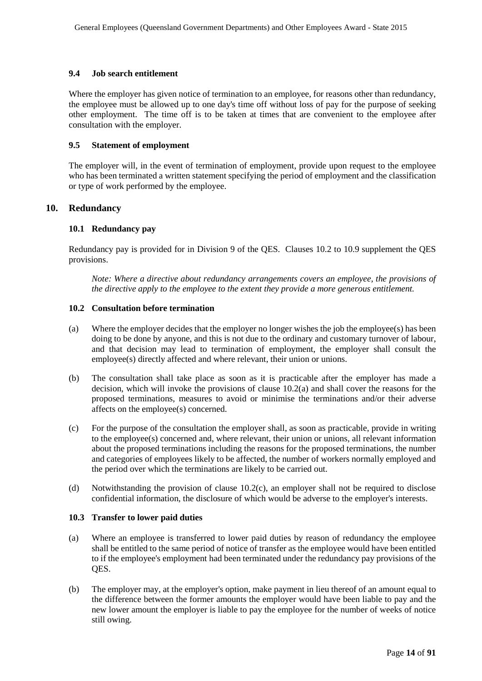#### **9.4 Job search entitlement**

Where the employer has given notice of termination to an employee, for reasons other than redundancy, the employee must be allowed up to one day's time off without loss of pay for the purpose of seeking other employment. The time off is to be taken at times that are convenient to the employee after consultation with the employer.

#### **9.5 Statement of employment**

The employer will, in the event of termination of employment, provide upon request to the employee who has been terminated a written statement specifying the period of employment and the classification or type of work performed by the employee.

#### **10. Redundancy**

#### **10.1 Redundancy pay**

Redundancy pay is provided for in Division 9 of the QES. Clauses 10.2 to 10.9 supplement the QES provisions.

*Note: Where a directive about redundancy arrangements covers an employee, the provisions of the directive apply to the employee to the extent they provide a more generous entitlement.*

#### **10.2 Consultation before termination**

- (a) Where the employer decides that the employer no longer wishes the job the employee(s) has been doing to be done by anyone, and this is not due to the ordinary and customary turnover of labour, and that decision may lead to termination of employment, the employer shall consult the employee(s) directly affected and where relevant, their union or unions.
- (b) The consultation shall take place as soon as it is practicable after the employer has made a decision, which will invoke the provisions of clause 10.2(a) and shall cover the reasons for the proposed terminations, measures to avoid or minimise the terminations and/or their adverse affects on the employee(s) concerned.
- (c) For the purpose of the consultation the employer shall, as soon as practicable, provide in writing to the employee(s) concerned and, where relevant, their union or unions, all relevant information about the proposed terminations including the reasons for the proposed terminations, the number and categories of employees likely to be affected, the number of workers normally employed and the period over which the terminations are likely to be carried out.
- (d) Notwithstanding the provision of clause 10.2(c), an employer shall not be required to disclose confidential information, the disclosure of which would be adverse to the employer's interests.

#### **10.3 Transfer to lower paid duties**

- (a) Where an employee is transferred to lower paid duties by reason of redundancy the employee shall be entitled to the same period of notice of transfer as the employee would have been entitled to if the employee's employment had been terminated under the redundancy pay provisions of the QES.
- (b) The employer may, at the employer's option, make payment in lieu thereof of an amount equal to the difference between the former amounts the employer would have been liable to pay and the new lower amount the employer is liable to pay the employee for the number of weeks of notice still owing.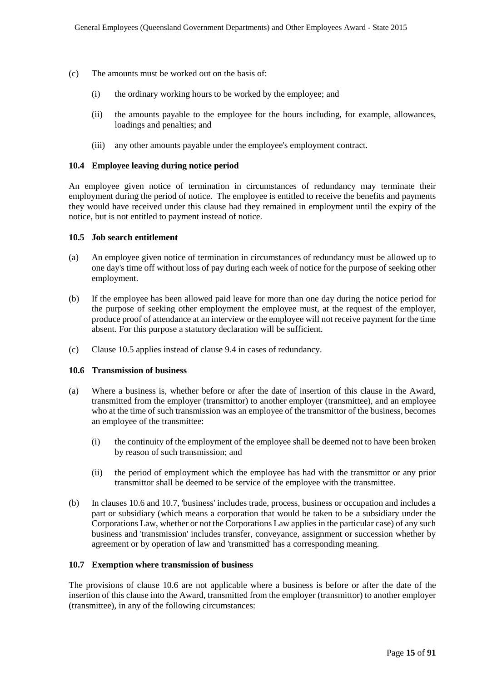- (c) The amounts must be worked out on the basis of:
	- (i) the ordinary working hours to be worked by the employee; and
	- (ii) the amounts payable to the employee for the hours including, for example, allowances, loadings and penalties; and
	- (iii) any other amounts payable under the employee's employment contract.

#### **10.4 Employee leaving during notice period**

An employee given notice of termination in circumstances of redundancy may terminate their employment during the period of notice. The employee is entitled to receive the benefits and payments they would have received under this clause had they remained in employment until the expiry of the notice, but is not entitled to payment instead of notice.

#### **10.5 Job search entitlement**

- (a) An employee given notice of termination in circumstances of redundancy must be allowed up to one day's time off without loss of pay during each week of notice for the purpose of seeking other employment.
- (b) If the employee has been allowed paid leave for more than one day during the notice period for the purpose of seeking other employment the employee must, at the request of the employer, produce proof of attendance at an interview or the employee will not receive payment for the time absent. For this purpose a statutory declaration will be sufficient.
- (c) Clause 10.5 applies instead of clause 9.4 in cases of redundancy.

#### **10.6 Transmission of business**

- (a) Where a business is, whether before or after the date of insertion of this clause in the Award, transmitted from the employer (transmittor) to another employer (transmittee), and an employee who at the time of such transmission was an employee of the transmittor of the business, becomes an employee of the transmittee:
	- (i) the continuity of the employment of the employee shall be deemed not to have been broken by reason of such transmission; and
	- (ii) the period of employment which the employee has had with the transmittor or any prior transmittor shall be deemed to be service of the employee with the transmittee.
- (b) In clauses 10.6 and 10.7, 'business' includes trade, process, business or occupation and includes a part or subsidiary (which means a corporation that would be taken to be a subsidiary under the Corporations Law, whether or not the Corporations Law applies in the particular case) of any such business and 'transmission' includes transfer, conveyance, assignment or succession whether by agreement or by operation of law and 'transmitted' has a corresponding meaning.

#### **10.7 Exemption where transmission of business**

The provisions of clause 10.6 are not applicable where a business is before or after the date of the insertion of this clause into the Award, transmitted from the employer (transmittor) to another employer (transmittee), in any of the following circumstances: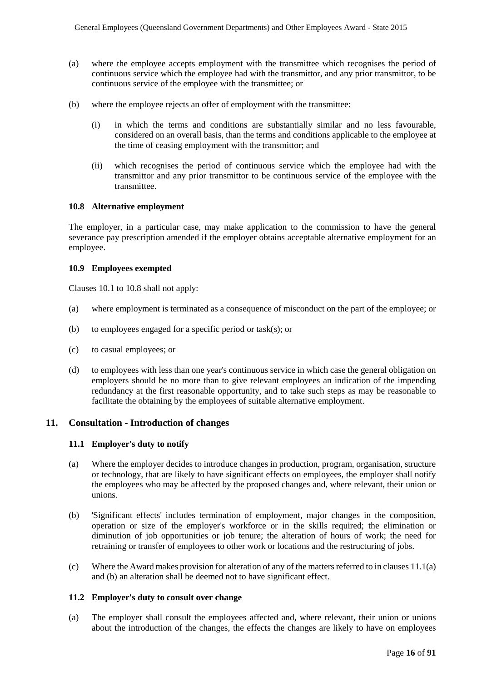- (a) where the employee accepts employment with the transmittee which recognises the period of continuous service which the employee had with the transmittor, and any prior transmittor, to be continuous service of the employee with the transmittee; or
- (b) where the employee rejects an offer of employment with the transmittee:
	- (i) in which the terms and conditions are substantially similar and no less favourable, considered on an overall basis, than the terms and conditions applicable to the employee at the time of ceasing employment with the transmittor; and
	- (ii) which recognises the period of continuous service which the employee had with the transmittor and any prior transmittor to be continuous service of the employee with the transmittee.

#### **10.8 Alternative employment**

The employer, in a particular case, may make application to the commission to have the general severance pay prescription amended if the employer obtains acceptable alternative employment for an employee.

#### **10.9 Employees exempted**

Clauses 10.1 to 10.8 shall not apply:

- (a) where employment is terminated as a consequence of misconduct on the part of the employee; or
- (b) to employees engaged for a specific period or task(s); or
- (c) to casual employees; or
- (d) to employees with less than one year's continuous service in which case the general obligation on employers should be no more than to give relevant employees an indication of the impending redundancy at the first reasonable opportunity, and to take such steps as may be reasonable to facilitate the obtaining by the employees of suitable alternative employment.

#### **11. Consultation - Introduction of changes**

#### **11.1 Employer's duty to notify**

- (a) Where the employer decides to introduce changes in production, program, organisation, structure or technology, that are likely to have significant effects on employees, the employer shall notify the employees who may be affected by the proposed changes and, where relevant, their union or unions.
- (b) 'Significant effects' includes termination of employment, major changes in the composition, operation or size of the employer's workforce or in the skills required; the elimination or diminution of job opportunities or job tenure; the alteration of hours of work; the need for retraining or transfer of employees to other work or locations and the restructuring of jobs.
- (c) Where the Award makes provision for alteration of any of the matters referred to in clauses 11.1(a) and (b) an alteration shall be deemed not to have significant effect.

#### **11.2 Employer's duty to consult over change**

(a) The employer shall consult the employees affected and, where relevant, their union or unions about the introduction of the changes, the effects the changes are likely to have on employees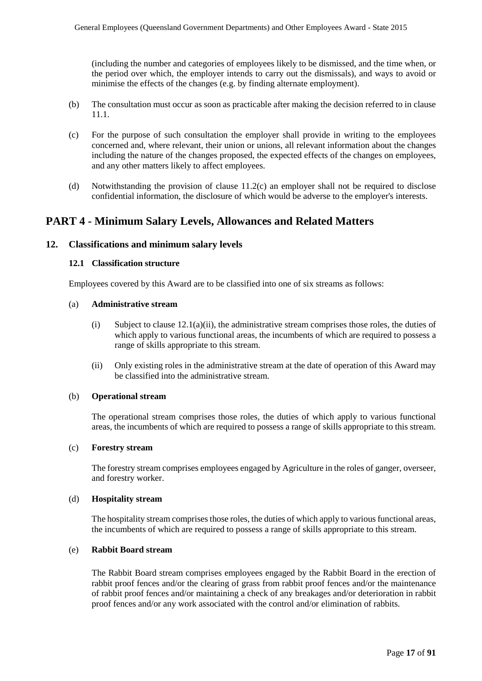(including the number and categories of employees likely to be dismissed, and the time when, or the period over which, the employer intends to carry out the dismissals), and ways to avoid or minimise the effects of the changes (e.g. by finding alternate employment).

- (b) The consultation must occur as soon as practicable after making the decision referred to in clause 11.1.
- (c) For the purpose of such consultation the employer shall provide in writing to the employees concerned and, where relevant, their union or unions, all relevant information about the changes including the nature of the changes proposed, the expected effects of the changes on employees, and any other matters likely to affect employees.
- (d) Notwithstanding the provision of clause 11.2(c) an employer shall not be required to disclose confidential information, the disclosure of which would be adverse to the employer's interests.

## **PART 4 - Minimum Salary Levels, Allowances and Related Matters**

#### **12. Classifications and minimum salary levels**

#### **12.1 Classification structure**

Employees covered by this Award are to be classified into one of six streams as follows:

#### (a) **Administrative stream**

- (i) Subject to clause  $12.1(a)(ii)$ , the administrative stream comprises those roles, the duties of which apply to various functional areas, the incumbents of which are required to possess a range of skills appropriate to this stream.
- (ii) Only existing roles in the administrative stream at the date of operation of this Award may be classified into the administrative stream.

#### (b) **Operational stream**

The operational stream comprises those roles, the duties of which apply to various functional areas, the incumbents of which are required to possess a range of skills appropriate to this stream.

#### (c) **Forestry stream**

The forestry stream comprises employees engaged by Agriculture in the roles of ganger, overseer, and forestry worker.

#### (d) **Hospitality stream**

The hospitality stream comprises those roles, the duties of which apply to various functional areas, the incumbents of which are required to possess a range of skills appropriate to this stream.

#### (e) **Rabbit Board stream**

The Rabbit Board stream comprises employees engaged by the Rabbit Board in the erection of rabbit proof fences and/or the clearing of grass from rabbit proof fences and/or the maintenance of rabbit proof fences and/or maintaining a check of any breakages and/or deterioration in rabbit proof fences and/or any work associated with the control and/or elimination of rabbits.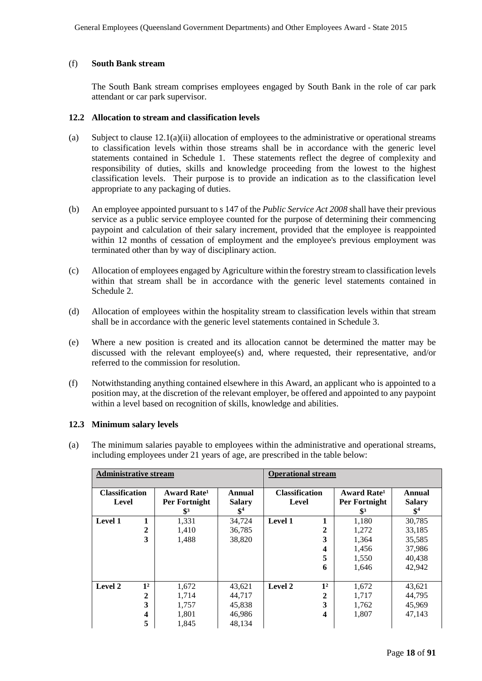#### (f) **South Bank stream**

The South Bank stream comprises employees engaged by South Bank in the role of car park attendant or car park supervisor.

#### **12.2 Allocation to stream and classification levels**

- (a) Subject to clause  $12.1(a)(ii)$  allocation of employees to the administrative or operational streams to classification levels within those streams shall be in accordance with the generic level statements contained in Schedule 1. These statements reflect the degree of complexity and responsibility of duties, skills and knowledge proceeding from the lowest to the highest classification levels. Their purpose is to provide an indication as to the classification level appropriate to any packaging of duties.
- (b) An employee appointed pursuant to s 147 of the *Public Service Act 2008* shall have their previous service as a public service employee counted for the purpose of determining their commencing paypoint and calculation of their salary increment, provided that the employee is reappointed within 12 months of cessation of employment and the employee's previous employment was terminated other than by way of disciplinary action.
- (c) Allocation of employees engaged by Agriculture within the forestry stream to classification levels within that stream shall be in accordance with the generic level statements contained in Schedule 2.
- (d) Allocation of employees within the hospitality stream to classification levels within that stream shall be in accordance with the generic level statements contained in Schedule 3.
- (e) Where a new position is created and its allocation cannot be determined the matter may be discussed with the relevant employee(s) and, where requested, their representative, and/or referred to the commission for resolution.
- (f) Notwithstanding anything contained elsewhere in this Award, an applicant who is appointed to a position may, at the discretion of the relevant employer, be offered and appointed to any paypoint within a level based on recognition of skills, knowledge and abilities.

#### **12.3 Minimum salary levels**

(a) The minimum salaries payable to employees within the administrative and operational streams, including employees under 21 years of age, are prescribed in the table below:

| <b>Administrative stream</b>   |                |                                                            | <b>Operational stream</b>         |                                |                         |                                                            |                                   |
|--------------------------------|----------------|------------------------------------------------------------|-----------------------------------|--------------------------------|-------------------------|------------------------------------------------------------|-----------------------------------|
| <b>Classification</b><br>Level |                | Award Rate <sup>1</sup><br>Per Fortnight<br>$\mathbb{S}^3$ | Annual<br><b>Salary</b><br>$\$^4$ | <b>Classification</b><br>Level |                         | Award Rate <sup>1</sup><br>Per Fortnight<br>$\mathbb{S}^3$ | Annual<br><b>Salary</b><br>$\$^4$ |
| Level 1                        |                | 1,331                                                      | 34,724                            | Level 1                        | 1                       | 1,180                                                      | 30,785                            |
|                                | 2              | 1,410                                                      | 36,785                            |                                | $\mathbf{2}$            | 1,272                                                      | 33,185                            |
|                                | 3              | 1,488                                                      | 38,820                            |                                | 3                       | 1,364                                                      | 35,585                            |
|                                |                |                                                            |                                   |                                | $\boldsymbol{4}$        | 1,456                                                      | 37,986                            |
|                                |                |                                                            |                                   |                                | 5                       | 1,550                                                      | 40,438                            |
|                                |                |                                                            |                                   |                                | 6                       | 1,646                                                      | 42,942                            |
|                                |                |                                                            |                                   |                                |                         |                                                            |                                   |
| Level 2                        | 1 <sup>2</sup> | 1,672                                                      | 43,621                            | Level 2                        | 1 <sup>2</sup>          | 1,672                                                      | 43,621                            |
|                                | 2              | 1,714                                                      | 44,717                            |                                | 2                       | 1,717                                                      | 44,795                            |
|                                | 3              | 1,757                                                      | 45,838                            |                                | 3                       | 1,762                                                      | 45,969                            |
|                                | 4              | 1,801                                                      | 46,986                            |                                | $\overline{\mathbf{4}}$ | 1,807                                                      | 47,143                            |
|                                | 5              | 1,845                                                      | 48.134                            |                                |                         |                                                            |                                   |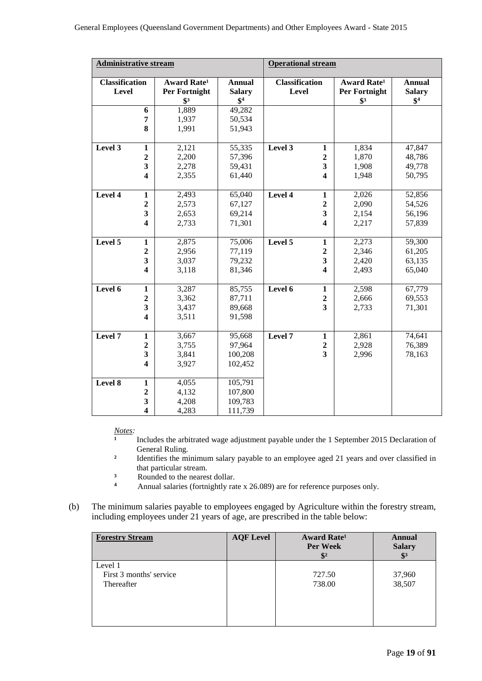| <b>Administrative stream</b>          |                         |                                                                   | <b>Operational stream</b>                 |                                       |                         |                                                                   |                                           |
|---------------------------------------|-------------------------|-------------------------------------------------------------------|-------------------------------------------|---------------------------------------|-------------------------|-------------------------------------------------------------------|-------------------------------------------|
| <b>Classification</b><br><b>Level</b> |                         | <b>Award Rate<sup>1</sup></b><br>Per Fortnight<br>$\mathbf{\$}^3$ | <b>Annual</b><br><b>Salary</b><br>$$^{4}$ | <b>Classification</b><br><b>Level</b> |                         | <b>Award Rate<sup>1</sup></b><br>Per Fortnight<br>$\mathbf{\$}^3$ | <b>Annual</b><br><b>Salary</b><br>$$^{4}$ |
|                                       | 6                       | 1,889                                                             | 49,282                                    |                                       |                         |                                                                   |                                           |
|                                       | 7                       | 1,937                                                             | 50,534                                    |                                       |                         |                                                                   |                                           |
|                                       | 8                       | 1,991                                                             | 51,943                                    |                                       |                         |                                                                   |                                           |
| Level 3                               | $\mathbf{1}$            | 2,121                                                             | 55,335                                    | Level 3                               | $\mathbf{1}$            | 1,834                                                             | 47,847                                    |
|                                       | $\overline{2}$          | 2,200                                                             | 57,396                                    |                                       | $\overline{2}$          | 1,870                                                             | 48,786                                    |
|                                       | $\overline{\mathbf{3}}$ | 2,278                                                             | 59,431                                    |                                       | $\mathbf{3}$            | 1,908                                                             | 49,778                                    |
|                                       | $\overline{\mathbf{4}}$ | 2,355                                                             | 61,440                                    |                                       | $\overline{\mathbf{4}}$ | 1,948                                                             | 50,795                                    |
| Level 4                               | $\mathbf{1}$            | 2,493                                                             | 65,040                                    | Level 4                               | $\mathbf{1}$            | 2,026                                                             | 52,856                                    |
|                                       | $\overline{2}$          | 2,573                                                             | 67,127                                    |                                       | $\boldsymbol{2}$        | 2,090                                                             | 54,526                                    |
|                                       | 3                       | 2,653                                                             | 69,214                                    |                                       | $\overline{\mathbf{3}}$ | 2,154                                                             | 56,196                                    |
|                                       | $\overline{\mathbf{4}}$ | 2,733                                                             | 71,301                                    |                                       | 4                       | 2,217                                                             | 57,839                                    |
| Level 5                               | $\mathbf{1}$            | 2,875                                                             | 75,006                                    | Level 5                               | $\mathbf{1}$            | 2,273                                                             | 59,300                                    |
|                                       | $\boldsymbol{2}$        | 2,956                                                             | 77,119                                    |                                       | $\boldsymbol{2}$        | 2,346                                                             | 61,205                                    |
|                                       | 3                       | 3,037                                                             | 79,232                                    |                                       | $\mathbf{3}$            | 2,420                                                             | 63,135                                    |
|                                       | 4                       | 3,118                                                             | 81,346                                    |                                       | $\boldsymbol{4}$        | 2,493                                                             | 65,040                                    |
| Level 6                               | $\mathbf{1}$            | 3,287                                                             | 85,755                                    | Level 6                               | $\mathbf{1}$            | 2,598                                                             | 67,779                                    |
|                                       | $\overline{2}$          | 3,362                                                             | 87,711                                    |                                       | $\mathbf 2$             | 2,666                                                             | 69,553                                    |
|                                       | 3                       | 3,437                                                             | 89,668                                    |                                       | $\overline{\mathbf{3}}$ | 2,733                                                             | 71,301                                    |
|                                       | $\overline{\mathbf{4}}$ | 3,511                                                             | 91,598                                    |                                       |                         |                                                                   |                                           |
| Level 7                               | $\mathbf{1}$            | 3,667                                                             | 95,668                                    | Level 7                               | $\mathbf{1}$            | 2,861                                                             | 74,641                                    |
|                                       | $\overline{2}$          | 3,755                                                             | 97,964                                    |                                       | $\mathbf 2$             | 2,928                                                             | 76,389                                    |
|                                       | 3                       | 3,841                                                             | 100,208                                   |                                       | $\overline{\mathbf{3}}$ | 2,996                                                             | 78,163                                    |
|                                       | $\overline{\mathbf{4}}$ | 3,927                                                             | 102,452                                   |                                       |                         |                                                                   |                                           |
| Level 8                               | $\mathbf{1}$            | 4,055                                                             | 105,791                                   |                                       |                         |                                                                   |                                           |
|                                       | $\overline{2}$          | 4,132                                                             | 107,800                                   |                                       |                         |                                                                   |                                           |
|                                       | $\overline{\mathbf{3}}$ | 4,208                                                             | 109,783                                   |                                       |                         |                                                                   |                                           |
|                                       | $\overline{\mathbf{4}}$ | 4,283                                                             | 111,739                                   |                                       |                         |                                                                   |                                           |

*Notes:*

- Includes the arbitrated wage adjustment payable under the 1 September 2015 Declaration of General Ruling.
- <sup>2</sup> Identifies the minimum salary payable to an employee aged 21 years and over classified in that particular stream.
- <sup>3</sup> Rounded to the nearest dollar.
- **<sup>4</sup>** Annual salaries (fortnightly rate x 26.089) are for reference purposes only.
- (b) The minimum salaries payable to employees engaged by Agriculture within the forestry stream, including employees under 21 years of age, are prescribed in the table below:

| <b>Forestry Stream</b>  | <b>AQF Level</b> | <b>Award Rate</b> <sup>1</sup><br><b>Per Week</b><br>$\frac{1}{2}$ | Annual<br><b>Salary</b><br>$\mathbf{\$}^3$ |
|-------------------------|------------------|--------------------------------------------------------------------|--------------------------------------------|
| Level 1                 |                  |                                                                    |                                            |
| First 3 months' service |                  | 727.50                                                             | 37,960                                     |
| Thereafter              |                  | 738.00                                                             | 38,507                                     |
|                         |                  |                                                                    |                                            |
|                         |                  |                                                                    |                                            |
|                         |                  |                                                                    |                                            |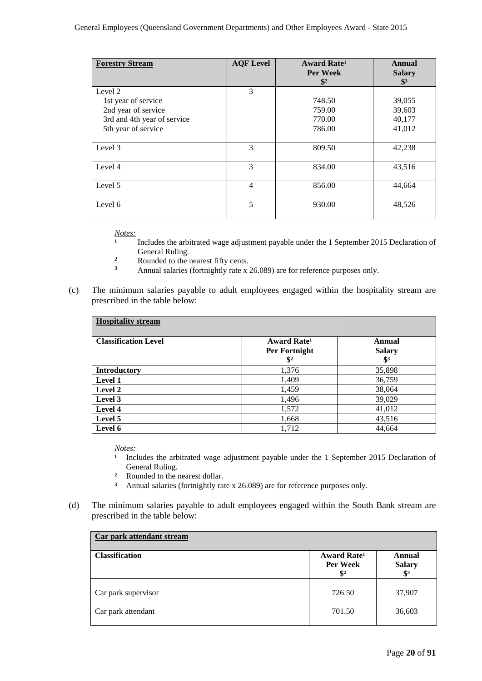| <b>Forestry Stream</b>      | <b>AQF</b> Level | <b>Award Rate<sup>1</sup></b><br><b>Per Week</b><br>$\mathbf{\$}^2$ | Annual<br><b>Salary</b><br>$\mathbf{\$}^3$ |
|-----------------------------|------------------|---------------------------------------------------------------------|--------------------------------------------|
| Level 2                     | 3                |                                                                     |                                            |
| 1st year of service         |                  | 748.50                                                              | 39,055                                     |
| 2nd year of service         |                  | 759.00                                                              | 39,603                                     |
| 3rd and 4th year of service |                  | 770.00                                                              | 40,177                                     |
| 5th year of service         |                  | 786.00                                                              | 41,012                                     |
|                             |                  |                                                                     |                                            |
| Level 3                     | 3                | 809.50                                                              | 42,238                                     |
|                             |                  |                                                                     |                                            |
| Level 4                     | 3                | 834.00                                                              | 43,516                                     |
|                             |                  |                                                                     |                                            |
| Level 5                     | 4                | 856.00                                                              | 44,664                                     |
|                             |                  |                                                                     |                                            |
| Level 6                     | 5                | 930.00                                                              | 48,526                                     |
|                             |                  |                                                                     |                                            |

*Notes:*

- Includes the arbitrated wage adjustment payable under the 1 September 2015 Declaration of General Ruling.
- $\frac{2}{3}$  Rounded to the nearest fifty cents.
- **<sup>3</sup>** Annual salaries (fortnightly rate x 26.089) are for reference purposes only.
- (c) The minimum salaries payable to adult employees engaged within the hospitality stream are prescribed in the table below:

| <b>Hospitality stream</b>   |                         |                 |  |  |  |
|-----------------------------|-------------------------|-----------------|--|--|--|
| <b>Classification Level</b> | Award Rate <sup>1</sup> | Annual          |  |  |  |
|                             | Per Fortnight           | <b>Salary</b>   |  |  |  |
|                             | $\frac{1}{2}$           | $\mathbf{\$}^3$ |  |  |  |
| <b>Introductory</b>         | 1,376                   | 35,898          |  |  |  |
| Level 1                     | 1,409                   | 36,759          |  |  |  |
| Level 2                     | 1,459                   | 38,064          |  |  |  |
| Level 3                     | 1,496                   | 39,029          |  |  |  |
| Level 4                     | 1,572                   | 41,012          |  |  |  |
| Level 5                     | 1,668                   | 43,516          |  |  |  |
| Level 6                     | 1,712                   | 44,664          |  |  |  |

*Notes:*

- Includes the arbitrated wage adjustment payable under the 1 September 2015 Declaration of General Ruling.
- <sup>2</sup> Rounded to the nearest dollar.<br><sup>3</sup> Annual salaries (fortnightly rat
- **³** Annual salaries (fortnightly rate x 26.089) are for reference purposes only.
- (d) The minimum salaries payable to adult employees engaged within the South Bank stream are prescribed in the table below:

| Car park attendant stream |                                                               |                                            |  |  |  |
|---------------------------|---------------------------------------------------------------|--------------------------------------------|--|--|--|
| <b>Classification</b>     | Award Rate <sup>1</sup><br><b>Per Week</b><br>$\mathbf{\$}^2$ | Annual<br><b>Salary</b><br>$\mathbf{\$}^3$ |  |  |  |
| Car park supervisor       | 726.50                                                        | 37,907                                     |  |  |  |
| Car park attendant        | 701.50                                                        | 36,603                                     |  |  |  |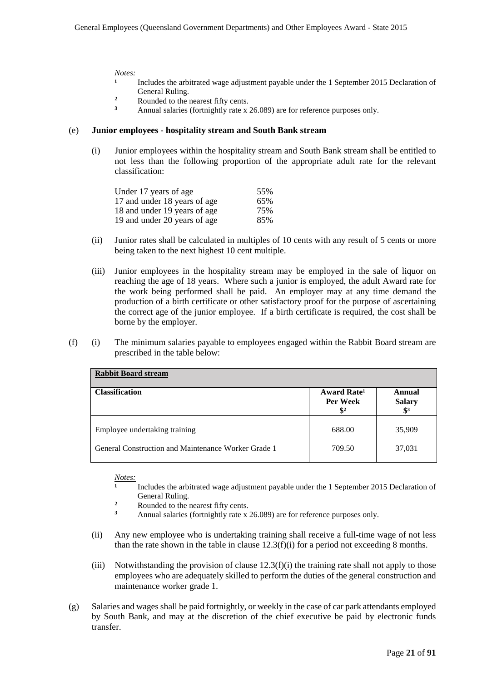#### *Notes:*

- **¹** Includes the arbitrated wage adjustment payable under the 1 September 2015 Declaration of General Ruling.
- <sup>2</sup><br>Rounded to the nearest fifty cents.<br><sup>3</sup><br>Annual salaries (fortnightly rate y
- **<sup>3</sup>** Annual salaries (fortnightly rate x 26.089) are for reference purposes only.

#### (e) **Junior employees - hospitality stream and South Bank stream**

(i) Junior employees within the hospitality stream and South Bank stream shall be entitled to not less than the following proportion of the appropriate adult rate for the relevant classification:

| Under 17 years of age        | 55% |
|------------------------------|-----|
| 17 and under 18 years of age | 65% |
| 18 and under 19 years of age | 75% |
| 19 and under 20 years of age | 85% |

- (ii) Junior rates shall be calculated in multiples of 10 cents with any result of 5 cents or more being taken to the next highest 10 cent multiple.
- (iii) Junior employees in the hospitality stream may be employed in the sale of liquor on reaching the age of 18 years. Where such a junior is employed, the adult Award rate for the work being performed shall be paid. An employer may at any time demand the production of a birth certificate or other satisfactory proof for the purpose of ascertaining the correct age of the junior employee. If a birth certificate is required, the cost shall be borne by the employer.
- (f) (i) The minimum salaries payable to employees engaged within the Rabbit Board stream are prescribed in the table below:

| <b>Rabbit Board stream</b>                          |                                                        |                                            |  |  |  |
|-----------------------------------------------------|--------------------------------------------------------|--------------------------------------------|--|--|--|
| <b>Classification</b>                               | Award Rate <sup>1</sup><br>Per Week<br>$\mathbf{\$}^2$ | Annual<br><b>Salary</b><br>$\mathbf{\$}^3$ |  |  |  |
| Employee undertaking training                       | 688.00                                                 | 35,909                                     |  |  |  |
| General Construction and Maintenance Worker Grade 1 | 709.50                                                 | 37,031                                     |  |  |  |

#### *Notes:*

- Includes the arbitrated wage adjustment payable under the 1 September 2015 Declaration of General Ruling.
- $\frac{2}{3}$  Rounded to the nearest fifty cents.
- **<sup>3</sup>** Annual salaries (fortnightly rate x 26.089) are for reference purposes only.
- (ii) Any new employee who is undertaking training shall receive a full-time wage of not less than the rate shown in the table in clause  $12.3(f)(i)$  for a period not exceeding 8 months.
- (iii) Notwithstanding the provision of clause  $12.3(f)(i)$  the training rate shall not apply to those employees who are adequately skilled to perform the duties of the general construction and maintenance worker grade 1.
- (g) Salaries and wages shall be paid fortnightly, or weekly in the case of car park attendants employed by South Bank, and may at the discretion of the chief executive be paid by electronic funds transfer.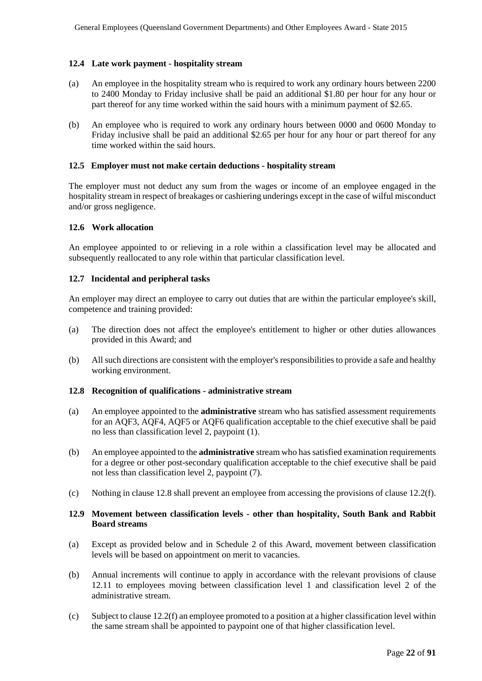#### **12.4 Late work payment - hospitality stream**

- (a) An employee in the hospitality stream who is required to work any ordinary hours between 2200 to 2400 Monday to Friday inclusive shall be paid an additional \$1.80 per hour for any hour or part thereof for any time worked within the said hours with a minimum payment of \$2.65.
- (b) An employee who is required to work any ordinary hours between 0000 and 0600 Monday to Friday inclusive shall be paid an additional \$2.65 per hour for any hour or part thereof for any time worked within the said hours.

#### **12.5 Employer must not make certain deductions - hospitality stream**

The employer must not deduct any sum from the wages or income of an employee engaged in the hospitality stream in respect of breakages or cashiering underings except in the case of wilful misconduct and/or gross negligence.

#### **12.6 Work allocation**

An employee appointed to or relieving in a role within a classification level may be allocated and subsequently reallocated to any role within that particular classification level.

#### **12.7 Incidental and peripheral tasks**

An employer may direct an employee to carry out duties that are within the particular employee's skill, competence and training provided:

- (a) The direction does not affect the employee's entitlement to higher or other duties allowances provided in this Award; and
- (b) All such directions are consistent with the employer's responsibilities to provide a safe and healthy working environment.

#### **12.8 Recognition of qualifications - administrative stream**

- (a) An employee appointed to the **administrative** stream who has satisfied assessment requirements for an AQF3, AQF4, AQF5 or AQF6 qualification acceptable to the chief executive shall be paid no less than classification level 2, paypoint (1).
- (b) An employee appointed to the **administrative** stream who has satisfied examination requirements for a degree or other post-secondary qualification acceptable to the chief executive shall be paid not less than classification level 2, paypoint (7).
- (c) Nothing in clause 12.8 shall prevent an employee from accessing the provisions of clause 12.2(f).

#### **12.9 Movement between classification levels - other than hospitality, South Bank and Rabbit Board streams**

- (a) Except as provided below and in Schedule 2 of this Award, movement between classification levels will be based on appointment on merit to vacancies.
- (b) Annual increments will continue to apply in accordance with the relevant provisions of clause 12.11 to employees moving between classification level 1 and classification level 2 of the administrative stream.
- (c) Subject to clause 12.2(f) an employee promoted to a position at a higher classification level within the same stream shall be appointed to paypoint one of that higher classification level.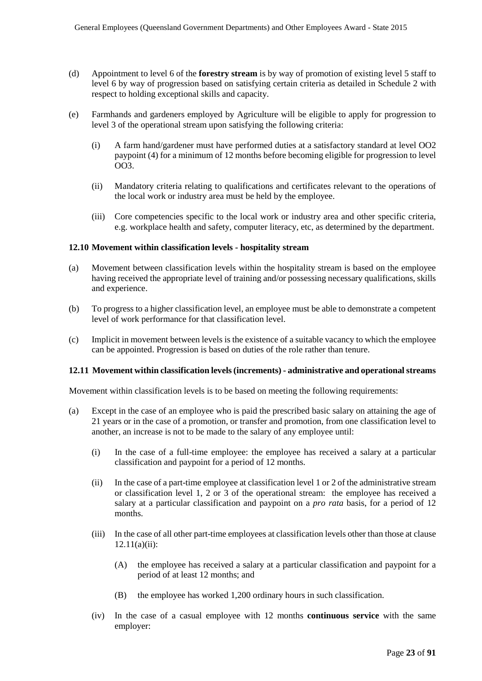- (d) Appointment to level 6 of the **forestry stream** is by way of promotion of existing level 5 staff to level 6 by way of progression based on satisfying certain criteria as detailed in Schedule 2 with respect to holding exceptional skills and capacity.
- (e) Farmhands and gardeners employed by Agriculture will be eligible to apply for progression to level 3 of the operational stream upon satisfying the following criteria:
	- (i) A farm hand/gardener must have performed duties at a satisfactory standard at level OO2 paypoint (4) for a minimum of 12 months before becoming eligible for progression to level OO3.
	- (ii) Mandatory criteria relating to qualifications and certificates relevant to the operations of the local work or industry area must be held by the employee.
	- (iii) Core competencies specific to the local work or industry area and other specific criteria, e.g. workplace health and safety, computer literacy, etc, as determined by the department.

#### **12.10 Movement within classification levels - hospitality stream**

- (a) Movement between classification levels within the hospitality stream is based on the employee having received the appropriate level of training and/or possessing necessary qualifications, skills and experience.
- (b) To progress to a higher classification level, an employee must be able to demonstrate a competent level of work performance for that classification level.
- (c) Implicit in movement between levels is the existence of a suitable vacancy to which the employee can be appointed. Progression is based on duties of the role rather than tenure.

#### **12.11 Movement within classification levels(increments) - administrative and operational streams**

Movement within classification levels is to be based on meeting the following requirements:

- (a) Except in the case of an employee who is paid the prescribed basic salary on attaining the age of 21 years or in the case of a promotion, or transfer and promotion, from one classification level to another, an increase is not to be made to the salary of any employee until:
	- (i) In the case of a full-time employee: the employee has received a salary at a particular classification and paypoint for a period of 12 months.
	- (ii) In the case of a part-time employee at classification level 1 or 2 of the administrative stream or classification level 1, 2 or 3 of the operational stream: the employee has received a salary at a particular classification and paypoint on a *pro rata* basis, for a period of 12 months.
	- (iii) In the case of all other part-time employees at classification levels other than those at clause  $12.11(a)(ii)$ :
		- (A) the employee has received a salary at a particular classification and paypoint for a period of at least 12 months; and
		- (B) the employee has worked 1,200 ordinary hours in such classification.
	- (iv) In the case of a casual employee with 12 months **continuous service** with the same employer: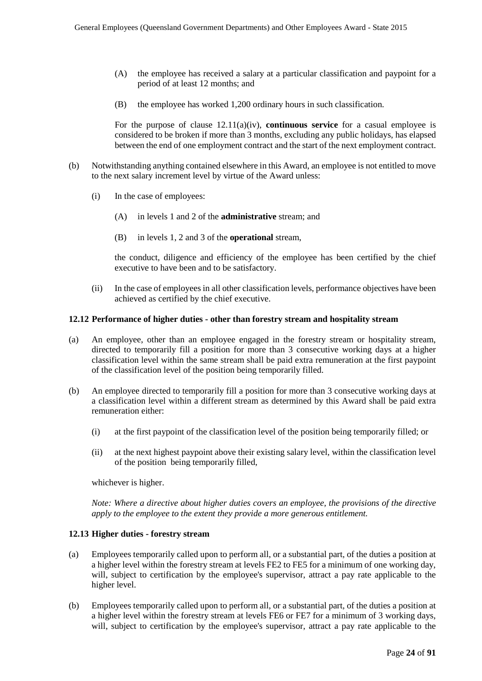- (A) the employee has received a salary at a particular classification and paypoint for a period of at least 12 months; and
- (B) the employee has worked 1,200 ordinary hours in such classification.

For the purpose of clause 12.11(a)(iv), **continuous service** for a casual employee is considered to be broken if more than 3 months, excluding any public holidays, has elapsed between the end of one employment contract and the start of the next employment contract.

- (b) Notwithstanding anything contained elsewhere in this Award, an employee is not entitled to move to the next salary increment level by virtue of the Award unless:
	- (i) In the case of employees:
		- (A) in levels 1 and 2 of the **administrative** stream; and
		- (B) in levels 1, 2 and 3 of the **operational** stream,

the conduct, diligence and efficiency of the employee has been certified by the chief executive to have been and to be satisfactory.

(ii) In the case of employees in all other classification levels, performance objectives have been achieved as certified by the chief executive.

#### **12.12 Performance of higher duties - other than forestry stream and hospitality stream**

- (a) An employee, other than an employee engaged in the forestry stream or hospitality stream, directed to temporarily fill a position for more than 3 consecutive working days at a higher classification level within the same stream shall be paid extra remuneration at the first paypoint of the classification level of the position being temporarily filled.
- (b) An employee directed to temporarily fill a position for more than 3 consecutive working days at a classification level within a different stream as determined by this Award shall be paid extra remuneration either:
	- (i) at the first paypoint of the classification level of the position being temporarily filled; or
	- (ii) at the next highest paypoint above their existing salary level, within the classification level of the position being temporarily filled,

whichever is higher.

*Note: Where a directive about higher duties covers an employee, the provisions of the directive apply to the employee to the extent they provide a more generous entitlement.*

#### **12.13 Higher duties - forestry stream**

- (a) Employees temporarily called upon to perform all, or a substantial part, of the duties a position at a higher level within the forestry stream at levels FE2 to FE5 for a minimum of one working day, will, subject to certification by the employee's supervisor, attract a pay rate applicable to the higher level.
- (b) Employees temporarily called upon to perform all, or a substantial part, of the duties a position at a higher level within the forestry stream at levels FE6 or FE7 for a minimum of 3 working days, will, subject to certification by the employee's supervisor, attract a pay rate applicable to the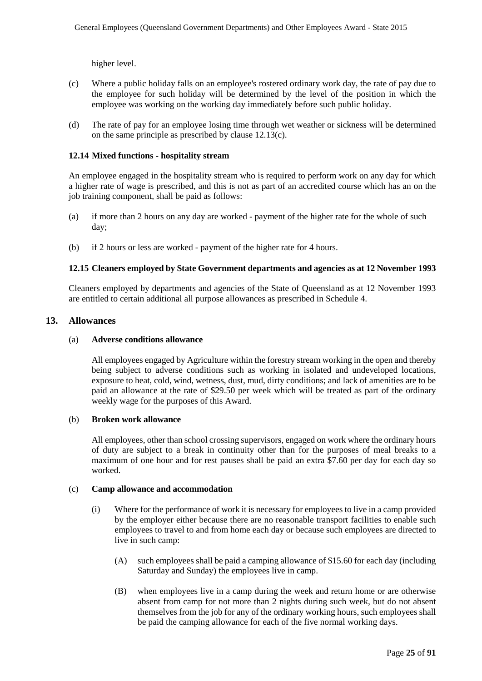higher level.

- (c) Where a public holiday falls on an employee's rostered ordinary work day, the rate of pay due to the employee for such holiday will be determined by the level of the position in which the employee was working on the working day immediately before such public holiday.
- (d) The rate of pay for an employee losing time through wet weather or sickness will be determined on the same principle as prescribed by clause 12.13(c).

### **12.14 Mixed functions - hospitality stream**

An employee engaged in the hospitality stream who is required to perform work on any day for which a higher rate of wage is prescribed, and this is not as part of an accredited course which has an on the job training component, shall be paid as follows:

- (a) if more than 2 hours on any day are worked payment of the higher rate for the whole of such day;
- (b) if 2 hours or less are worked payment of the higher rate for 4 hours.

## **12.15 Cleaners employed by State Government departments and agencies as at 12 November 1993**

Cleaners employed by departments and agencies of the State of Queensland as at 12 November 1993 are entitled to certain additional all purpose allowances as prescribed in Schedule 4.

#### **13. Allowances**

## (a) **Adverse conditions allowance**

All employees engaged by Agriculture within the forestry stream working in the open and thereby being subject to adverse conditions such as working in isolated and undeveloped locations, exposure to heat, cold, wind, wetness, dust, mud, dirty conditions; and lack of amenities are to be paid an allowance at the rate of \$29.50 per week which will be treated as part of the ordinary weekly wage for the purposes of this Award.

#### (b) **Broken work allowance**

All employees, other than school crossing supervisors, engaged on work where the ordinary hours of duty are subject to a break in continuity other than for the purposes of meal breaks to a maximum of one hour and for rest pauses shall be paid an extra \$7.60 per day for each day so worked.

#### (c) **Camp allowance and accommodation**

- (i) Where for the performance of work it is necessary for employees to live in a camp provided by the employer either because there are no reasonable transport facilities to enable such employees to travel to and from home each day or because such employees are directed to live in such camp:
	- (A) such employees shall be paid a camping allowance of \$15.60 for each day (including Saturday and Sunday) the employees live in camp.
	- (B) when employees live in a camp during the week and return home or are otherwise absent from camp for not more than 2 nights during such week, but do not absent themselves from the job for any of the ordinary working hours, such employees shall be paid the camping allowance for each of the five normal working days.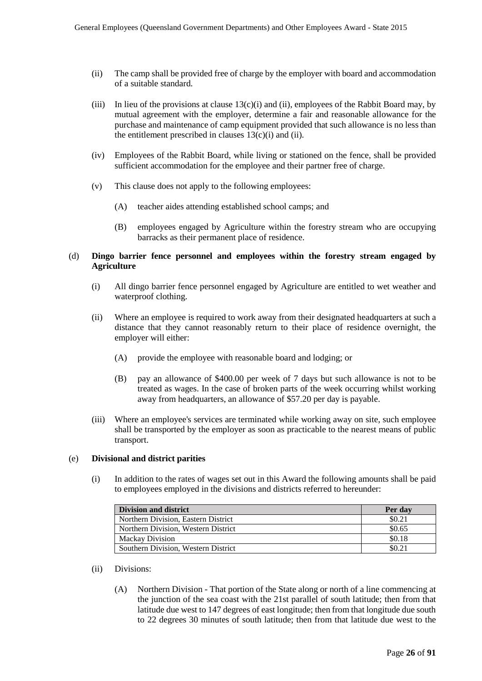- (ii) The camp shall be provided free of charge by the employer with board and accommodation of a suitable standard.
- (iii) In lieu of the provisions at clause  $13(c)(i)$  and (ii), employees of the Rabbit Board may, by mutual agreement with the employer, determine a fair and reasonable allowance for the purchase and maintenance of camp equipment provided that such allowance is no less than the entitlement prescribed in clauses  $13(c)(i)$  and (ii).
- (iv) Employees of the Rabbit Board, while living or stationed on the fence, shall be provided sufficient accommodation for the employee and their partner free of charge.
- (v) This clause does not apply to the following employees:
	- (A) teacher aides attending established school camps; and
	- (B) employees engaged by Agriculture within the forestry stream who are occupying barracks as their permanent place of residence.

#### (d) **Dingo barrier fence personnel and employees within the forestry stream engaged by Agriculture**

- (i) All dingo barrier fence personnel engaged by Agriculture are entitled to wet weather and waterproof clothing.
- (ii) Where an employee is required to work away from their designated headquarters at such a distance that they cannot reasonably return to their place of residence overnight, the employer will either:
	- (A) provide the employee with reasonable board and lodging; or
	- (B) pay an allowance of \$400.00 per week of 7 days but such allowance is not to be treated as wages. In the case of broken parts of the week occurring whilst working away from headquarters, an allowance of \$57.20 per day is payable.
- (iii) Where an employee's services are terminated while working away on site, such employee shall be transported by the employer as soon as practicable to the nearest means of public transport.

#### (e) **Divisional and district parities**

(i) In addition to the rates of wages set out in this Award the following amounts shall be paid to employees employed in the divisions and districts referred to hereunder:

| <b>Division and district</b>        | Per day |
|-------------------------------------|---------|
| Northern Division, Eastern District | \$0.21  |
| Northern Division, Western District | \$0.65  |
| <b>Mackay Division</b>              | \$0.18  |
| Southern Division, Western District | \$0.21  |

- (ii) Divisions:
	- (A) Northern Division That portion of the State along or north of a line commencing at the junction of the sea coast with the 21st parallel of south latitude; then from that latitude due west to 147 degrees of east longitude; then from that longitude due south to 22 degrees 30 minutes of south latitude; then from that latitude due west to the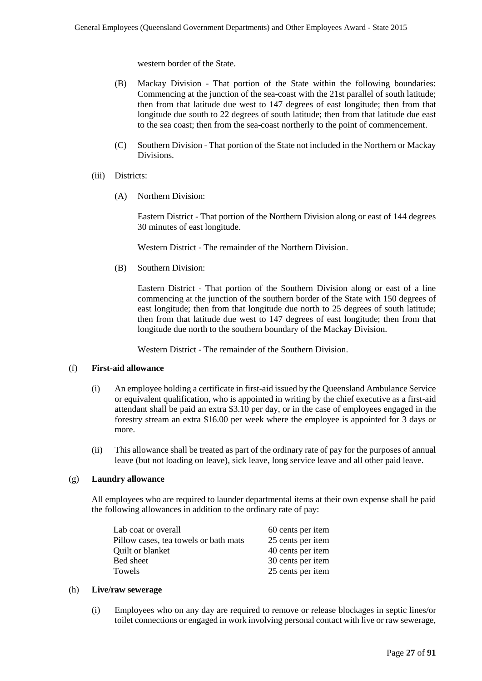western border of the State.

- (B) Mackay Division That portion of the State within the following boundaries: Commencing at the junction of the sea-coast with the 21st parallel of south latitude; then from that latitude due west to 147 degrees of east longitude; then from that longitude due south to 22 degrees of south latitude; then from that latitude due east to the sea coast; then from the sea-coast northerly to the point of commencement.
- (C) Southern Division That portion of the State not included in the Northern or Mackay Divisions.
- (iii) Districts:
	- (A) Northern Division:

Eastern District - That portion of the Northern Division along or east of 144 degrees 30 minutes of east longitude.

Western District - The remainder of the Northern Division.

(B) Southern Division:

Eastern District - That portion of the Southern Division along or east of a line commencing at the junction of the southern border of the State with 150 degrees of east longitude; then from that longitude due north to 25 degrees of south latitude; then from that latitude due west to 147 degrees of east longitude; then from that longitude due north to the southern boundary of the Mackay Division.

Western District - The remainder of the Southern Division.

#### (f) **First-aid allowance**

- (i) An employee holding a certificate in first-aid issued by the Queensland Ambulance Service or equivalent qualification, who is appointed in writing by the chief executive as a first-aid attendant shall be paid an extra \$3.10 per day, or in the case of employees engaged in the forestry stream an extra \$16.00 per week where the employee is appointed for 3 days or more.
- (ii) This allowance shall be treated as part of the ordinary rate of pay for the purposes of annual leave (but not loading on leave), sick leave, long service leave and all other paid leave.

#### (g) **Laundry allowance**

All employees who are required to launder departmental items at their own expense shall be paid the following allowances in addition to the ordinary rate of pay:

| Lab coat or overall                   | 60 cents per item |
|---------------------------------------|-------------------|
| Pillow cases, tea towels or bath mats | 25 cents per item |
| Quilt or blanket                      | 40 cents per item |
| Bed sheet                             | 30 cents per item |
| Towels                                | 25 cents per item |

#### (h) **Live/raw sewerage**

(i) Employees who on any day are required to remove or release blockages in septic lines/or toilet connections or engaged in work involving personal contact with live or raw sewerage,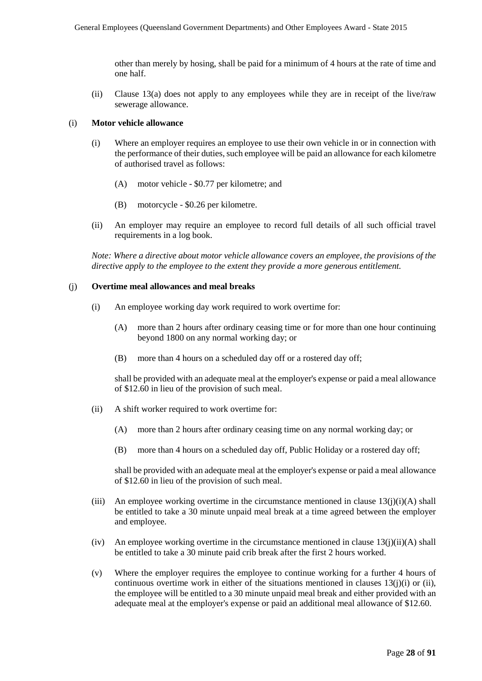other than merely by hosing, shall be paid for a minimum of 4 hours at the rate of time and one half.

(ii) Clause 13(a) does not apply to any employees while they are in receipt of the live/raw sewerage allowance.

#### (i) **Motor vehicle allowance**

- (i) Where an employer requires an employee to use their own vehicle in or in connection with the performance of their duties, such employee will be paid an allowance for each kilometre of authorised travel as follows:
	- (A) motor vehicle \$0.77 per kilometre; and
	- (B) motorcycle \$0.26 per kilometre.
- (ii) An employer may require an employee to record full details of all such official travel requirements in a log book.

*Note: Where a directive about motor vehicle allowance covers an employee, the provisions of the directive apply to the employee to the extent they provide a more generous entitlement.*

#### (j) **Overtime meal allowances and meal breaks**

- (i) An employee working day work required to work overtime for:
	- (A) more than 2 hours after ordinary ceasing time or for more than one hour continuing beyond 1800 on any normal working day; or
	- (B) more than 4 hours on a scheduled day off or a rostered day off;

shall be provided with an adequate meal at the employer's expense or paid a meal allowance of \$12.60 in lieu of the provision of such meal.

- (ii) A shift worker required to work overtime for:
	- (A) more than 2 hours after ordinary ceasing time on any normal working day; or
	- (B) more than 4 hours on a scheduled day off, Public Holiday or a rostered day off;

shall be provided with an adequate meal at the employer's expense or paid a meal allowance of \$12.60 in lieu of the provision of such meal.

- (iii) An employee working overtime in the circumstance mentioned in clause  $13(i)(i)(A)$  shall be entitled to take a 30 minute unpaid meal break at a time agreed between the employer and employee.
- (iv) An employee working overtime in the circumstance mentioned in clause  $13(j)(ii)(A)$  shall be entitled to take a 30 minute paid crib break after the first 2 hours worked.
- (v) Where the employer requires the employee to continue working for a further 4 hours of continuous overtime work in either of the situations mentioned in clauses  $13(i)(i)$  or (ii), the employee will be entitled to a 30 minute unpaid meal break and either provided with an adequate meal at the employer's expense or paid an additional meal allowance of \$12.60.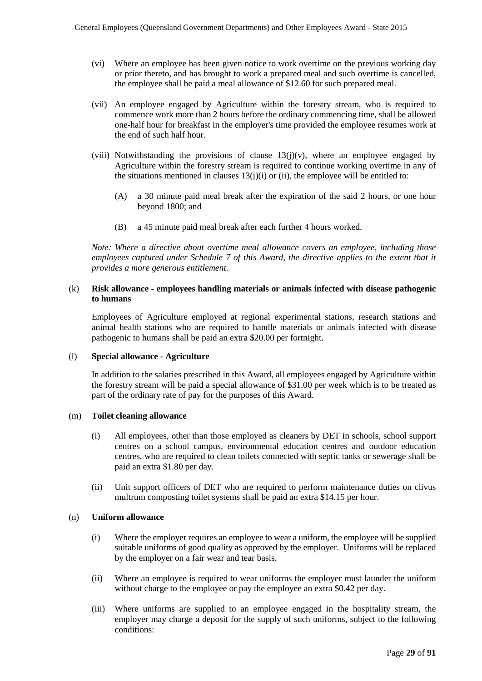- (vi) Where an employee has been given notice to work overtime on the previous working day or prior thereto, and has brought to work a prepared meal and such overtime is cancelled, the employee shall be paid a meal allowance of \$12.60 for such prepared meal.
- (vii) An employee engaged by Agriculture within the forestry stream, who is required to commence work more than 2 hours before the ordinary commencing time, shall be allowed one-half hour for breakfast in the employer's time provided the employee resumes work at the end of such half hour.
- (viii) Notwithstanding the provisions of clause  $13(j)(v)$ , where an employee engaged by Agriculture within the forestry stream is required to continue working overtime in any of the situations mentioned in clauses  $13(i)(i)$  or (ii), the employee will be entitled to:
	- (A) a 30 minute paid meal break after the expiration of the said 2 hours, or one hour beyond 1800; and
	- (B) a 45 minute paid meal break after each further 4 hours worked.

*Note: Where a directive about overtime meal allowance covers an employee, including those employees captured under Schedule 7 of this Award, the directive applies to the extent that it provides a more generous entitlement.* 

### (k) **Risk allowance - employees handling materials or animals infected with disease pathogenic to humans**

Employees of Agriculture employed at regional experimental stations, research stations and animal health stations who are required to handle materials or animals infected with disease pathogenic to humans shall be paid an extra \$20.00 per fortnight.

#### (l) **Special allowance - Agriculture**

In addition to the salaries prescribed in this Award, all employees engaged by Agriculture within the forestry stream will be paid a special allowance of \$31.00 per week which is to be treated as part of the ordinary rate of pay for the purposes of this Award.

#### (m) **Toilet cleaning allowance**

- (i) All employees, other than those employed as cleaners by DET in schools, school support centres on a school campus, environmental education centres and outdoor education centres, who are required to clean toilets connected with septic tanks or sewerage shall be paid an extra \$1.80 per day.
- (ii) Unit support officers of DET who are required to perform maintenance duties on clivus multrum composting toilet systems shall be paid an extra \$14.15 per hour.

#### (n) **Uniform allowance**

- (i) Where the employer requires an employee to wear a uniform, the employee will be supplied suitable uniforms of good quality as approved by the employer. Uniforms will be replaced by the employer on a fair wear and tear basis.
- (ii) Where an employee is required to wear uniforms the employer must launder the uniform without charge to the employee or pay the employee an extra \$0.42 per day.
- (iii) Where uniforms are supplied to an employee engaged in the hospitality stream, the employer may charge a deposit for the supply of such uniforms, subject to the following conditions: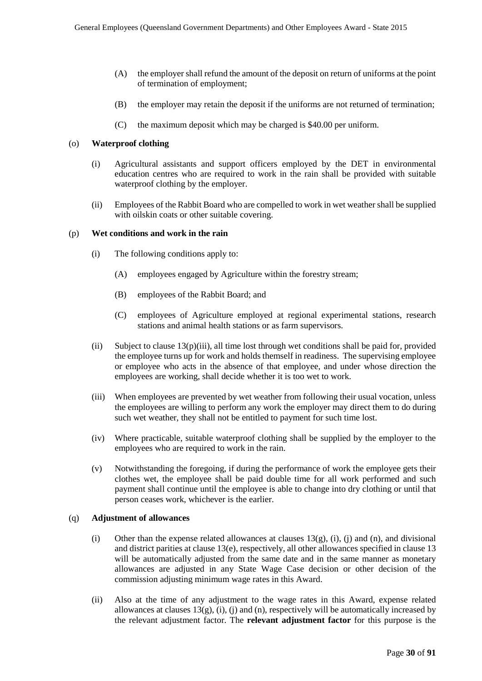- (A) the employer shall refund the amount of the deposit on return of uniforms at the point of termination of employment;
- (B) the employer may retain the deposit if the uniforms are not returned of termination;
- (C) the maximum deposit which may be charged is \$40.00 per uniform.

#### (o) **Waterproof clothing**

- (i) Agricultural assistants and support officers employed by the DET in environmental education centres who are required to work in the rain shall be provided with suitable waterproof clothing by the employer.
- (ii) Employees of the Rabbit Board who are compelled to work in wet weather shall be supplied with oilskin coats or other suitable covering.

#### (p) **Wet conditions and work in the rain**

- (i) The following conditions apply to:
	- (A) employees engaged by Agriculture within the forestry stream;
	- (B) employees of the Rabbit Board; and
	- (C) employees of Agriculture employed at regional experimental stations, research stations and animal health stations or as farm supervisors.
- (ii) Subject to clause  $13(p)(iii)$ , all time lost through wet conditions shall be paid for, provided the employee turns up for work and holds themself in readiness. The supervising employee or employee who acts in the absence of that employee, and under whose direction the employees are working, shall decide whether it is too wet to work.
- (iii) When employees are prevented by wet weather from following their usual vocation, unless the employees are willing to perform any work the employer may direct them to do during such wet weather, they shall not be entitled to payment for such time lost.
- (iv) Where practicable, suitable waterproof clothing shall be supplied by the employer to the employees who are required to work in the rain.
- (v) Notwithstanding the foregoing, if during the performance of work the employee gets their clothes wet, the employee shall be paid double time for all work performed and such payment shall continue until the employee is able to change into dry clothing or until that person ceases work, whichever is the earlier.

#### (q) **Adjustment of allowances**

- (i) Other than the expense related allowances at clauses  $13(g)$ , (i), (j) and (n), and divisional and district parities at clause 13(e), respectively, all other allowances specified in clause 13 will be automatically adjusted from the same date and in the same manner as monetary allowances are adjusted in any State Wage Case decision or other decision of the commission adjusting minimum wage rates in this Award.
- (ii) Also at the time of any adjustment to the wage rates in this Award, expense related allowances at clauses  $13(g)$ , (i), (i) and (n), respectively will be automatically increased by the relevant adjustment factor. The **relevant adjustment factor** for this purpose is the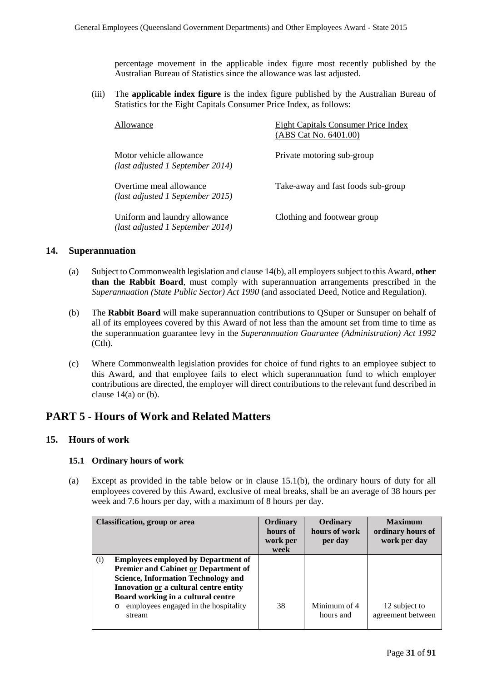percentage movement in the applicable index figure most recently published by the Australian Bureau of Statistics since the allowance was last adjusted.

(iii) The **applicable index figure** is the index figure published by the Australian Bureau of Statistics for the Eight Capitals Consumer Price Index, as follows:

| Allowance                                                         | Eight Capitals Consumer Price Index<br>(ABS Cat No. 6401.00) |
|-------------------------------------------------------------------|--------------------------------------------------------------|
| Motor vehicle allowance<br>(last adjusted 1 September 2014)       | Private motoring sub-group                                   |
| Overtime meal allowance<br>(last adjusted 1 September 2015)       | Take-away and fast foods sub-group                           |
| Uniform and laundry allowance<br>(last adjusted 1 September 2014) | Clothing and footwear group                                  |

## **14. Superannuation**

- (a) Subject to Commonwealth legislation and clause 14(b), all employers subject to this Award, **other than the Rabbit Board**, must comply with superannuation arrangements prescribed in the *Superannuation (State Public Sector) Act 1990* (and associated Deed, Notice and Regulation).
- (b) The **Rabbit Board** will make superannuation contributions to QSuper or Sunsuper on behalf of all of its employees covered by this Award of not less than the amount set from time to time as the superannuation guarantee levy in the *Superannuation Guarantee (Administration) Act 1992*  (Cth).
- (c) Where Commonwealth legislation provides for choice of fund rights to an employee subject to this Award, and that employee fails to elect which superannuation fund to which employer contributions are directed, the employer will direct contributions to the relevant fund described in clause  $14(a)$  or (b).

## **PART 5 - Hours of Work and Related Matters**

## **15. Hours of work**

#### **15.1 Ordinary hours of work**

(a) Except as provided in the table below or in clause 15.1(b), the ordinary hours of duty for all employees covered by this Award, exclusive of meal breaks, shall be an average of 38 hours per week and 7.6 hours per day, with a maximum of 8 hours per day.

| <b>Classification, group or area</b>                                                                                                                                                                                                                                             | Ordinary<br>hours of<br>work per<br>week | Ordinary<br>hours of work<br>per day | <b>Maximum</b><br>ordinary hours of<br>work per day |
|----------------------------------------------------------------------------------------------------------------------------------------------------------------------------------------------------------------------------------------------------------------------------------|------------------------------------------|--------------------------------------|-----------------------------------------------------|
| <b>Employees employed by Department of</b><br>(i)<br><b>Premier and Cabinet or Department of</b><br><b>Science, Information Technology and</b><br>Innovation or a cultural centre entity<br>Board working in a cultural centre<br>employees engaged in the hospitality<br>stream | 38                                       | Minimum of 4<br>hours and            | 12 subject to<br>agreement between                  |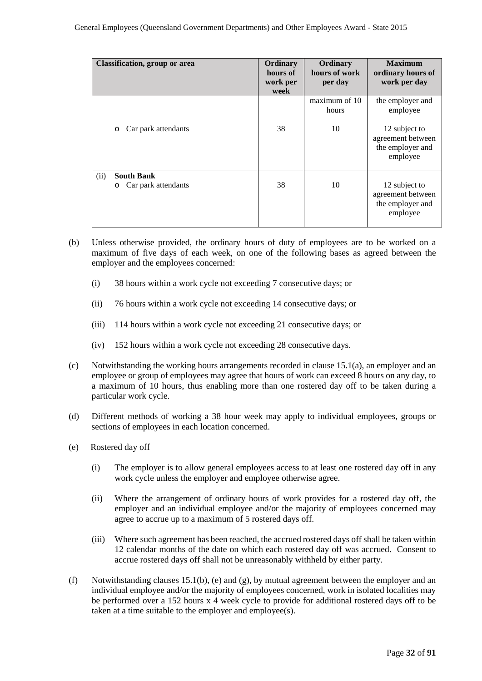| <b>Classification, group or area</b>                        | Ordinary<br>hours of<br>work per<br>week | Ordinary<br>hours of work<br>per day | <b>Maximum</b><br>ordinary hours of<br>work per day                                                |
|-------------------------------------------------------------|------------------------------------------|--------------------------------------|----------------------------------------------------------------------------------------------------|
| Car park attendants<br>$\circ$                              | 38                                       | maximum of 10<br>hours<br>10         | the employer and<br>employee<br>12 subject to<br>agreement between<br>the employer and<br>employee |
| (ii)<br><b>South Bank</b><br>Car park attendants<br>$\circ$ | 38                                       | 10                                   | 12 subject to<br>agreement between<br>the employer and<br>employee                                 |

- (b) Unless otherwise provided, the ordinary hours of duty of employees are to be worked on a maximum of five days of each week, on one of the following bases as agreed between the employer and the employees concerned:
	- (i) 38 hours within a work cycle not exceeding 7 consecutive days; or
	- (ii) 76 hours within a work cycle not exceeding 14 consecutive days; or
	- (iii) 114 hours within a work cycle not exceeding 21 consecutive days; or
	- (iv) 152 hours within a work cycle not exceeding 28 consecutive days.
- (c) Notwithstanding the working hours arrangements recorded in clause 15.1(a), an employer and an employee or group of employees may agree that hours of work can exceed 8 hours on any day, to a maximum of 10 hours, thus enabling more than one rostered day off to be taken during a particular work cycle.
- (d) Different methods of working a 38 hour week may apply to individual employees, groups or sections of employees in each location concerned.
- (e) Rostered day off
	- (i) The employer is to allow general employees access to at least one rostered day off in any work cycle unless the employer and employee otherwise agree.
	- (ii) Where the arrangement of ordinary hours of work provides for a rostered day off, the employer and an individual employee and/or the majority of employees concerned may agree to accrue up to a maximum of 5 rostered days off.
	- (iii) Where such agreement has been reached, the accrued rostered days off shall be taken within 12 calendar months of the date on which each rostered day off was accrued. Consent to accrue rostered days off shall not be unreasonably withheld by either party.
- (f) Notwithstanding clauses 15.1(b), (e) and (g), by mutual agreement between the employer and an individual employee and/or the majority of employees concerned, work in isolated localities may be performed over a 152 hours x 4 week cycle to provide for additional rostered days off to be taken at a time suitable to the employer and employee(s).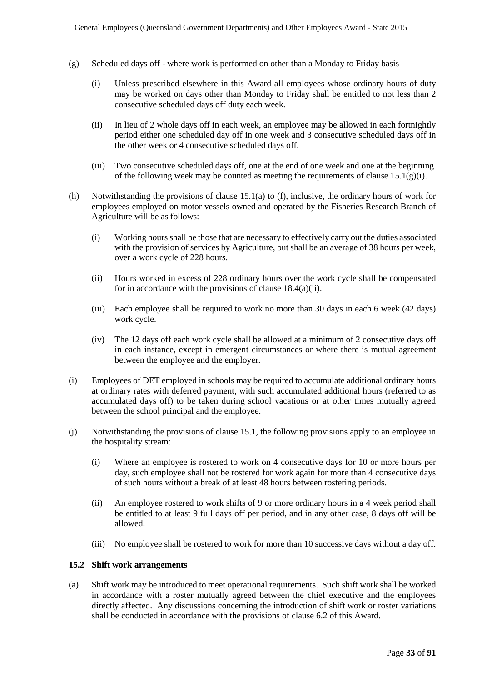- (g) Scheduled days off where work is performed on other than a Monday to Friday basis
	- (i) Unless prescribed elsewhere in this Award all employees whose ordinary hours of duty may be worked on days other than Monday to Friday shall be entitled to not less than 2 consecutive scheduled days off duty each week.
	- (ii) In lieu of 2 whole days off in each week, an employee may be allowed in each fortnightly period either one scheduled day off in one week and 3 consecutive scheduled days off in the other week or 4 consecutive scheduled days off.
	- (iii) Two consecutive scheduled days off, one at the end of one week and one at the beginning of the following week may be counted as meeting the requirements of clause  $15.1(g)(i)$ .
- (h) Notwithstanding the provisions of clause 15.1(a) to (f), inclusive, the ordinary hours of work for employees employed on motor vessels owned and operated by the Fisheries Research Branch of Agriculture will be as follows:
	- (i) Working hours shall be those that are necessary to effectively carry out the duties associated with the provision of services by Agriculture, but shall be an average of 38 hours per week, over a work cycle of 228 hours.
	- (ii) Hours worked in excess of 228 ordinary hours over the work cycle shall be compensated for in accordance with the provisions of clause 18.4(a)(ii).
	- (iii) Each employee shall be required to work no more than 30 days in each 6 week (42 days) work cycle.
	- (iv) The 12 days off each work cycle shall be allowed at a minimum of 2 consecutive days off in each instance, except in emergent circumstances or where there is mutual agreement between the employee and the employer.
- (i) Employees of DET employed in schools may be required to accumulate additional ordinary hours at ordinary rates with deferred payment, with such accumulated additional hours (referred to as accumulated days off) to be taken during school vacations or at other times mutually agreed between the school principal and the employee.
- (j) Notwithstanding the provisions of clause 15.1, the following provisions apply to an employee in the hospitality stream:
	- (i) Where an employee is rostered to work on 4 consecutive days for 10 or more hours per day, such employee shall not be rostered for work again for more than 4 consecutive days of such hours without a break of at least 48 hours between rostering periods.
	- (ii) An employee rostered to work shifts of 9 or more ordinary hours in a 4 week period shall be entitled to at least 9 full days off per period, and in any other case, 8 days off will be allowed.
	- (iii) No employee shall be rostered to work for more than 10 successive days without a day off.

#### **15.2 Shift work arrangements**

(a) Shift work may be introduced to meet operational requirements. Such shift work shall be worked in accordance with a roster mutually agreed between the chief executive and the employees directly affected. Any discussions concerning the introduction of shift work or roster variations shall be conducted in accordance with the provisions of clause 6.2 of this Award.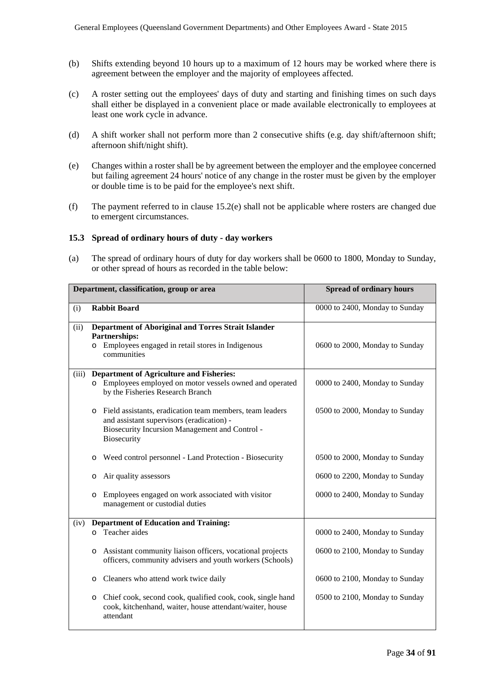- (b) Shifts extending beyond 10 hours up to a maximum of 12 hours may be worked where there is agreement between the employer and the majority of employees affected.
- (c) A roster setting out the employees' days of duty and starting and finishing times on such days shall either be displayed in a convenient place or made available electronically to employees at least one work cycle in advance.
- (d) A shift worker shall not perform more than 2 consecutive shifts (e.g. day shift/afternoon shift; afternoon shift/night shift).
- (e) Changes within a roster shall be by agreement between the employer and the employee concerned but failing agreement 24 hours' notice of any change in the roster must be given by the employer or double time is to be paid for the employee's next shift.
- (f) The payment referred to in clause 15.2(e) shall not be applicable where rosters are changed due to emergent circumstances.

#### **15.3 Spread of ordinary hours of duty - day workers**

(a) The spread of ordinary hours of duty for day workers shall be 0600 to 1800, Monday to Sunday, or other spread of hours as recorded in the table below:

|       | Department, classification, group or area                                                                                                                                                | <b>Spread of ordinary hours</b> |
|-------|------------------------------------------------------------------------------------------------------------------------------------------------------------------------------------------|---------------------------------|
| (i)   | <b>Rabbit Board</b>                                                                                                                                                                      | 0000 to 2400, Monday to Sunday  |
| (ii)  | Department of Aboriginal and Torres Strait Islander<br>Partnerships:<br>Employees engaged in retail stores in Indigenous<br>$\circ$<br>communities                                       | 0600 to 2000, Monday to Sunday  |
| (iii) | <b>Department of Agriculture and Fisheries:</b><br>o Employees employed on motor vessels owned and operated<br>by the Fisheries Research Branch                                          | 0000 to 2400, Monday to Sunday  |
|       | Field assistants, eradication team members, team leaders<br>$\circ$<br>and assistant supervisors (eradication) -<br><b>Biosecurity Incursion Management and Control -</b><br>Biosecurity | 0500 to 2000, Monday to Sunday  |
|       | Weed control personnel - Land Protection - Biosecurity<br>$\circ$                                                                                                                        | 0500 to 2000, Monday to Sunday  |
|       | Air quality assessors<br>O                                                                                                                                                               | 0600 to 2200, Monday to Sunday  |
|       | Employees engaged on work associated with visitor<br>$\circ$<br>management or custodial duties                                                                                           | 0000 to 2400, Monday to Sunday  |
| (iv)  | <b>Department of Education and Training:</b><br>Teacher aides<br>$\circ$                                                                                                                 | 0000 to 2400, Monday to Sunday  |
|       | Assistant community liaison officers, vocational projects<br>$\circ$<br>officers, community advisers and youth workers (Schools)                                                         | 0600 to 2100, Monday to Sunday  |
|       | Cleaners who attend work twice daily<br>$\circ$                                                                                                                                          | 0600 to 2100, Monday to Sunday  |
|       | Chief cook, second cook, qualified cook, cook, single hand<br>$\circ$<br>cook, kitchenhand, waiter, house attendant/waiter, house<br>attendant                                           | 0500 to 2100, Monday to Sunday  |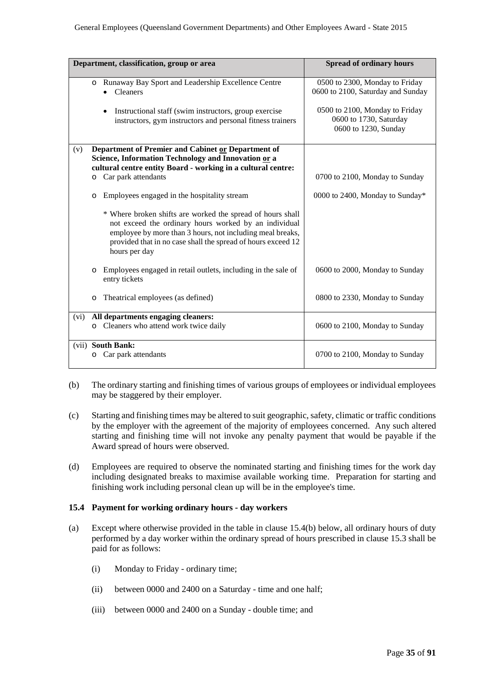|      |         | Department, classification, group or area                                                                                                                                                                                                                         | <b>Spread of ordinary hours</b>                                                  |
|------|---------|-------------------------------------------------------------------------------------------------------------------------------------------------------------------------------------------------------------------------------------------------------------------|----------------------------------------------------------------------------------|
|      |         | o Runaway Bay Sport and Leadership Excellence Centre<br>Cleaners                                                                                                                                                                                                  | 0500 to 2300, Monday to Friday<br>0600 to 2100, Saturday and Sunday              |
|      |         | Instructional staff (swim instructors, group exercise)<br>$\bullet$<br>instructors, gym instructors and personal fitness trainers                                                                                                                                 | 0500 to 2100, Monday to Friday<br>0600 to 1730, Saturday<br>0600 to 1230, Sunday |
| (v)  | $\circ$ | Department of Premier and Cabinet or Department of<br>Science, Information Technology and Innovation or a<br>cultural centre entity Board - working in a cultural centre:<br>Car park attendants                                                                  | 0700 to 2100, Monday to Sunday                                                   |
|      | $\circ$ | Employees engaged in the hospitality stream                                                                                                                                                                                                                       | 0000 to 2400, Monday to Sunday*                                                  |
|      |         | * Where broken shifts are worked the spread of hours shall<br>not exceed the ordinary hours worked by an individual<br>employee by more than 3 hours, not including meal breaks,<br>provided that in no case shall the spread of hours exceed 12<br>hours per day |                                                                                  |
|      | $\circ$ | Employees engaged in retail outlets, including in the sale of<br>entry tickets                                                                                                                                                                                    | 0600 to 2000, Monday to Sunday                                                   |
|      | $\circ$ | Theatrical employees (as defined)                                                                                                                                                                                                                                 | 0800 to 2330, Monday to Sunday                                                   |
| (vi) | $\circ$ | All departments engaging cleaners:<br>Cleaners who attend work twice daily                                                                                                                                                                                        | 0600 to 2100, Monday to Sunday                                                   |
|      | O       | (vii) South Bank:<br>Car park attendants                                                                                                                                                                                                                          | 0700 to 2100, Monday to Sunday                                                   |

- (b) The ordinary starting and finishing times of various groups of employees or individual employees may be staggered by their employer.
- (c) Starting and finishing times may be altered to suit geographic, safety, climatic or traffic conditions by the employer with the agreement of the majority of employees concerned. Any such altered starting and finishing time will not invoke any penalty payment that would be payable if the Award spread of hours were observed.
- (d) Employees are required to observe the nominated starting and finishing times for the work day including designated breaks to maximise available working time. Preparation for starting and finishing work including personal clean up will be in the employee's time.

#### **15.4 Payment for working ordinary hours - day workers**

- (a) Except where otherwise provided in the table in clause 15.4(b) below, all ordinary hours of duty performed by a day worker within the ordinary spread of hours prescribed in clause 15.3 shall be paid for as follows:
	- (i) Monday to Friday ordinary time;
	- (ii) between 0000 and 2400 on a Saturday time and one half;
	- (iii) between 0000 and 2400 on a Sunday double time; and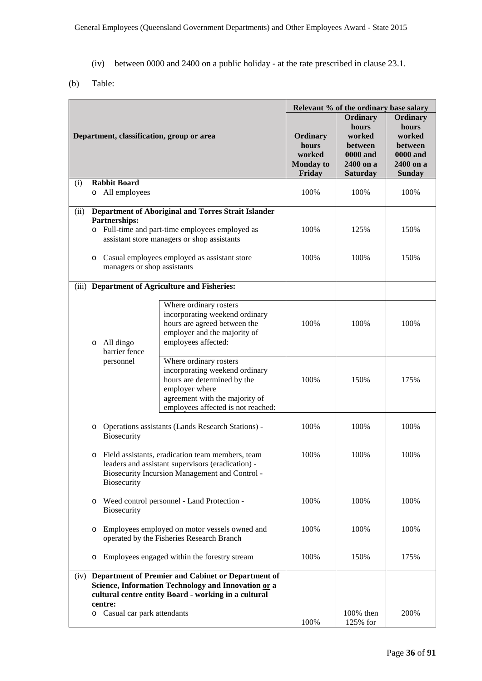- (iv) between 0000 and 2400 on a public holiday at the rate prescribed in clause 23.1.
- (b) Table:

|                                                                                                                   |                                                                                                                                                                                                                                                                                                                                                                                                                                         | Relevant % of the ordinary base salary  |                                                                                                                                                                                   |                                                                                           |                                                                                         |      |
|-------------------------------------------------------------------------------------------------------------------|-----------------------------------------------------------------------------------------------------------------------------------------------------------------------------------------------------------------------------------------------------------------------------------------------------------------------------------------------------------------------------------------------------------------------------------------|-----------------------------------------|-----------------------------------------------------------------------------------------------------------------------------------------------------------------------------------|-------------------------------------------------------------------------------------------|-----------------------------------------------------------------------------------------|------|
| Department, classification, group or area                                                                         |                                                                                                                                                                                                                                                                                                                                                                                                                                         |                                         | Ordinary<br>hours<br>worked<br><b>Monday to</b><br>Friday                                                                                                                         | Ordinary<br>hours<br>worked<br>between<br><b>0000 and</b><br>2400 on a<br><b>Saturday</b> | Ordinary<br>hours<br>worked<br>between<br><b>0000 and</b><br>2400 on a<br><b>Sunday</b> |      |
| (i)                                                                                                               |                                                                                                                                                                                                                                                                                                                                                                                                                                         | <b>Rabbit Board</b>                     |                                                                                                                                                                                   |                                                                                           | 100%                                                                                    | 100% |
|                                                                                                                   |                                                                                                                                                                                                                                                                                                                                                                                                                                         | o All employees                         |                                                                                                                                                                                   | 100%                                                                                      |                                                                                         |      |
| (ii)                                                                                                              |                                                                                                                                                                                                                                                                                                                                                                                                                                         | Partnerships:                           | Department of Aboriginal and Torres Strait Islander<br>o Full-time and part-time employees employed as<br>assistant store managers or shop assistants                             | 100%                                                                                      | 125%                                                                                    | 150% |
|                                                                                                                   | O                                                                                                                                                                                                                                                                                                                                                                                                                                       | managers or shop assistants             | Casual employees employed as assistant store                                                                                                                                      | 100%                                                                                      | 100%                                                                                    | 150% |
|                                                                                                                   |                                                                                                                                                                                                                                                                                                                                                                                                                                         |                                         | (iii) Department of Agriculture and Fisheries:                                                                                                                                    |                                                                                           |                                                                                         |      |
|                                                                                                                   | O                                                                                                                                                                                                                                                                                                                                                                                                                                       | All dingo<br>barrier fence<br>personnel | Where ordinary rosters<br>incorporating weekend ordinary<br>hours are agreed between the<br>employer and the majority of<br>employees affected:                                   | 100%                                                                                      | 100%                                                                                    | 100% |
|                                                                                                                   |                                                                                                                                                                                                                                                                                                                                                                                                                                         |                                         | Where ordinary rosters<br>incorporating weekend ordinary<br>hours are determined by the<br>employer where<br>agreement with the majority of<br>employees affected is not reached: | 100%                                                                                      | 150%                                                                                    | 175% |
|                                                                                                                   | Operations assistants (Lands Research Stations) -<br>O<br>Biosecurity<br>Field assistants, eradication team members, team<br>O<br>leaders and assistant supervisors (eradication) -<br><b>Biosecurity Incursion Management and Control -</b><br><b>Biosecurity</b><br>Weed control personnel - Land Protection -<br>O<br>Biosecurity<br>Employees employed on motor vessels owned and<br>O<br>operated by the Fisheries Research Branch |                                         |                                                                                                                                                                                   | 100%                                                                                      | 100%                                                                                    | 100% |
|                                                                                                                   |                                                                                                                                                                                                                                                                                                                                                                                                                                         |                                         | 100%                                                                                                                                                                              | 100%                                                                                      | 100%                                                                                    |      |
|                                                                                                                   |                                                                                                                                                                                                                                                                                                                                                                                                                                         |                                         | 100%                                                                                                                                                                              | 100%                                                                                      | 100%                                                                                    |      |
|                                                                                                                   |                                                                                                                                                                                                                                                                                                                                                                                                                                         |                                         | 100%                                                                                                                                                                              | 100%                                                                                      | 100%                                                                                    |      |
|                                                                                                                   | Employees engaged within the forestry stream<br>O                                                                                                                                                                                                                                                                                                                                                                                       |                                         |                                                                                                                                                                                   | 100%                                                                                      | 150%                                                                                    | 175% |
| Department of Premier and Cabinet or Department of<br>(iv)<br>Science, Information Technology and Innovation or a |                                                                                                                                                                                                                                                                                                                                                                                                                                         |                                         |                                                                                                                                                                                   |                                                                                           |                                                                                         |      |
| cultural centre entity Board - working in a cultural<br>centre:                                                   |                                                                                                                                                                                                                                                                                                                                                                                                                                         |                                         |                                                                                                                                                                                   |                                                                                           |                                                                                         |      |
|                                                                                                                   |                                                                                                                                                                                                                                                                                                                                                                                                                                         | o Casual car park attendants            |                                                                                                                                                                                   | 100%                                                                                      | 100% then<br>125% for                                                                   | 200% |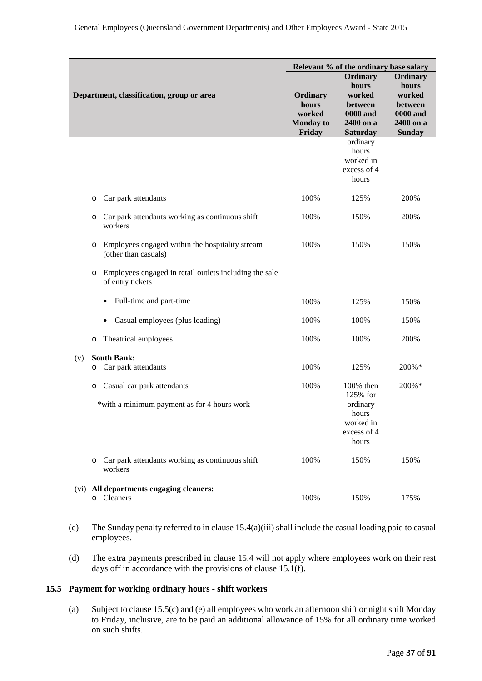|                                                                                 | Relevant % of the ordinary base salary                    |                                                                                           |                                                                                         |
|---------------------------------------------------------------------------------|-----------------------------------------------------------|-------------------------------------------------------------------------------------------|-----------------------------------------------------------------------------------------|
| Department, classification, group or area                                       | Ordinary<br>hours<br>worked<br><b>Monday to</b><br>Friday | Ordinary<br>hours<br>worked<br>between<br><b>0000 and</b><br>2400 on a<br><b>Saturday</b> | Ordinary<br>hours<br>worked<br>between<br><b>0000 and</b><br>2400 on a<br><b>Sunday</b> |
|                                                                                 |                                                           | ordinary<br>hours<br>worked in<br>excess of 4<br>hours                                    |                                                                                         |
| Car park attendants<br>O                                                        | 100%                                                      | 125%                                                                                      | 200%                                                                                    |
| Car park attendants working as continuous shift<br>O<br>workers                 | 100%                                                      | 150%                                                                                      | 200%                                                                                    |
| Employees engaged within the hospitality stream<br>O<br>(other than casuals)    | 100%                                                      | 150%                                                                                      | 150%                                                                                    |
| Employees engaged in retail outlets including the sale<br>O<br>of entry tickets |                                                           |                                                                                           |                                                                                         |
| Full-time and part-time<br>$\bullet$                                            | 100%                                                      | 125%                                                                                      | 150%                                                                                    |
| Casual employees (plus loading)<br>$\bullet$                                    | 100%                                                      | 100%                                                                                      | 150%                                                                                    |
| Theatrical employees<br>O                                                       | 100%                                                      | 100%                                                                                      | 200%                                                                                    |
| <b>South Bank:</b><br>(v)                                                       |                                                           |                                                                                           |                                                                                         |
| Car park attendants<br>O                                                        | 100%                                                      | 125%                                                                                      | 200%*                                                                                   |
| Casual car park attendants<br>O<br>*with a minimum payment as for 4 hours work  | 100%                                                      | 100% then<br>125% for<br>ordinary<br>hours<br>worked in<br>excess of 4<br>hours           | 200%*                                                                                   |
| Car park attendants working as continuous shift<br>$\circ$<br>workers           | 100%                                                      | 150%                                                                                      | 150%                                                                                    |
| (vi) All departments engaging cleaners:<br>o Cleaners                           | 100%                                                      | 150%                                                                                      | 175%                                                                                    |

- (c) The Sunday penalty referred to in clause 15.4(a)(iii) shall include the casual loading paid to casual employees.
- (d) The extra payments prescribed in clause 15.4 will not apply where employees work on their rest days off in accordance with the provisions of clause 15.1(f).

## **15.5 Payment for working ordinary hours - shift workers**

(a) Subject to clause 15.5(c) and (e) all employees who work an afternoon shift or night shift Monday to Friday, inclusive, are to be paid an additional allowance of 15% for all ordinary time worked on such shifts.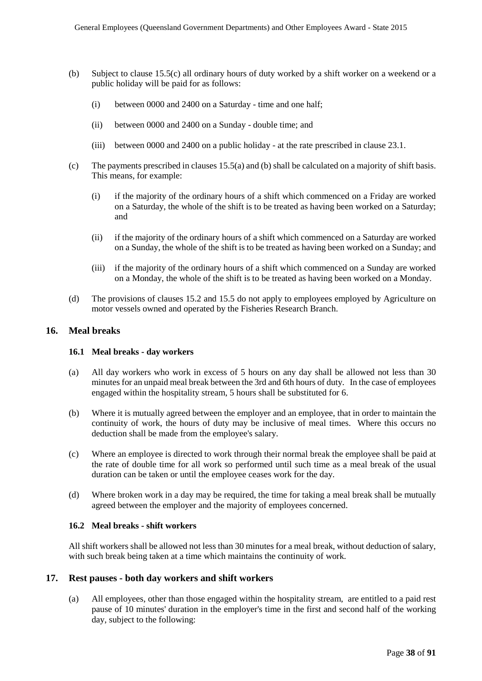- (b) Subject to clause 15.5(c) all ordinary hours of duty worked by a shift worker on a weekend or a public holiday will be paid for as follows:
	- (i) between 0000 and 2400 on a Saturday time and one half;
	- (ii) between 0000 and 2400 on a Sunday double time; and
	- (iii) between 0000 and 2400 on a public holiday at the rate prescribed in clause 23.1.
- (c) The payments prescribed in clauses 15.5(a) and (b) shall be calculated on a majority of shift basis. This means, for example:
	- (i) if the majority of the ordinary hours of a shift which commenced on a Friday are worked on a Saturday, the whole of the shift is to be treated as having been worked on a Saturday; and
	- (ii) if the majority of the ordinary hours of a shift which commenced on a Saturday are worked on a Sunday, the whole of the shift is to be treated as having been worked on a Sunday; and
	- (iii) if the majority of the ordinary hours of a shift which commenced on a Sunday are worked on a Monday, the whole of the shift is to be treated as having been worked on a Monday.
- (d) The provisions of clauses 15.2 and 15.5 do not apply to employees employed by Agriculture on motor vessels owned and operated by the Fisheries Research Branch.

## **16. Meal breaks**

#### **16.1 Meal breaks - day workers**

- (a) All day workers who work in excess of 5 hours on any day shall be allowed not less than 30 minutes for an unpaid meal break between the 3rd and 6th hours of duty. In the case of employees engaged within the hospitality stream, 5 hours shall be substituted for 6.
- (b) Where it is mutually agreed between the employer and an employee, that in order to maintain the continuity of work, the hours of duty may be inclusive of meal times. Where this occurs no deduction shall be made from the employee's salary.
- (c) Where an employee is directed to work through their normal break the employee shall be paid at the rate of double time for all work so performed until such time as a meal break of the usual duration can be taken or until the employee ceases work for the day.
- (d) Where broken work in a day may be required, the time for taking a meal break shall be mutually agreed between the employer and the majority of employees concerned.

#### **16.2 Meal breaks - shift workers**

All shift workers shall be allowed not less than 30 minutes for a meal break, without deduction of salary, with such break being taken at a time which maintains the continuity of work.

#### **17. Rest pauses - both day workers and shift workers**

(a) All employees, other than those engaged within the hospitality stream, are entitled to a paid rest pause of 10 minutes' duration in the employer's time in the first and second half of the working day, subject to the following: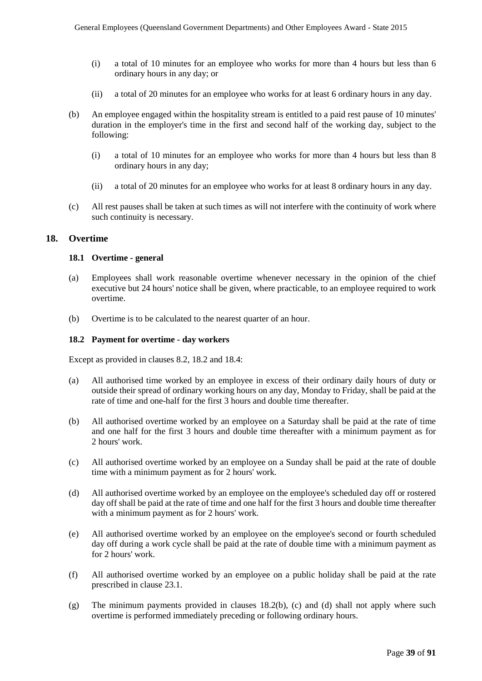- (i) a total of 10 minutes for an employee who works for more than 4 hours but less than 6 ordinary hours in any day; or
- (ii) a total of 20 minutes for an employee who works for at least 6 ordinary hours in any day.
- (b) An employee engaged within the hospitality stream is entitled to a paid rest pause of 10 minutes' duration in the employer's time in the first and second half of the working day, subject to the following:
	- (i) a total of 10 minutes for an employee who works for more than 4 hours but less than 8 ordinary hours in any day;
	- (ii) a total of 20 minutes for an employee who works for at least 8 ordinary hours in any day.
- (c) All rest pauses shall be taken at such times as will not interfere with the continuity of work where such continuity is necessary.

#### **18. Overtime**

#### **18.1 Overtime - general**

- (a) Employees shall work reasonable overtime whenever necessary in the opinion of the chief executive but 24 hours' notice shall be given, where practicable, to an employee required to work overtime.
- (b) Overtime is to be calculated to the nearest quarter of an hour.

#### **18.2 Payment for overtime - day workers**

Except as provided in clauses 8.2, 18.2 and 18.4:

- (a) All authorised time worked by an employee in excess of their ordinary daily hours of duty or outside their spread of ordinary working hours on any day, Monday to Friday, shall be paid at the rate of time and one-half for the first 3 hours and double time thereafter.
- (b) All authorised overtime worked by an employee on a Saturday shall be paid at the rate of time and one half for the first 3 hours and double time thereafter with a minimum payment as for 2 hours' work.
- (c) All authorised overtime worked by an employee on a Sunday shall be paid at the rate of double time with a minimum payment as for 2 hours' work.
- (d) All authorised overtime worked by an employee on the employee's scheduled day off or rostered day off shall be paid at the rate of time and one half for the first 3 hours and double time thereafter with a minimum payment as for 2 hours' work.
- (e) All authorised overtime worked by an employee on the employee's second or fourth scheduled day off during a work cycle shall be paid at the rate of double time with a minimum payment as for 2 hours' work.
- (f) All authorised overtime worked by an employee on a public holiday shall be paid at the rate prescribed in clause 23.1.
- (g) The minimum payments provided in clauses 18.2(b), (c) and (d) shall not apply where such overtime is performed immediately preceding or following ordinary hours.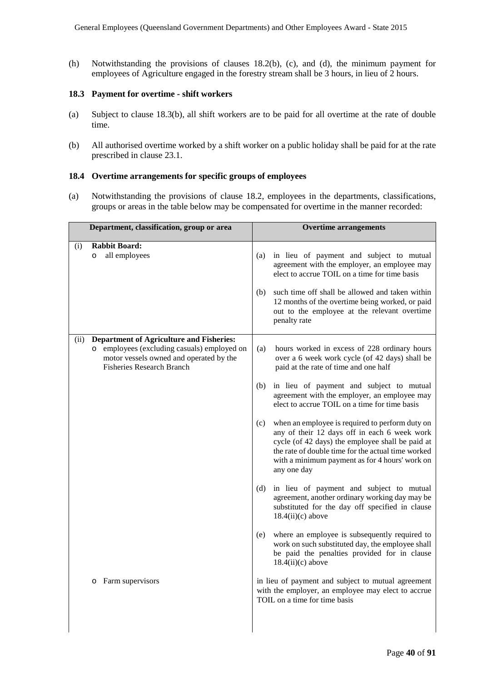(h) Notwithstanding the provisions of clauses 18.2(b), (c), and (d), the minimum payment for employees of Agriculture engaged in the forestry stream shall be 3 hours, in lieu of 2 hours.

#### **18.3 Payment for overtime - shift workers**

- (a) Subject to clause 18.3(b), all shift workers are to be paid for all overtime at the rate of double time.
- (b) All authorised overtime worked by a shift worker on a public holiday shall be paid for at the rate prescribed in clause 23.1.

#### **18.4 Overtime arrangements for specific groups of employees**

(a) Notwithstanding the provisions of clause 18.2, employees in the departments, classifications, groups or areas in the table below may be compensated for overtime in the manner recorded:

| Department, classification, group or area                                                                                                                                             | <b>Overtime arrangements</b>                                                                                                                                                                                                                                                      |
|---------------------------------------------------------------------------------------------------------------------------------------------------------------------------------------|-----------------------------------------------------------------------------------------------------------------------------------------------------------------------------------------------------------------------------------------------------------------------------------|
| <b>Rabbit Board:</b><br>(i)<br>all employees<br>$\circ$                                                                                                                               | in lieu of payment and subject to mutual<br>(a)<br>agreement with the employer, an employee may<br>elect to accrue TOIL on a time for time basis<br>such time off shall be allowed and taken within<br>(b)                                                                        |
|                                                                                                                                                                                       | 12 months of the overtime being worked, or paid<br>out to the employee at the relevant overtime<br>penalty rate                                                                                                                                                                   |
| <b>Department of Agriculture and Fisheries:</b><br>(ii)<br>o employees (excluding casuals) employed on<br>motor vessels owned and operated by the<br><b>Fisheries Research Branch</b> | (a)<br>hours worked in excess of 228 ordinary hours<br>over a 6 week work cycle (of 42 days) shall be<br>paid at the rate of time and one half                                                                                                                                    |
|                                                                                                                                                                                       | in lieu of payment and subject to mutual<br>(b)<br>agreement with the employer, an employee may<br>elect to accrue TOIL on a time for time basis                                                                                                                                  |
|                                                                                                                                                                                       | when an employee is required to perform duty on<br>(c)<br>any of their 12 days off in each 6 week work<br>cycle (of 42 days) the employee shall be paid at<br>the rate of double time for the actual time worked<br>with a minimum payment as for 4 hours' work on<br>any one day |
|                                                                                                                                                                                       | in lieu of payment and subject to mutual<br>(d)<br>agreement, another ordinary working day may be<br>substituted for the day off specified in clause<br>$18.4(ii)(c)$ above                                                                                                       |
|                                                                                                                                                                                       | where an employee is subsequently required to<br>(e)<br>work on such substituted day, the employee shall<br>be paid the penalties provided for in clause<br>$18.4(ii)(c)$ above                                                                                                   |
| Farm supervisors<br>O                                                                                                                                                                 | in lieu of payment and subject to mutual agreement<br>with the employer, an employee may elect to accrue<br>TOIL on a time for time basis                                                                                                                                         |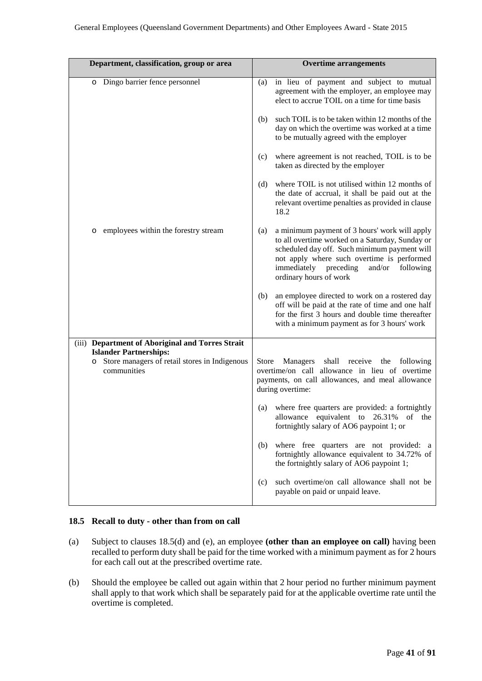| Department, classification, group or area                                                          | <b>Overtime arrangements</b>                                                                                                                                                                                                                                                 |  |  |
|----------------------------------------------------------------------------------------------------|------------------------------------------------------------------------------------------------------------------------------------------------------------------------------------------------------------------------------------------------------------------------------|--|--|
| o Dingo barrier fence personnel                                                                    | in lieu of payment and subject to mutual<br>(a)<br>agreement with the employer, an employee may<br>elect to accrue TOIL on a time for time basis                                                                                                                             |  |  |
|                                                                                                    | such TOIL is to be taken within 12 months of the<br>(b)<br>day on which the overtime was worked at a time<br>to be mutually agreed with the employer                                                                                                                         |  |  |
|                                                                                                    | where agreement is not reached, TOIL is to be<br>(c)<br>taken as directed by the employer                                                                                                                                                                                    |  |  |
|                                                                                                    | where TOIL is not utilised within 12 months of<br>(d)<br>the date of accrual, it shall be paid out at the<br>relevant overtime penalties as provided in clause<br>18.2                                                                                                       |  |  |
| employees within the forestry stream<br>O                                                          | a minimum payment of 3 hours' work will apply<br>(a)<br>to all overtime worked on a Saturday, Sunday or<br>scheduled day off. Such minimum payment will<br>not apply where such overtime is performed<br>immediately preceding<br>and/or following<br>ordinary hours of work |  |  |
|                                                                                                    | an employee directed to work on a rostered day<br>(b)<br>off will be paid at the rate of time and one half<br>for the first 3 hours and double time thereafter<br>with a minimum payment as for 3 hours' work                                                                |  |  |
| (iii) Department of Aboriginal and Torres Strait                                                   |                                                                                                                                                                                                                                                                              |  |  |
| <b>Islander Partnerships:</b><br>Store managers of retail stores in Indigenous<br>O<br>communities | shall<br>Store<br>receive the following<br>Managers<br>overtime/on call allowance in lieu of overtime<br>payments, on call allowances, and meal allowance<br>during overtime:                                                                                                |  |  |
|                                                                                                    | where free quarters are provided: a fortnightly<br>(a)<br>allowance equivalent to 26.31% of the<br>fortnightly salary of AO6 paypoint 1; or                                                                                                                                  |  |  |
|                                                                                                    | where free quarters are not provided: a<br>(b)<br>fortnightly allowance equivalent to 34.72% of<br>the fortnightly salary of AO6 paypoint 1;                                                                                                                                 |  |  |
|                                                                                                    | such overtime/on call allowance shall not be<br>(c)<br>payable on paid or unpaid leave.                                                                                                                                                                                      |  |  |

#### **18.5 Recall to duty - other than from on call**

- (a) Subject to clauses 18.5(d) and (e), an employee **(other than an employee on call)** having been recalled to perform duty shall be paid for the time worked with a minimum payment as for 2 hours for each call out at the prescribed overtime rate.
- (b) Should the employee be called out again within that 2 hour period no further minimum payment shall apply to that work which shall be separately paid for at the applicable overtime rate until the overtime is completed.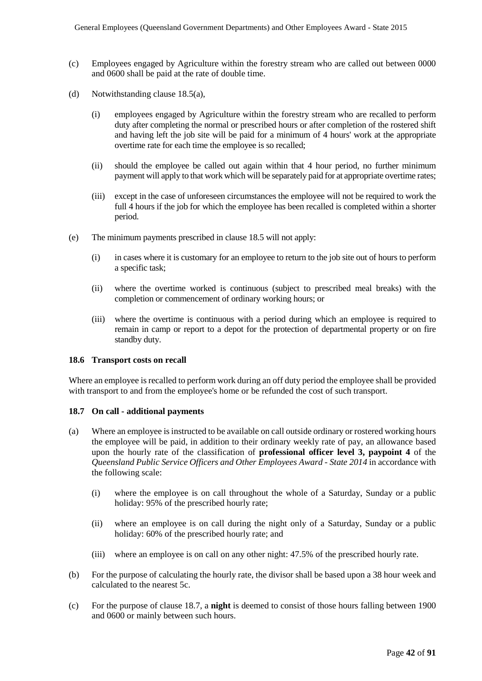- (c) Employees engaged by Agriculture within the forestry stream who are called out between 0000 and 0600 shall be paid at the rate of double time.
- (d) Notwithstanding clause 18.5(a),
	- (i) employees engaged by Agriculture within the forestry stream who are recalled to perform duty after completing the normal or prescribed hours or after completion of the rostered shift and having left the job site will be paid for a minimum of 4 hours' work at the appropriate overtime rate for each time the employee is so recalled;
	- (ii) should the employee be called out again within that 4 hour period, no further minimum payment will apply to that work which will be separately paid for at appropriate overtime rates;
	- (iii) except in the case of unforeseen circumstances the employee will not be required to work the full 4 hours if the job for which the employee has been recalled is completed within a shorter period.
- (e) The minimum payments prescribed in clause 18.5 will not apply:
	- (i) in cases where it is customary for an employee to return to the job site out of hours to perform a specific task;
	- (ii) where the overtime worked is continuous (subject to prescribed meal breaks) with the completion or commencement of ordinary working hours; or
	- (iii) where the overtime is continuous with a period during which an employee is required to remain in camp or report to a depot for the protection of departmental property or on fire standby duty.

#### **18.6 Transport costs on recall**

Where an employee is recalled to perform work during an off duty period the employee shall be provided with transport to and from the employee's home or be refunded the cost of such transport.

#### **18.7 On call - additional payments**

- (a) Where an employee is instructed to be available on call outside ordinary or rostered working hours the employee will be paid, in addition to their ordinary weekly rate of pay, an allowance based upon the hourly rate of the classification of **professional officer level 3, paypoint 4** of the *Queensland Public Service Officers and Other Employees Award - State 2014* in accordance with the following scale:
	- (i) where the employee is on call throughout the whole of a Saturday, Sunday or a public holiday: 95% of the prescribed hourly rate;
	- (ii) where an employee is on call during the night only of a Saturday, Sunday or a public holiday: 60% of the prescribed hourly rate; and
	- (iii) where an employee is on call on any other night: 47.5% of the prescribed hourly rate.
- (b) For the purpose of calculating the hourly rate, the divisor shall be based upon a 38 hour week and calculated to the nearest 5c.
- (c) For the purpose of clause 18.7, a **night** is deemed to consist of those hours falling between 1900 and 0600 or mainly between such hours.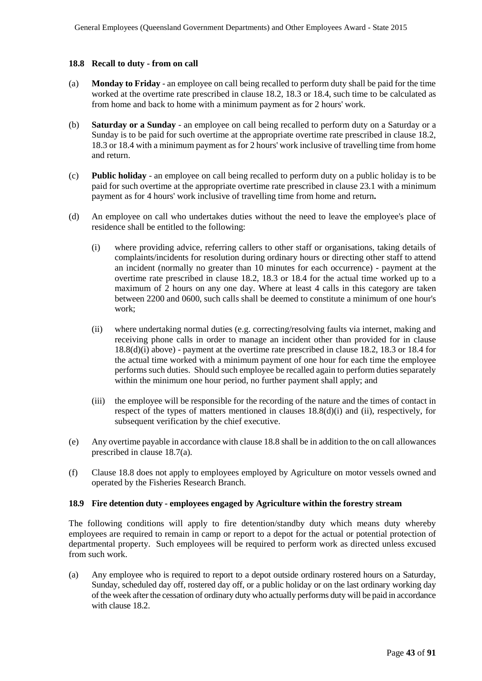#### **18.8 Recall to duty - from on call**

- (a) **Monday to Friday** an employee on call being recalled to perform duty shall be paid for the time worked at the overtime rate prescribed in clause 18.2, 18.3 or 18.4, such time to be calculated as from home and back to home with a minimum payment as for 2 hours' work.
- (b) **Saturday or a Sunday**  an employee on call being recalled to perform duty on a Saturday or a Sunday is to be paid for such overtime at the appropriate overtime rate prescribed in clause 18.2, 18.3 or 18.4 with a minimum payment as for 2 hours' work inclusive of travelling time from home and return.
- (c) **Public holiday** an employee on call being recalled to perform duty on a public holiday is to be paid for such overtime at the appropriate overtime rate prescribed in clause 23.1 with a minimum payment as for 4 hours' work inclusive of travelling time from home and return**.**
- (d) An employee on call who undertakes duties without the need to leave the employee's place of residence shall be entitled to the following:
	- (i) where providing advice, referring callers to other staff or organisations, taking details of complaints/incidents for resolution during ordinary hours or directing other staff to attend an incident (normally no greater than 10 minutes for each occurrence) - payment at the overtime rate prescribed in clause 18.2, 18.3 or 18.4 for the actual time worked up to a maximum of 2 hours on any one day. Where at least 4 calls in this category are taken between 2200 and 0600, such calls shall be deemed to constitute a minimum of one hour's work;
	- (ii) where undertaking normal duties (e.g. correcting/resolving faults via internet, making and receiving phone calls in order to manage an incident other than provided for in clause 18.8(d)(i) above) - payment at the overtime rate prescribed in clause 18.2, 18.3 or 18.4 for the actual time worked with a minimum payment of one hour for each time the employee performs such duties. Should such employee be recalled again to perform duties separately within the minimum one hour period, no further payment shall apply; and
	- (iii) the employee will be responsible for the recording of the nature and the times of contact in respect of the types of matters mentioned in clauses 18.8(d)(i) and (ii), respectively, for subsequent verification by the chief executive.
- (e) Any overtime payable in accordance with clause 18.8 shall be in addition to the on call allowances prescribed in clause 18.7(a).
- (f) Clause 18.8 does not apply to employees employed by Agriculture on motor vessels owned and operated by the Fisheries Research Branch.

#### **18.9 Fire detention duty - employees engaged by Agriculture within the forestry stream**

The following conditions will apply to fire detention/standby duty which means duty whereby employees are required to remain in camp or report to a depot for the actual or potential protection of departmental property. Such employees will be required to perform work as directed unless excused from such work.

(a) Any employee who is required to report to a depot outside ordinary rostered hours on a Saturday, Sunday, scheduled day off, rostered day off, or a public holiday or on the last ordinary working day of the week after the cessation of ordinary duty who actually performs duty will be paid in accordance with clause 18.2.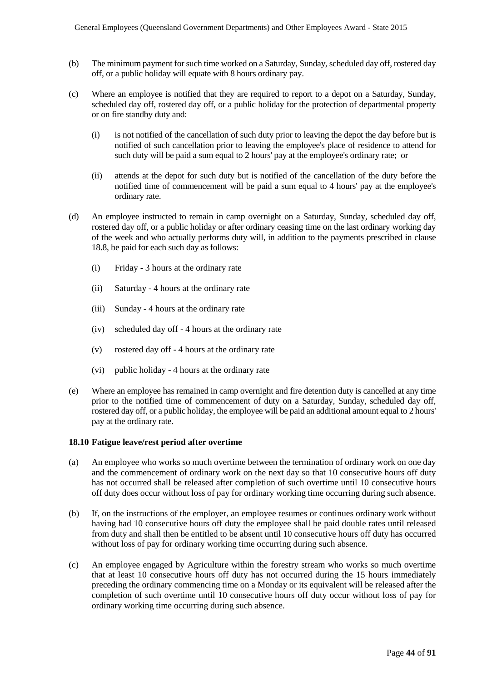- (b) The minimum payment for such time worked on a Saturday, Sunday, scheduled day off, rostered day off, or a public holiday will equate with 8 hours ordinary pay.
- (c) Where an employee is notified that they are required to report to a depot on a Saturday, Sunday, scheduled day off, rostered day off, or a public holiday for the protection of departmental property or on fire standby duty and:
	- (i) is not notified of the cancellation of such duty prior to leaving the depot the day before but is notified of such cancellation prior to leaving the employee's place of residence to attend for such duty will be paid a sum equal to 2 hours' pay at the employee's ordinary rate; or
	- (ii) attends at the depot for such duty but is notified of the cancellation of the duty before the notified time of commencement will be paid a sum equal to 4 hours' pay at the employee's ordinary rate.
- (d) An employee instructed to remain in camp overnight on a Saturday, Sunday, scheduled day off, rostered day off, or a public holiday or after ordinary ceasing time on the last ordinary working day of the week and who actually performs duty will, in addition to the payments prescribed in clause 18.8, be paid for each such day as follows:
	- (i) Friday 3 hours at the ordinary rate
	- (ii) Saturday 4 hours at the ordinary rate
	- (iii) Sunday 4 hours at the ordinary rate
	- (iv) scheduled day off 4 hours at the ordinary rate
	- (v) rostered day off 4 hours at the ordinary rate
	- (vi) public holiday 4 hours at the ordinary rate
- (e) Where an employee has remained in camp overnight and fire detention duty is cancelled at any time prior to the notified time of commencement of duty on a Saturday, Sunday, scheduled day off, rostered day off, or a public holiday, the employee will be paid an additional amount equal to 2 hours' pay at the ordinary rate.

#### **18.10 Fatigue leave/rest period after overtime**

- (a) An employee who works so much overtime between the termination of ordinary work on one day and the commencement of ordinary work on the next day so that 10 consecutive hours off duty has not occurred shall be released after completion of such overtime until 10 consecutive hours off duty does occur without loss of pay for ordinary working time occurring during such absence.
- (b) If, on the instructions of the employer, an employee resumes or continues ordinary work without having had 10 consecutive hours off duty the employee shall be paid double rates until released from duty and shall then be entitled to be absent until 10 consecutive hours off duty has occurred without loss of pay for ordinary working time occurring during such absence.
- (c) An employee engaged by Agriculture within the forestry stream who works so much overtime that at least 10 consecutive hours off duty has not occurred during the 15 hours immediately preceding the ordinary commencing time on a Monday or its equivalent will be released after the completion of such overtime until 10 consecutive hours off duty occur without loss of pay for ordinary working time occurring during such absence.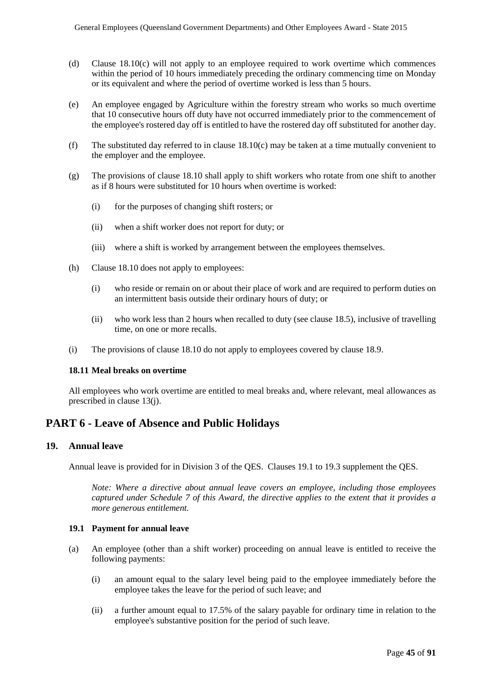- (d) Clause 18.10(c) will not apply to an employee required to work overtime which commences within the period of 10 hours immediately preceding the ordinary commencing time on Monday or its equivalent and where the period of overtime worked is less than 5 hours.
- (e) An employee engaged by Agriculture within the forestry stream who works so much overtime that 10 consecutive hours off duty have not occurred immediately prior to the commencement of the employee's rostered day off is entitled to have the rostered day off substituted for another day.
- (f) The substituted day referred to in clause 18.10(c) may be taken at a time mutually convenient to the employer and the employee.
- (g) The provisions of clause 18.10 shall apply to shift workers who rotate from one shift to another as if 8 hours were substituted for 10 hours when overtime is worked:
	- (i) for the purposes of changing shift rosters; or
	- (ii) when a shift worker does not report for duty; or
	- (iii) where a shift is worked by arrangement between the employees themselves.
- (h) Clause 18.10 does not apply to employees:
	- (i) who reside or remain on or about their place of work and are required to perform duties on an intermittent basis outside their ordinary hours of duty; or
	- (ii) who work less than 2 hours when recalled to duty (see clause 18.5), inclusive of travelling time, on one or more recalls.
- (i) The provisions of clause 18.10 do not apply to employees covered by clause 18.9.

#### **18.11 Meal breaks on overtime**

All employees who work overtime are entitled to meal breaks and, where relevant, meal allowances as prescribed in clause 13(j).

# **PART 6 - Leave of Absence and Public Holidays**

## **19. Annual leave**

Annual leave is provided for in Division 3 of the QES. Clauses 19.1 to 19.3 supplement the QES.

*Note: Where a directive about annual leave covers an employee, including those employees captured under Schedule 7 of this Award, the directive applies to the extent that it provides a more generous entitlement.*

## **19.1 Payment for annual leave**

- (a) An employee (other than a shift worker) proceeding on annual leave is entitled to receive the following payments:
	- (i) an amount equal to the salary level being paid to the employee immediately before the employee takes the leave for the period of such leave; and
	- (ii) a further amount equal to 17.5% of the salary payable for ordinary time in relation to the employee's substantive position for the period of such leave.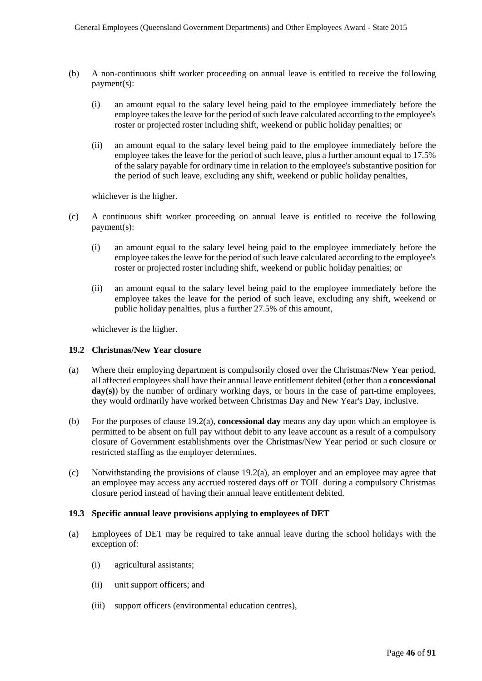- (b) A non-continuous shift worker proceeding on annual leave is entitled to receive the following payment(s):
	- (i) an amount equal to the salary level being paid to the employee immediately before the employee takes the leave for the period of such leave calculated according to the employee's roster or projected roster including shift, weekend or public holiday penalties; or
	- (ii) an amount equal to the salary level being paid to the employee immediately before the employee takes the leave for the period of such leave, plus a further amount equal to 17.5% of the salary payable for ordinary time in relation to the employee's substantive position for the period of such leave, excluding any shift, weekend or public holiday penalties,

whichever is the higher.

- (c) A continuous shift worker proceeding on annual leave is entitled to receive the following payment(s):
	- (i) an amount equal to the salary level being paid to the employee immediately before the employee takes the leave for the period of such leave calculated according to the employee's roster or projected roster including shift, weekend or public holiday penalties; or
	- (ii) an amount equal to the salary level being paid to the employee immediately before the employee takes the leave for the period of such leave, excluding any shift, weekend or public holiday penalties, plus a further 27.5% of this amount,

whichever is the higher.

#### **19.2 Christmas/New Year closure**

- (a) Where their employing department is compulsorily closed over the Christmas/New Year period, all affected employees shall have their annual leave entitlement debited (other than a **concessional**  day(s)) by the number of ordinary working days, or hours in the case of part-time employees, they would ordinarily have worked between Christmas Day and New Year's Day, inclusive.
- (b) For the purposes of clause 19.2(a), **concessional day** means any day upon which an employee is permitted to be absent on full pay without debit to any leave account as a result of a compulsory closure of Government establishments over the Christmas/New Year period or such closure or restricted staffing as the employer determines.
- (c) Notwithstanding the provisions of clause 19.2(a), an employer and an employee may agree that an employee may access any accrued rostered days off or TOIL during a compulsory Christmas closure period instead of having their annual leave entitlement debited.

#### **19.3 Specific annual leave provisions applying to employees of DET**

- (a) Employees of DET may be required to take annual leave during the school holidays with the exception of:
	- (i) agricultural assistants;
	- (ii) unit support officers; and
	- (iii) support officers (environmental education centres),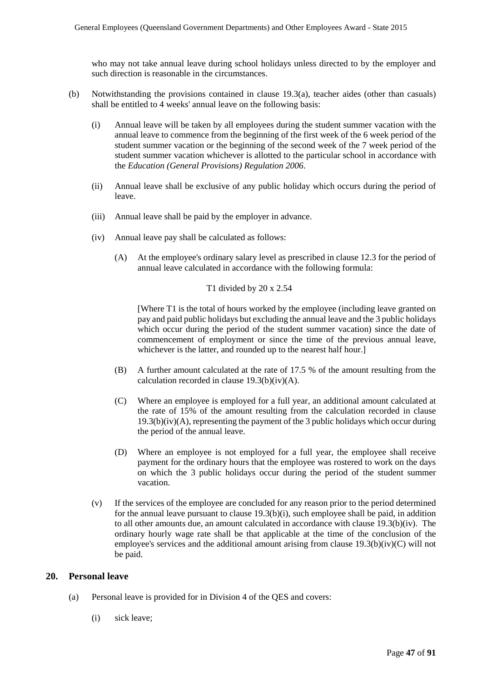who may not take annual leave during school holidays unless directed to by the employer and such direction is reasonable in the circumstances.

- (b) Notwithstanding the provisions contained in clause 19.3(a), teacher aides (other than casuals) shall be entitled to 4 weeks' annual leave on the following basis:
	- (i) Annual leave will be taken by all employees during the student summer vacation with the annual leave to commence from the beginning of the first week of the 6 week period of the student summer vacation or the beginning of the second week of the 7 week period of the student summer vacation whichever is allotted to the particular school in accordance with the *Education (General Provisions) Regulation 2006*.
	- (ii) Annual leave shall be exclusive of any public holiday which occurs during the period of leave.
	- (iii) Annual leave shall be paid by the employer in advance.
	- (iv) Annual leave pay shall be calculated as follows:
		- (A) At the employee's ordinary salary level as prescribed in clause 12.3 for the period of annual leave calculated in accordance with the following formula:

#### T1 divided by 20 x 2.54

[Where T1 is the total of hours worked by the employee (including leave granted on pay and paid public holidays but excluding the annual leave and the 3 public holidays which occur during the period of the student summer vacation) since the date of commencement of employment or since the time of the previous annual leave, whichever is the latter, and rounded up to the nearest half hour.]

- (B) A further amount calculated at the rate of 17.5 % of the amount resulting from the calculation recorded in clause 19.3(b)(iv)(A).
- (C) Where an employee is employed for a full year, an additional amount calculated at the rate of 15% of the amount resulting from the calculation recorded in clause  $19.3(b)(iv)(A)$ , representing the payment of the 3 public holidays which occur during the period of the annual leave.
- (D) Where an employee is not employed for a full year, the employee shall receive payment for the ordinary hours that the employee was rostered to work on the days on which the 3 public holidays occur during the period of the student summer vacation.
- (v) If the services of the employee are concluded for any reason prior to the period determined for the annual leave pursuant to clause  $19.3(b)(i)$ , such employee shall be paid, in addition to all other amounts due, an amount calculated in accordance with clause 19.3(b)(iv). The ordinary hourly wage rate shall be that applicable at the time of the conclusion of the employee's services and the additional amount arising from clause 19.3(b)(iv)(C) will not be paid.

#### **20. Personal leave**

- (a) Personal leave is provided for in Division 4 of the QES and covers:
	- (i) sick leave;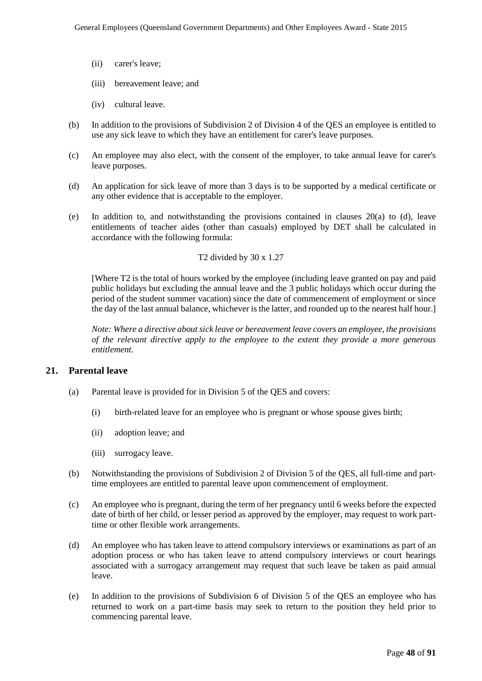- (ii) carer's leave;
- (iii) bereavement leave; and
- (iv) cultural leave.
- (b) In addition to the provisions of Subdivision 2 of Division 4 of the QES an employee is entitled to use any sick leave to which they have an entitlement for carer's leave purposes.
- (c) An employee may also elect, with the consent of the employer, to take annual leave for carer's leave purposes.
- (d) An application for sick leave of more than 3 days is to be supported by a medical certificate or any other evidence that is acceptable to the employer.
- (e) In addition to, and notwithstanding the provisions contained in clauses 20(a) to (d), leave entitlements of teacher aides (other than casuals) employed by DET shall be calculated in accordance with the following formula:

#### T2 divided by 30 x 1.27

[Where T2 is the total of hours worked by the employee (including leave granted on pay and paid public holidays but excluding the annual leave and the 3 public holidays which occur during the period of the student summer vacation) since the date of commencement of employment or since the day of the last annual balance, whichever is the latter, and rounded up to the nearest half hour.]

*Note: Where a directive about sick leave or bereavement leave covers an employee, the provisions of the relevant directive apply to the employee to the extent they provide a more generous entitlement.* 

#### **21. Parental leave**

- (a) Parental leave is provided for in Division 5 of the QES and covers:
	- (i) birth-related leave for an employee who is pregnant or whose spouse gives birth;
	- (ii) adoption leave; and
	- (iii) surrogacy leave.
- (b) Notwithstanding the provisions of Subdivision 2 of Division 5 of the QES, all full-time and parttime employees are entitled to parental leave upon commencement of employment.
- (c) An employee who is pregnant, during the term of her pregnancy until 6 weeks before the expected date of birth of her child, or lesser period as approved by the employer, may request to work parttime or other flexible work arrangements.
- (d) An employee who has taken leave to attend compulsory interviews or examinations as part of an adoption process or who has taken leave to attend compulsory interviews or court hearings associated with a surrogacy arrangement may request that such leave be taken as paid annual leave.
- (e) In addition to the provisions of Subdivision 6 of Division 5 of the QES an employee who has returned to work on a part-time basis may seek to return to the position they held prior to commencing parental leave.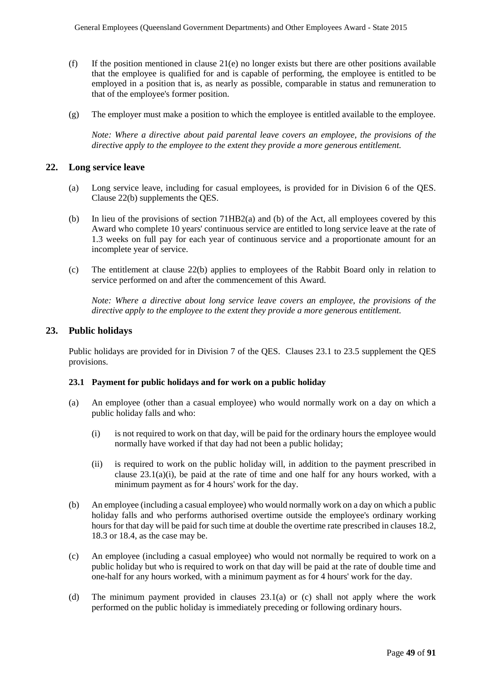- (f) If the position mentioned in clause  $21(e)$  no longer exists but there are other positions available that the employee is qualified for and is capable of performing, the employee is entitled to be employed in a position that is, as nearly as possible, comparable in status and remuneration to that of the employee's former position.
- (g) The employer must make a position to which the employee is entitled available to the employee.

*Note: Where a directive about paid parental leave covers an employee, the provisions of the directive apply to the employee to the extent they provide a more generous entitlement.*

#### **22. Long service leave**

- (a) Long service leave, including for casual employees, is provided for in Division 6 of the QES. Clause 22(b) supplements the QES.
- (b) In lieu of the provisions of section 71HB2(a) and (b) of the Act, all employees covered by this Award who complete 10 years' continuous service are entitled to long service leave at the rate of 1.3 weeks on full pay for each year of continuous service and a proportionate amount for an incomplete year of service.
- (c) The entitlement at clause 22(b) applies to employees of the Rabbit Board only in relation to service performed on and after the commencement of this Award.

*Note: Where a directive about long service leave covers an employee, the provisions of the directive apply to the employee to the extent they provide a more generous entitlement.* 

#### **23. Public holidays**

Public holidays are provided for in Division 7 of the QES. Clauses 23.1 to 23.5 supplement the QES provisions.

#### **23.1 Payment for public holidays and for work on a public holiday**

- (a) An employee (other than a casual employee) who would normally work on a day on which a public holiday falls and who:
	- (i) is not required to work on that day, will be paid for the ordinary hours the employee would normally have worked if that day had not been a public holiday;
	- (ii) is required to work on the public holiday will, in addition to the payment prescribed in clause 23.1(a)(i), be paid at the rate of time and one half for any hours worked, with a minimum payment as for 4 hours' work for the day.
- (b) An employee (including a casual employee) who would normally work on a day on which a public holiday falls and who performs authorised overtime outside the employee's ordinary working hours for that day will be paid for such time at double the overtime rate prescribed in clauses 18.2, 18.3 or 18.4, as the case may be.
- (c) An employee (including a casual employee) who would not normally be required to work on a public holiday but who is required to work on that day will be paid at the rate of double time and one-half for any hours worked, with a minimum payment as for 4 hours' work for the day.
- (d) The minimum payment provided in clauses 23.1(a) or (c) shall not apply where the work performed on the public holiday is immediately preceding or following ordinary hours.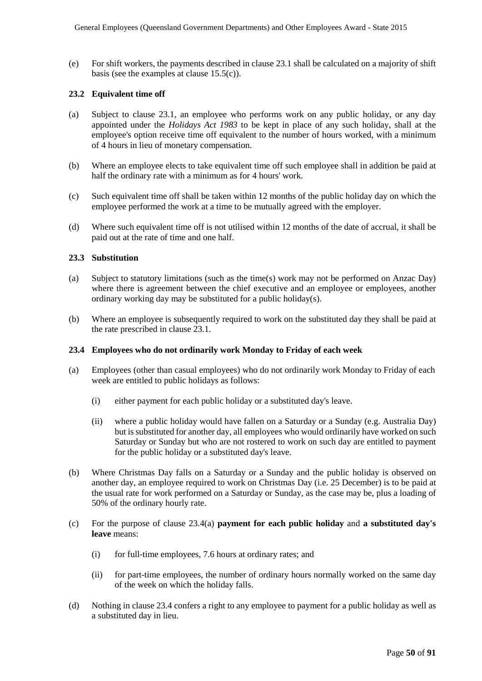(e) For shift workers, the payments described in clause 23.1 shall be calculated on a majority of shift basis (see the examples at clause 15.5(c)).

#### **23.2 Equivalent time off**

- (a) Subject to clause 23.1, an employee who performs work on any public holiday, or any day appointed under the *Holidays Act 1983* to be kept in place of any such holiday, shall at the employee's option receive time off equivalent to the number of hours worked, with a minimum of 4 hours in lieu of monetary compensation.
- (b) Where an employee elects to take equivalent time off such employee shall in addition be paid at half the ordinary rate with a minimum as for 4 hours' work.
- (c) Such equivalent time off shall be taken within 12 months of the public holiday day on which the employee performed the work at a time to be mutually agreed with the employer.
- (d) Where such equivalent time off is not utilised within 12 months of the date of accrual, it shall be paid out at the rate of time and one half.

#### **23.3 Substitution**

- (a) Subject to statutory limitations (such as the time(s) work may not be performed on Anzac Day) where there is agreement between the chief executive and an employee or employees, another ordinary working day may be substituted for a public holiday(s).
- (b) Where an employee is subsequently required to work on the substituted day they shall be paid at the rate prescribed in clause 23.1.

#### **23.4 Employees who do not ordinarily work Monday to Friday of each week**

- (a) Employees (other than casual employees) who do not ordinarily work Monday to Friday of each week are entitled to public holidays as follows:
	- (i) either payment for each public holiday or a substituted day's leave.
	- (ii) where a public holiday would have fallen on a Saturday or a Sunday (e.g. Australia Day) but is substituted for another day, all employees who would ordinarily have worked on such Saturday or Sunday but who are not rostered to work on such day are entitled to payment for the public holiday or a substituted day's leave.
- (b) Where Christmas Day falls on a Saturday or a Sunday and the public holiday is observed on another day, an employee required to work on Christmas Day (i.e. 25 December) is to be paid at the usual rate for work performed on a Saturday or Sunday, as the case may be, plus a loading of 50% of the ordinary hourly rate.
- (c) For the purpose of clause 23.4(a) **payment for each public holiday** and **a substituted day's leave** means:
	- (i) for full-time employees, 7.6 hours at ordinary rates; and
	- (ii) for part-time employees, the number of ordinary hours normally worked on the same day of the week on which the holiday falls.
- (d) Nothing in clause 23.4 confers a right to any employee to payment for a public holiday as well as a substituted day in lieu.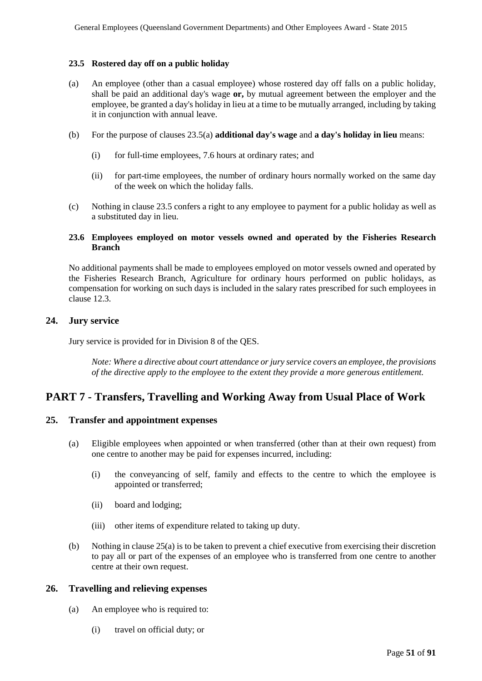#### **23.5 Rostered day off on a public holiday**

- (a) An employee (other than a casual employee) whose rostered day off falls on a public holiday, shall be paid an additional day's wage **or,** by mutual agreement between the employer and the employee, be granted a day's holiday in lieu at a time to be mutually arranged, including by taking it in conjunction with annual leave.
- (b) For the purpose of clauses 23.5(a) **additional day's wage** and **a day's holiday in lieu** means:
	- (i) for full-time employees, 7.6 hours at ordinary rates; and
	- (ii) for part-time employees, the number of ordinary hours normally worked on the same day of the week on which the holiday falls.
- (c) Nothing in clause 23.5 confers a right to any employee to payment for a public holiday as well as a substituted day in lieu.

#### **23.6 Employees employed on motor vessels owned and operated by the Fisheries Research Branch**

No additional payments shall be made to employees employed on motor vessels owned and operated by the Fisheries Research Branch, Agriculture for ordinary hours performed on public holidays, as compensation for working on such days is included in the salary rates prescribed for such employees in clause 12.3.

## **24. Jury service**

Jury service is provided for in Division 8 of the QES.

*Note: Where a directive about court attendance or jury service covers an employee, the provisions of the directive apply to the employee to the extent they provide a more generous entitlement.* 

# **PART 7 - Transfers, Travelling and Working Away from Usual Place of Work**

## **25. Transfer and appointment expenses**

- (a) Eligible employees when appointed or when transferred (other than at their own request) from one centre to another may be paid for expenses incurred, including:
	- (i) the conveyancing of self, family and effects to the centre to which the employee is appointed or transferred;
	- (ii) board and lodging;
	- (iii) other items of expenditure related to taking up duty.
- (b) Nothing in clause 25(a) is to be taken to prevent a chief executive from exercising their discretion to pay all or part of the expenses of an employee who is transferred from one centre to another centre at their own request.

#### **26. Travelling and relieving expenses**

- (a) An employee who is required to:
	- (i) travel on official duty; or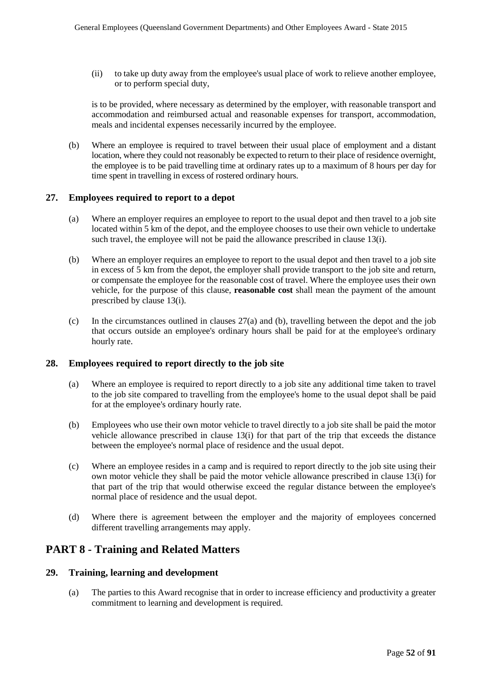(ii) to take up duty away from the employee's usual place of work to relieve another employee, or to perform special duty,

is to be provided, where necessary as determined by the employer, with reasonable transport and accommodation and reimbursed actual and reasonable expenses for transport, accommodation, meals and incidental expenses necessarily incurred by the employee.

(b) Where an employee is required to travel between their usual place of employment and a distant location, where they could not reasonably be expected to return to their place of residence overnight, the employee is to be paid travelling time at ordinary rates up to a maximum of 8 hours per day for time spent in travelling in excess of rostered ordinary hours.

## **27. Employees required to report to a depot**

- (a) Where an employer requires an employee to report to the usual depot and then travel to a job site located within 5 km of the depot, and the employee chooses to use their own vehicle to undertake such travel, the employee will not be paid the allowance prescribed in clause 13(i).
- (b) Where an employer requires an employee to report to the usual depot and then travel to a job site in excess of 5 km from the depot, the employer shall provide transport to the job site and return, or compensate the employee for the reasonable cost of travel. Where the employee uses their own vehicle, for the purpose of this clause, **reasonable cost** shall mean the payment of the amount prescribed by clause 13(i).
- (c) In the circumstances outlined in clauses 27(a) and (b), travelling between the depot and the job that occurs outside an employee's ordinary hours shall be paid for at the employee's ordinary hourly rate.

## **28. Employees required to report directly to the job site**

- (a) Where an employee is required to report directly to a job site any additional time taken to travel to the job site compared to travelling from the employee's home to the usual depot shall be paid for at the employee's ordinary hourly rate.
- (b) Employees who use their own motor vehicle to travel directly to a job site shall be paid the motor vehicle allowance prescribed in clause 13(i) for that part of the trip that exceeds the distance between the employee's normal place of residence and the usual depot.
- (c) Where an employee resides in a camp and is required to report directly to the job site using their own motor vehicle they shall be paid the motor vehicle allowance prescribed in clause 13(i) for that part of the trip that would otherwise exceed the regular distance between the employee's normal place of residence and the usual depot.
- (d) Where there is agreement between the employer and the majority of employees concerned different travelling arrangements may apply.

# **PART 8 - Training and Related Matters**

## **29. Training, learning and development**

(a) The parties to this Award recognise that in order to increase efficiency and productivity a greater commitment to learning and development is required.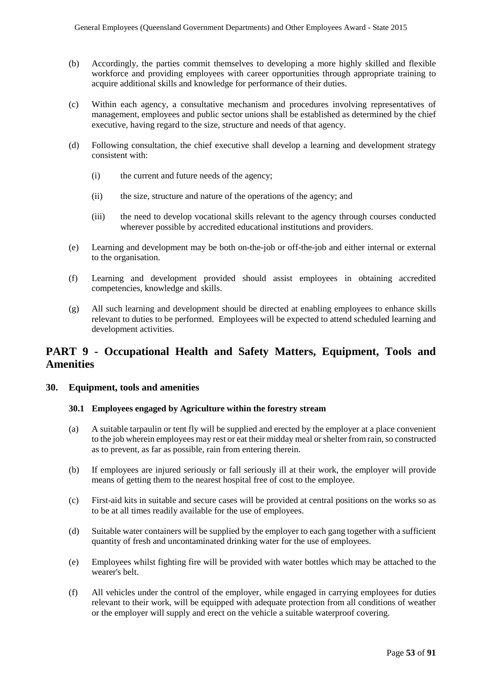- (b) Accordingly, the parties commit themselves to developing a more highly skilled and flexible workforce and providing employees with career opportunities through appropriate training to acquire additional skills and knowledge for performance of their duties.
- (c) Within each agency, a consultative mechanism and procedures involving representatives of management, employees and public sector unions shall be established as determined by the chief executive, having regard to the size, structure and needs of that agency.
- (d) Following consultation, the chief executive shall develop a learning and development strategy consistent with:
	- (i) the current and future needs of the agency;
	- (ii) the size, structure and nature of the operations of the agency; and
	- (iii) the need to develop vocational skills relevant to the agency through courses conducted wherever possible by accredited educational institutions and providers.
- (e) Learning and development may be both on-the-job or off-the-job and either internal or external to the organisation.
- (f) Learning and development provided should assist employees in obtaining accredited competencies, knowledge and skills.
- (g) All such learning and development should be directed at enabling employees to enhance skills relevant to duties to be performed. Employees will be expected to attend scheduled learning and development activities.

# **PART 9 - Occupational Health and Safety Matters, Equipment, Tools and Amenities**

## **30. Equipment, tools and amenities**

#### **30.1 Employees engaged by Agriculture within the forestry stream**

- (a) A suitable tarpaulin or tent fly will be supplied and erected by the employer at a place convenient to the job wherein employees may rest or eat their midday meal or shelter from rain, so constructed as to prevent, as far as possible, rain from entering therein.
- (b) If employees are injured seriously or fall seriously ill at their work, the employer will provide means of getting them to the nearest hospital free of cost to the employee.
- (c) First-aid kits in suitable and secure cases will be provided at central positions on the works so as to be at all times readily available for the use of employees.
- (d) Suitable water containers will be supplied by the employer to each gang together with a sufficient quantity of fresh and uncontaminated drinking water for the use of employees.
- (e) Employees whilst fighting fire will be provided with water bottles which may be attached to the wearer's belt.
- (f) All vehicles under the control of the employer, while engaged in carrying employees for duties relevant to their work, will be equipped with adequate protection from all conditions of weather or the employer will supply and erect on the vehicle a suitable waterproof covering.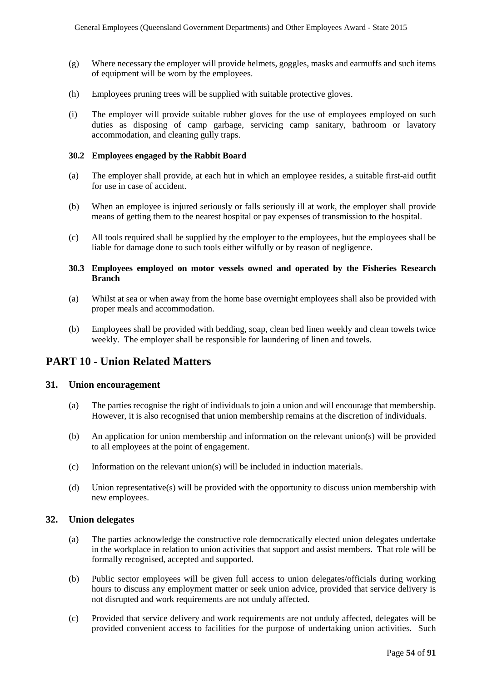- (g) Where necessary the employer will provide helmets, goggles, masks and earmuffs and such items of equipment will be worn by the employees.
- (h) Employees pruning trees will be supplied with suitable protective gloves.
- (i) The employer will provide suitable rubber gloves for the use of employees employed on such duties as disposing of camp garbage, servicing camp sanitary, bathroom or lavatory accommodation, and cleaning gully traps.

#### **30.2 Employees engaged by the Rabbit Board**

- (a) The employer shall provide, at each hut in which an employee resides, a suitable first-aid outfit for use in case of accident.
- (b) When an employee is injured seriously or falls seriously ill at work, the employer shall provide means of getting them to the nearest hospital or pay expenses of transmission to the hospital.
- (c) All tools required shall be supplied by the employer to the employees, but the employees shall be liable for damage done to such tools either wilfully or by reason of negligence.

#### **30.3 Employees employed on motor vessels owned and operated by the Fisheries Research Branch**

- (a) Whilst at sea or when away from the home base overnight employees shall also be provided with proper meals and accommodation.
- (b) Employees shall be provided with bedding, soap, clean bed linen weekly and clean towels twice weekly. The employer shall be responsible for laundering of linen and towels.

## **PART 10 - Union Related Matters**

#### **31. Union encouragement**

- (a) The parties recognise the right of individuals to join a union and will encourage that membership. However, it is also recognised that union membership remains at the discretion of individuals.
- (b) An application for union membership and information on the relevant union(s) will be provided to all employees at the point of engagement.
- (c) Information on the relevant union(s) will be included in induction materials.
- (d) Union representative(s) will be provided with the opportunity to discuss union membership with new employees.

#### **32. Union delegates**

- (a) The parties acknowledge the constructive role democratically elected union delegates undertake in the workplace in relation to union activities that support and assist members. That role will be formally recognised, accepted and supported.
- (b) Public sector employees will be given full access to union delegates/officials during working hours to discuss any employment matter or seek union advice, provided that service delivery is not disrupted and work requirements are not unduly affected.
- (c) Provided that service delivery and work requirements are not unduly affected, delegates will be provided convenient access to facilities for the purpose of undertaking union activities. Such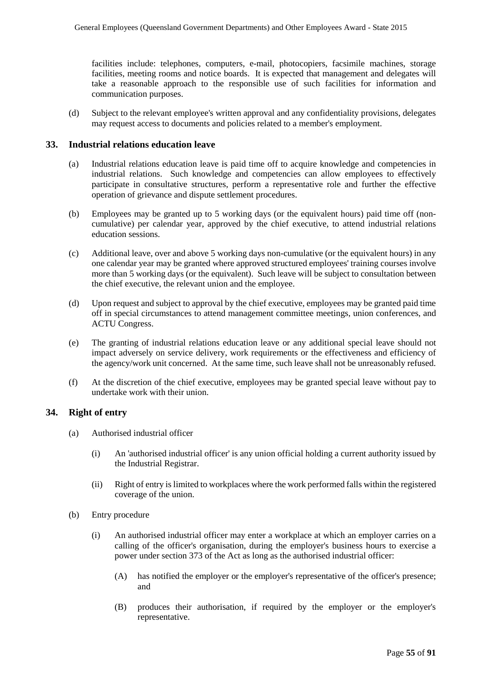facilities include: telephones, computers, e-mail, photocopiers, facsimile machines, storage facilities, meeting rooms and notice boards. It is expected that management and delegates will take a reasonable approach to the responsible use of such facilities for information and communication purposes.

(d) Subject to the relevant employee's written approval and any confidentiality provisions, delegates may request access to documents and policies related to a member's employment.

#### **33. Industrial relations education leave**

- (a) Industrial relations education leave is paid time off to acquire knowledge and competencies in industrial relations. Such knowledge and competencies can allow employees to effectively participate in consultative structures, perform a representative role and further the effective operation of grievance and dispute settlement procedures.
- (b) Employees may be granted up to 5 working days (or the equivalent hours) paid time off (noncumulative) per calendar year, approved by the chief executive, to attend industrial relations education sessions.
- (c) Additional leave, over and above 5 working days non-cumulative (or the equivalent hours) in any one calendar year may be granted where approved structured employees' training courses involve more than 5 working days (or the equivalent). Such leave will be subject to consultation between the chief executive, the relevant union and the employee.
- (d) Upon request and subject to approval by the chief executive, employees may be granted paid time off in special circumstances to attend management committee meetings, union conferences, and ACTU Congress.
- (e) The granting of industrial relations education leave or any additional special leave should not impact adversely on service delivery, work requirements or the effectiveness and efficiency of the agency/work unit concerned. At the same time, such leave shall not be unreasonably refused.
- (f) At the discretion of the chief executive, employees may be granted special leave without pay to undertake work with their union.

#### **34. Right of entry**

- (a) Authorised industrial officer
	- (i) An 'authorised industrial officer' is any union official holding a current authority issued by the Industrial Registrar.
	- (ii) Right of entry is limited to workplaces where the work performed falls within the registered coverage of the union.
- (b) Entry procedure
	- (i) An authorised industrial officer may enter a workplace at which an employer carries on a calling of the officer's organisation, during the employer's business hours to exercise a power under section 373 of the Act as long as the authorised industrial officer:
		- (A) has notified the employer or the employer's representative of the officer's presence; and
		- (B) produces their authorisation, if required by the employer or the employer's representative.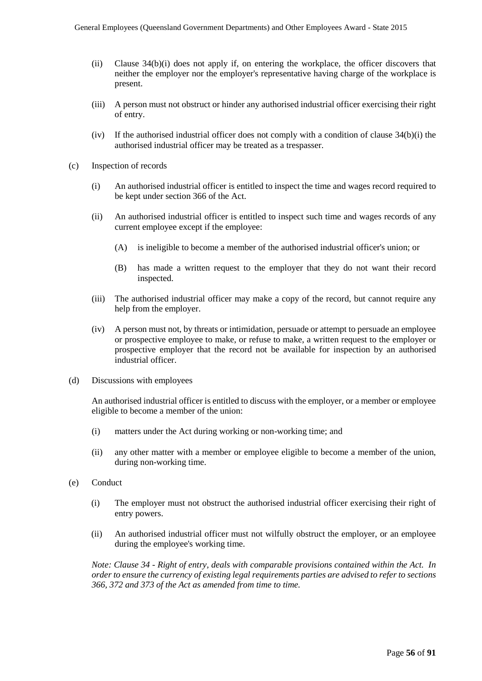- (ii) Clause 34(b)(i) does not apply if, on entering the workplace, the officer discovers that neither the employer nor the employer's representative having charge of the workplace is present.
- (iii) A person must not obstruct or hinder any authorised industrial officer exercising their right of entry.
- (iv) If the authorised industrial officer does not comply with a condition of clause  $34(b)(i)$  the authorised industrial officer may be treated as a trespasser.
- (c) Inspection of records
	- (i) An authorised industrial officer is entitled to inspect the time and wages record required to be kept under section 366 of the Act.
	- (ii) An authorised industrial officer is entitled to inspect such time and wages records of any current employee except if the employee:
		- (A) is ineligible to become a member of the authorised industrial officer's union; or
		- (B) has made a written request to the employer that they do not want their record inspected.
	- (iii) The authorised industrial officer may make a copy of the record, but cannot require any help from the employer.
	- (iv) A person must not, by threats or intimidation, persuade or attempt to persuade an employee or prospective employee to make, or refuse to make, a written request to the employer or prospective employer that the record not be available for inspection by an authorised industrial officer.
- (d) Discussions with employees

An authorised industrial officer is entitled to discuss with the employer, or a member or employee eligible to become a member of the union:

- (i) matters under the Act during working or non-working time; and
- (ii) any other matter with a member or employee eligible to become a member of the union, during non-working time.
- (e) Conduct
	- (i) The employer must not obstruct the authorised industrial officer exercising their right of entry powers.
	- (ii) An authorised industrial officer must not wilfully obstruct the employer, or an employee during the employee's working time.

*Note: Clause 34 - Right of entry, deals with comparable provisions contained within the Act. In order to ensure the currency of existing legal requirements parties are advised to refer to sections 366, 372 and 373 of the Act as amended from time to time.*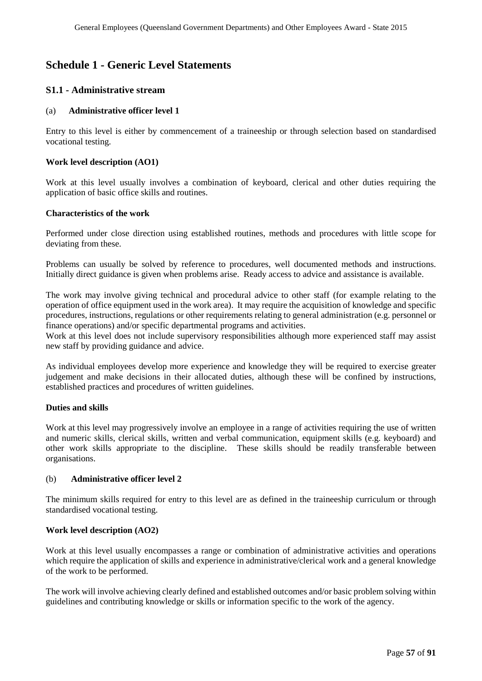# **Schedule 1 - Generic Level Statements**

## **S1.1 - Administrative stream**

#### (a) **Administrative officer level 1**

Entry to this level is either by commencement of a traineeship or through selection based on standardised vocational testing.

#### **Work level description (AO1)**

Work at this level usually involves a combination of keyboard, clerical and other duties requiring the application of basic office skills and routines.

#### **Characteristics of the work**

Performed under close direction using established routines, methods and procedures with little scope for deviating from these.

Problems can usually be solved by reference to procedures, well documented methods and instructions. Initially direct guidance is given when problems arise. Ready access to advice and assistance is available.

The work may involve giving technical and procedural advice to other staff (for example relating to the operation of office equipment used in the work area). It may require the acquisition of knowledge and specific procedures, instructions, regulations or other requirements relating to general administration (e.g. personnel or finance operations) and/or specific departmental programs and activities.

Work at this level does not include supervisory responsibilities although more experienced staff may assist new staff by providing guidance and advice.

As individual employees develop more experience and knowledge they will be required to exercise greater judgement and make decisions in their allocated duties, although these will be confined by instructions, established practices and procedures of written guidelines.

#### **Duties and skills**

Work at this level may progressively involve an employee in a range of activities requiring the use of written and numeric skills, clerical skills, written and verbal communication, equipment skills (e.g. keyboard) and other work skills appropriate to the discipline. These skills should be readily transferable between organisations.

#### (b) **Administrative officer level 2**

The minimum skills required for entry to this level are as defined in the traineeship curriculum or through standardised vocational testing.

#### **Work level description (AO2)**

Work at this level usually encompasses a range or combination of administrative activities and operations which require the application of skills and experience in administrative/clerical work and a general knowledge of the work to be performed.

The work will involve achieving clearly defined and established outcomes and/or basic problem solving within guidelines and contributing knowledge or skills or information specific to the work of the agency.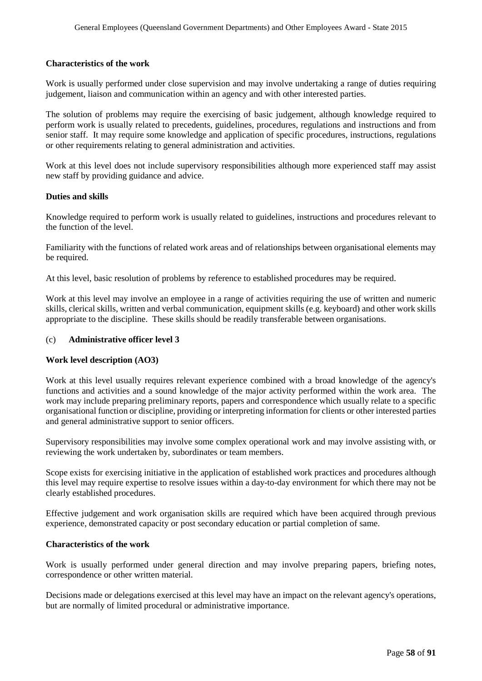#### **Characteristics of the work**

Work is usually performed under close supervision and may involve undertaking a range of duties requiring judgement, liaison and communication within an agency and with other interested parties.

The solution of problems may require the exercising of basic judgement, although knowledge required to perform work is usually related to precedents, guidelines, procedures, regulations and instructions and from senior staff. It may require some knowledge and application of specific procedures, instructions, regulations or other requirements relating to general administration and activities.

Work at this level does not include supervisory responsibilities although more experienced staff may assist new staff by providing guidance and advice.

#### **Duties and skills**

Knowledge required to perform work is usually related to guidelines, instructions and procedures relevant to the function of the level.

Familiarity with the functions of related work areas and of relationships between organisational elements may be required.

At this level, basic resolution of problems by reference to established procedures may be required.

Work at this level may involve an employee in a range of activities requiring the use of written and numeric skills, clerical skills, written and verbal communication, equipment skills (e.g. keyboard) and other work skills appropriate to the discipline. These skills should be readily transferable between organisations.

#### (c) **Administrative officer level 3**

#### **Work level description (AO3)**

Work at this level usually requires relevant experience combined with a broad knowledge of the agency's functions and activities and a sound knowledge of the major activity performed within the work area. The work may include preparing preliminary reports, papers and correspondence which usually relate to a specific organisational function or discipline, providing or interpreting information for clients or other interested parties and general administrative support to senior officers.

Supervisory responsibilities may involve some complex operational work and may involve assisting with, or reviewing the work undertaken by, subordinates or team members.

Scope exists for exercising initiative in the application of established work practices and procedures although this level may require expertise to resolve issues within a day-to-day environment for which there may not be clearly established procedures.

Effective judgement and work organisation skills are required which have been acquired through previous experience, demonstrated capacity or post secondary education or partial completion of same.

#### **Characteristics of the work**

Work is usually performed under general direction and may involve preparing papers, briefing notes, correspondence or other written material.

Decisions made or delegations exercised at this level may have an impact on the relevant agency's operations, but are normally of limited procedural or administrative importance.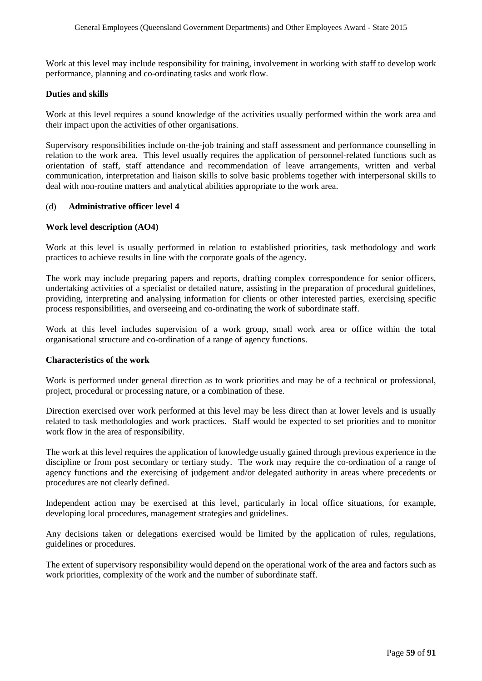Work at this level may include responsibility for training, involvement in working with staff to develop work performance, planning and co-ordinating tasks and work flow.

#### **Duties and skills**

Work at this level requires a sound knowledge of the activities usually performed within the work area and their impact upon the activities of other organisations.

Supervisory responsibilities include on-the-job training and staff assessment and performance counselling in relation to the work area. This level usually requires the application of personnel-related functions such as orientation of staff, staff attendance and recommendation of leave arrangements, written and verbal communication, interpretation and liaison skills to solve basic problems together with interpersonal skills to deal with non-routine matters and analytical abilities appropriate to the work area.

#### (d) **Administrative officer level 4**

#### **Work level description (AO4)**

Work at this level is usually performed in relation to established priorities, task methodology and work practices to achieve results in line with the corporate goals of the agency.

The work may include preparing papers and reports, drafting complex correspondence for senior officers, undertaking activities of a specialist or detailed nature, assisting in the preparation of procedural guidelines, providing, interpreting and analysing information for clients or other interested parties, exercising specific process responsibilities, and overseeing and co-ordinating the work of subordinate staff.

Work at this level includes supervision of a work group, small work area or office within the total organisational structure and co-ordination of a range of agency functions.

#### **Characteristics of the work**

Work is performed under general direction as to work priorities and may be of a technical or professional, project, procedural or processing nature, or a combination of these.

Direction exercised over work performed at this level may be less direct than at lower levels and is usually related to task methodologies and work practices. Staff would be expected to set priorities and to monitor work flow in the area of responsibility.

The work at this level requires the application of knowledge usually gained through previous experience in the discipline or from post secondary or tertiary study. The work may require the co-ordination of a range of agency functions and the exercising of judgement and/or delegated authority in areas where precedents or procedures are not clearly defined.

Independent action may be exercised at this level, particularly in local office situations, for example, developing local procedures, management strategies and guidelines.

Any decisions taken or delegations exercised would be limited by the application of rules, regulations, guidelines or procedures.

The extent of supervisory responsibility would depend on the operational work of the area and factors such as work priorities, complexity of the work and the number of subordinate staff.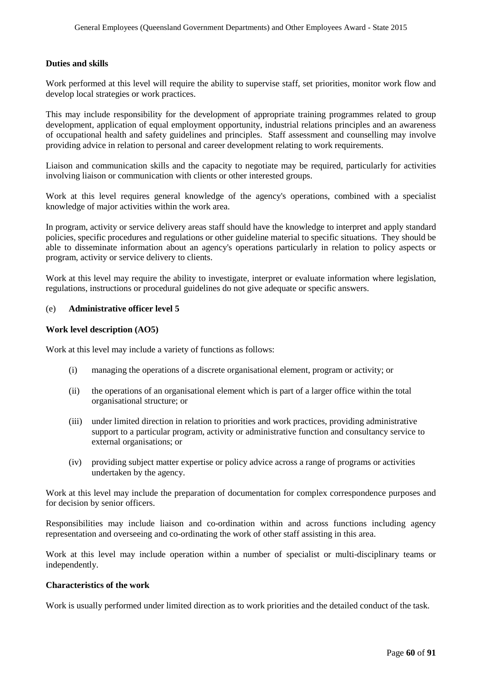#### **Duties and skills**

Work performed at this level will require the ability to supervise staff, set priorities, monitor work flow and develop local strategies or work practices.

This may include responsibility for the development of appropriate training programmes related to group development, application of equal employment opportunity, industrial relations principles and an awareness of occupational health and safety guidelines and principles. Staff assessment and counselling may involve providing advice in relation to personal and career development relating to work requirements.

Liaison and communication skills and the capacity to negotiate may be required, particularly for activities involving liaison or communication with clients or other interested groups.

Work at this level requires general knowledge of the agency's operations, combined with a specialist knowledge of major activities within the work area.

In program, activity or service delivery areas staff should have the knowledge to interpret and apply standard policies, specific procedures and regulations or other guideline material to specific situations. They should be able to disseminate information about an agency's operations particularly in relation to policy aspects or program, activity or service delivery to clients.

Work at this level may require the ability to investigate, interpret or evaluate information where legislation, regulations, instructions or procedural guidelines do not give adequate or specific answers.

#### (e) **Administrative officer level 5**

#### **Work level description (AO5)**

Work at this level may include a variety of functions as follows:

- (i) managing the operations of a discrete organisational element, program or activity; or
- (ii) the operations of an organisational element which is part of a larger office within the total organisational structure; or
- (iii) under limited direction in relation to priorities and work practices, providing administrative support to a particular program, activity or administrative function and consultancy service to external organisations; or
- (iv) providing subject matter expertise or policy advice across a range of programs or activities undertaken by the agency.

Work at this level may include the preparation of documentation for complex correspondence purposes and for decision by senior officers.

Responsibilities may include liaison and co-ordination within and across functions including agency representation and overseeing and co-ordinating the work of other staff assisting in this area.

Work at this level may include operation within a number of specialist or multi-disciplinary teams or independently.

#### **Characteristics of the work**

Work is usually performed under limited direction as to work priorities and the detailed conduct of the task.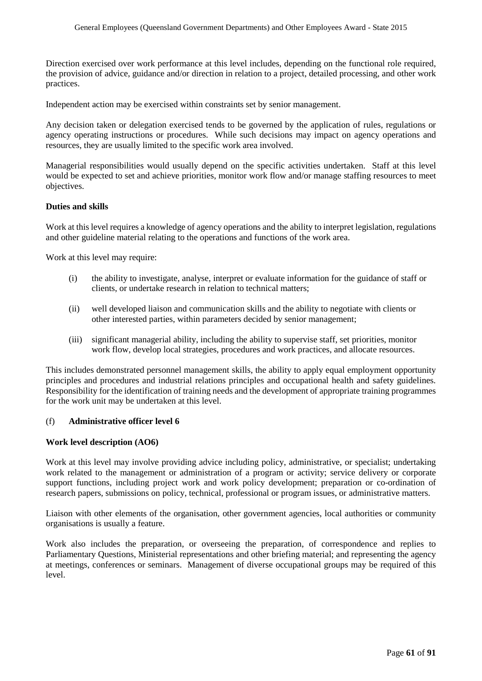Direction exercised over work performance at this level includes, depending on the functional role required, the provision of advice, guidance and/or direction in relation to a project, detailed processing, and other work practices.

Independent action may be exercised within constraints set by senior management.

Any decision taken or delegation exercised tends to be governed by the application of rules, regulations or agency operating instructions or procedures. While such decisions may impact on agency operations and resources, they are usually limited to the specific work area involved.

Managerial responsibilities would usually depend on the specific activities undertaken. Staff at this level would be expected to set and achieve priorities, monitor work flow and/or manage staffing resources to meet objectives.

#### **Duties and skills**

Work at this level requires a knowledge of agency operations and the ability to interpret legislation, regulations and other guideline material relating to the operations and functions of the work area.

Work at this level may require:

- (i) the ability to investigate, analyse, interpret or evaluate information for the guidance of staff or clients, or undertake research in relation to technical matters;
- (ii) well developed liaison and communication skills and the ability to negotiate with clients or other interested parties, within parameters decided by senior management;
- (iii) significant managerial ability, including the ability to supervise staff, set priorities, monitor work flow, develop local strategies, procedures and work practices, and allocate resources.

This includes demonstrated personnel management skills, the ability to apply equal employment opportunity principles and procedures and industrial relations principles and occupational health and safety guidelines. Responsibility for the identification of training needs and the development of appropriate training programmes for the work unit may be undertaken at this level.

#### (f) **Administrative officer level 6**

#### **Work level description (AO6)**

Work at this level may involve providing advice including policy, administrative, or specialist; undertaking work related to the management or administration of a program or activity; service delivery or corporate support functions, including project work and work policy development; preparation or co-ordination of research papers, submissions on policy, technical, professional or program issues, or administrative matters.

Liaison with other elements of the organisation, other government agencies, local authorities or community organisations is usually a feature.

Work also includes the preparation, or overseeing the preparation, of correspondence and replies to Parliamentary Questions, Ministerial representations and other briefing material; and representing the agency at meetings, conferences or seminars. Management of diverse occupational groups may be required of this level.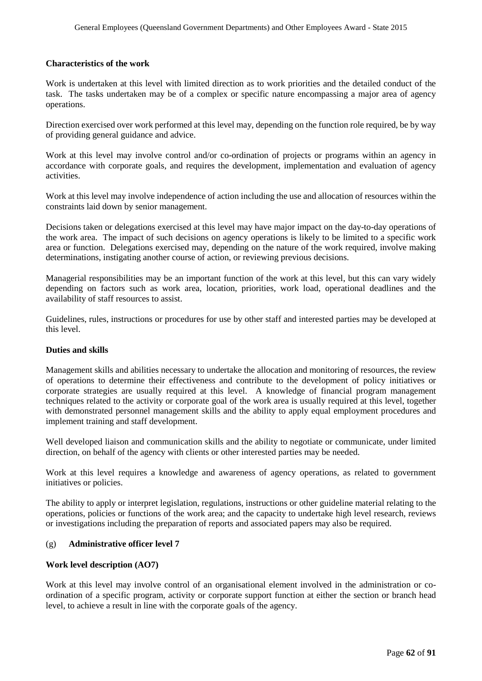#### **Characteristics of the work**

Work is undertaken at this level with limited direction as to work priorities and the detailed conduct of the task. The tasks undertaken may be of a complex or specific nature encompassing a major area of agency operations.

Direction exercised over work performed at this level may, depending on the function role required, be by way of providing general guidance and advice.

Work at this level may involve control and/or co-ordination of projects or programs within an agency in accordance with corporate goals, and requires the development, implementation and evaluation of agency activities.

Work at this level may involve independence of action including the use and allocation of resources within the constraints laid down by senior management.

Decisions taken or delegations exercised at this level may have major impact on the day-to-day operations of the work area. The impact of such decisions on agency operations is likely to be limited to a specific work area or function. Delegations exercised may, depending on the nature of the work required, involve making determinations, instigating another course of action, or reviewing previous decisions.

Managerial responsibilities may be an important function of the work at this level, but this can vary widely depending on factors such as work area, location, priorities, work load, operational deadlines and the availability of staff resources to assist.

Guidelines, rules, instructions or procedures for use by other staff and interested parties may be developed at this level.

#### **Duties and skills**

Management skills and abilities necessary to undertake the allocation and monitoring of resources, the review of operations to determine their effectiveness and contribute to the development of policy initiatives or corporate strategies are usually required at this level. A knowledge of financial program management techniques related to the activity or corporate goal of the work area is usually required at this level, together with demonstrated personnel management skills and the ability to apply equal employment procedures and implement training and staff development.

Well developed liaison and communication skills and the ability to negotiate or communicate, under limited direction, on behalf of the agency with clients or other interested parties may be needed.

Work at this level requires a knowledge and awareness of agency operations, as related to government initiatives or policies.

The ability to apply or interpret legislation, regulations, instructions or other guideline material relating to the operations, policies or functions of the work area; and the capacity to undertake high level research, reviews or investigations including the preparation of reports and associated papers may also be required.

#### (g) **Administrative officer level 7**

#### **Work level description (AO7)**

Work at this level may involve control of an organisational element involved in the administration or coordination of a specific program, activity or corporate support function at either the section or branch head level, to achieve a result in line with the corporate goals of the agency.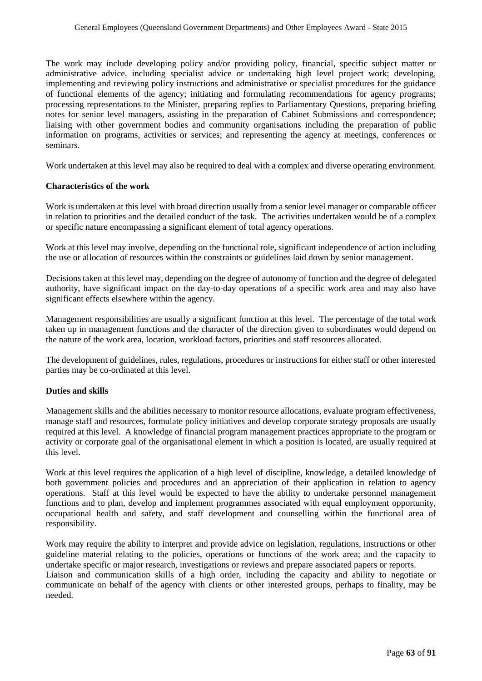The work may include developing policy and/or providing policy, financial, specific subject matter or administrative advice, including specialist advice or undertaking high level project work; developing, implementing and reviewing policy instructions and administrative or specialist procedures for the guidance of functional elements of the agency; initiating and formulating recommendations for agency programs; processing representations to the Minister, preparing replies to Parliamentary Questions, preparing briefing notes for senior level managers, assisting in the preparation of Cabinet Submissions and correspondence; liaising with other government bodies and community organisations including the preparation of public information on programs, activities or services; and representing the agency at meetings, conferences or seminars.

Work undertaken at this level may also be required to deal with a complex and diverse operating environment.

#### **Characteristics of the work**

Work is undertaken at this level with broad direction usually from a senior level manager or comparable officer in relation to priorities and the detailed conduct of the task. The activities undertaken would be of a complex or specific nature encompassing a significant element of total agency operations.

Work at this level may involve, depending on the functional role, significant independence of action including the use or allocation of resources within the constraints or guidelines laid down by senior management.

Decisions taken at this level may, depending on the degree of autonomy of function and the degree of delegated authority, have significant impact on the day-to-day operations of a specific work area and may also have significant effects elsewhere within the agency.

Management responsibilities are usually a significant function at this level. The percentage of the total work taken up in management functions and the character of the direction given to subordinates would depend on the nature of the work area, location, workload factors, priorities and staff resources allocated.

The development of guidelines, rules, regulations, procedures or instructions for either staff or other interested parties may be co-ordinated at this level.

#### **Duties and skills**

Management skills and the abilities necessary to monitor resource allocations, evaluate program effectiveness, manage staff and resources, formulate policy initiatives and develop corporate strategy proposals are usually required at this level. A knowledge of financial program management practices appropriate to the program or activity or corporate goal of the organisational element in which a position is located, are usually required at this level.

Work at this level requires the application of a high level of discipline, knowledge, a detailed knowledge of both government policies and procedures and an appreciation of their application in relation to agency operations. Staff at this level would be expected to have the ability to undertake personnel management functions and to plan, develop and implement programmes associated with equal employment opportunity, occupational health and safety, and staff development and counselling within the functional area of responsibility.

Work may require the ability to interpret and provide advice on legislation, regulations, instructions or other guideline material relating to the policies, operations or functions of the work area; and the capacity to undertake specific or major research, investigations or reviews and prepare associated papers or reports.

Liaison and communication skills of a high order, including the capacity and ability to negotiate or communicate on behalf of the agency with clients or other interested groups, perhaps to finality, may be needed.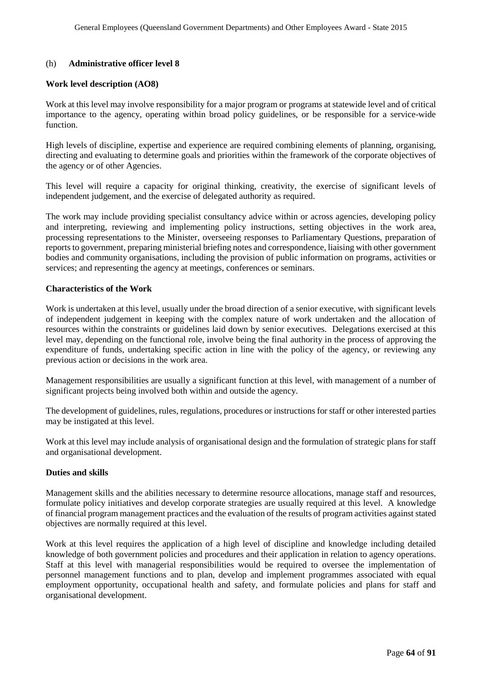#### (h) **Administrative officer level 8**

#### **Work level description (AO8)**

Work at this level may involve responsibility for a major program or programs at statewide level and of critical importance to the agency, operating within broad policy guidelines, or be responsible for a service-wide function.

High levels of discipline, expertise and experience are required combining elements of planning, organising, directing and evaluating to determine goals and priorities within the framework of the corporate objectives of the agency or of other Agencies.

This level will require a capacity for original thinking, creativity, the exercise of significant levels of independent judgement, and the exercise of delegated authority as required.

The work may include providing specialist consultancy advice within or across agencies, developing policy and interpreting, reviewing and implementing policy instructions, setting objectives in the work area, processing representations to the Minister, overseeing responses to Parliamentary Questions, preparation of reports to government, preparing ministerial briefing notes and correspondence, liaising with other government bodies and community organisations, including the provision of public information on programs, activities or services; and representing the agency at meetings, conferences or seminars.

#### **Characteristics of the Work**

Work is undertaken at this level, usually under the broad direction of a senior executive, with significant levels of independent judgement in keeping with the complex nature of work undertaken and the allocation of resources within the constraints or guidelines laid down by senior executives. Delegations exercised at this level may, depending on the functional role, involve being the final authority in the process of approving the expenditure of funds, undertaking specific action in line with the policy of the agency, or reviewing any previous action or decisions in the work area.

Management responsibilities are usually a significant function at this level, with management of a number of significant projects being involved both within and outside the agency.

The development of guidelines, rules, regulations, procedures or instructions for staff or other interested parties may be instigated at this level.

Work at this level may include analysis of organisational design and the formulation of strategic plans for staff and organisational development.

#### **Duties and skills**

Management skills and the abilities necessary to determine resource allocations, manage staff and resources, formulate policy initiatives and develop corporate strategies are usually required at this level. A knowledge of financial program management practices and the evaluation of the results of program activities against stated objectives are normally required at this level.

Work at this level requires the application of a high level of discipline and knowledge including detailed knowledge of both government policies and procedures and their application in relation to agency operations. Staff at this level with managerial responsibilities would be required to oversee the implementation of personnel management functions and to plan, develop and implement programmes associated with equal employment opportunity, occupational health and safety, and formulate policies and plans for staff and organisational development.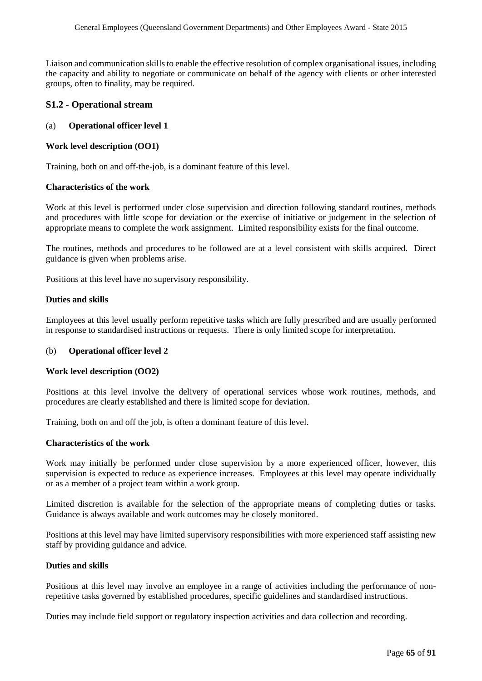Liaison and communication skills to enable the effective resolution of complex organisational issues, including the capacity and ability to negotiate or communicate on behalf of the agency with clients or other interested groups, often to finality, may be required.

## **S1.2 - Operational stream**

## (a) **Operational officer level 1**

#### **Work level description (OO1)**

Training, both on and off-the-job, is a dominant feature of this level.

#### **Characteristics of the work**

Work at this level is performed under close supervision and direction following standard routines, methods and procedures with little scope for deviation or the exercise of initiative or judgement in the selection of appropriate means to complete the work assignment. Limited responsibility exists for the final outcome.

The routines, methods and procedures to be followed are at a level consistent with skills acquired. Direct guidance is given when problems arise.

Positions at this level have no supervisory responsibility.

#### **Duties and skills**

Employees at this level usually perform repetitive tasks which are fully prescribed and are usually performed in response to standardised instructions or requests. There is only limited scope for interpretation.

#### (b) **Operational officer level 2**

#### **Work level description (OO2)**

Positions at this level involve the delivery of operational services whose work routines, methods, and procedures are clearly established and there is limited scope for deviation.

Training, both on and off the job, is often a dominant feature of this level.

#### **Characteristics of the work**

Work may initially be performed under close supervision by a more experienced officer, however, this supervision is expected to reduce as experience increases. Employees at this level may operate individually or as a member of a project team within a work group.

Limited discretion is available for the selection of the appropriate means of completing duties or tasks. Guidance is always available and work outcomes may be closely monitored.

Positions at this level may have limited supervisory responsibilities with more experienced staff assisting new staff by providing guidance and advice.

#### **Duties and skills**

Positions at this level may involve an employee in a range of activities including the performance of nonrepetitive tasks governed by established procedures, specific guidelines and standardised instructions.

Duties may include field support or regulatory inspection activities and data collection and recording.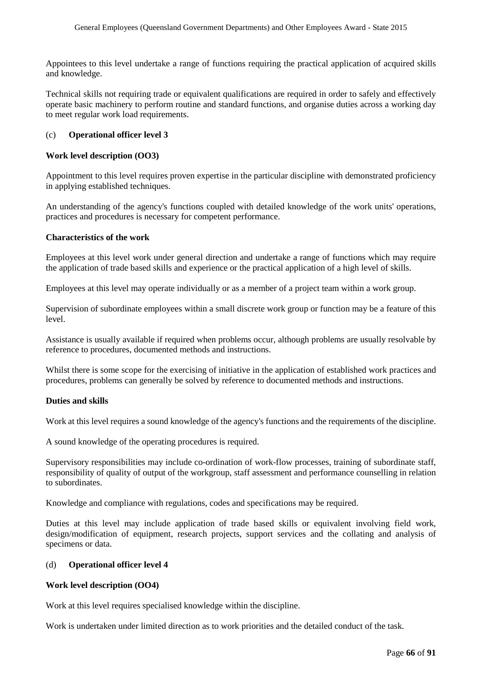Appointees to this level undertake a range of functions requiring the practical application of acquired skills and knowledge.

Technical skills not requiring trade or equivalent qualifications are required in order to safely and effectively operate basic machinery to perform routine and standard functions, and organise duties across a working day to meet regular work load requirements.

#### (c) **Operational officer level 3**

#### **Work level description (OO3)**

Appointment to this level requires proven expertise in the particular discipline with demonstrated proficiency in applying established techniques.

An understanding of the agency's functions coupled with detailed knowledge of the work units' operations, practices and procedures is necessary for competent performance.

#### **Characteristics of the work**

Employees at this level work under general direction and undertake a range of functions which may require the application of trade based skills and experience or the practical application of a high level of skills.

Employees at this level may operate individually or as a member of a project team within a work group.

Supervision of subordinate employees within a small discrete work group or function may be a feature of this level.

Assistance is usually available if required when problems occur, although problems are usually resolvable by reference to procedures, documented methods and instructions.

Whilst there is some scope for the exercising of initiative in the application of established work practices and procedures, problems can generally be solved by reference to documented methods and instructions.

#### **Duties and skills**

Work at this level requires a sound knowledge of the agency's functions and the requirements of the discipline.

A sound knowledge of the operating procedures is required.

Supervisory responsibilities may include co-ordination of work-flow processes, training of subordinate staff, responsibility of quality of output of the workgroup, staff assessment and performance counselling in relation to subordinates.

Knowledge and compliance with regulations, codes and specifications may be required.

Duties at this level may include application of trade based skills or equivalent involving field work, design/modification of equipment, research projects, support services and the collating and analysis of specimens or data.

#### (d) **Operational officer level 4**

#### **Work level description (OO4)**

Work at this level requires specialised knowledge within the discipline.

Work is undertaken under limited direction as to work priorities and the detailed conduct of the task.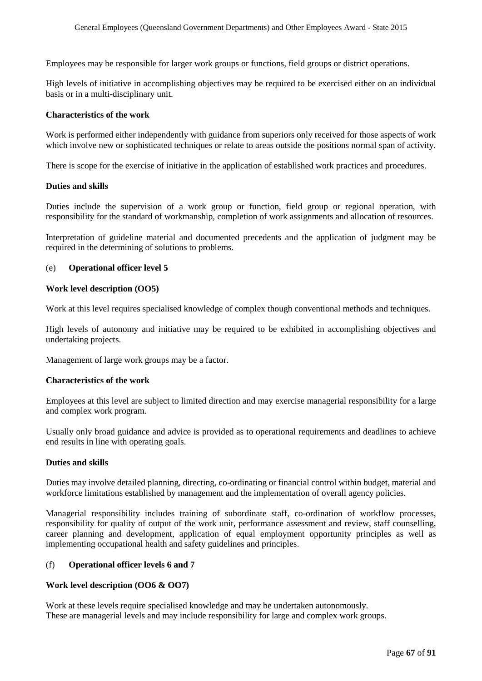Employees may be responsible for larger work groups or functions, field groups or district operations.

High levels of initiative in accomplishing objectives may be required to be exercised either on an individual basis or in a multi-disciplinary unit.

#### **Characteristics of the work**

Work is performed either independently with guidance from superiors only received for those aspects of work which involve new or sophisticated techniques or relate to areas outside the positions normal span of activity.

There is scope for the exercise of initiative in the application of established work practices and procedures.

#### **Duties and skills**

Duties include the supervision of a work group or function, field group or regional operation, with responsibility for the standard of workmanship, completion of work assignments and allocation of resources.

Interpretation of guideline material and documented precedents and the application of judgment may be required in the determining of solutions to problems.

#### (e) **Operational officer level 5**

#### **Work level description (OO5)**

Work at this level requires specialised knowledge of complex though conventional methods and techniques.

High levels of autonomy and initiative may be required to be exhibited in accomplishing objectives and undertaking projects.

Management of large work groups may be a factor.

#### **Characteristics of the work**

Employees at this level are subject to limited direction and may exercise managerial responsibility for a large and complex work program.

Usually only broad guidance and advice is provided as to operational requirements and deadlines to achieve end results in line with operating goals.

#### **Duties and skills**

Duties may involve detailed planning, directing, co-ordinating or financial control within budget, material and workforce limitations established by management and the implementation of overall agency policies.

Managerial responsibility includes training of subordinate staff, co-ordination of workflow processes, responsibility for quality of output of the work unit, performance assessment and review, staff counselling, career planning and development, application of equal employment opportunity principles as well as implementing occupational health and safety guidelines and principles.

#### (f) **Operational officer levels 6 and 7**

#### **Work level description (OO6 & OO7)**

Work at these levels require specialised knowledge and may be undertaken autonomously. These are managerial levels and may include responsibility for large and complex work groups.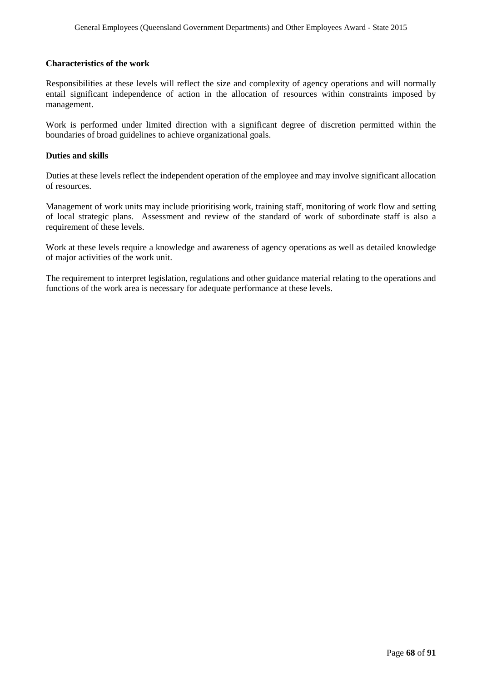#### **Characteristics of the work**

Responsibilities at these levels will reflect the size and complexity of agency operations and will normally entail significant independence of action in the allocation of resources within constraints imposed by management.

Work is performed under limited direction with a significant degree of discretion permitted within the boundaries of broad guidelines to achieve organizational goals.

#### **Duties and skills**

Duties at these levels reflect the independent operation of the employee and may involve significant allocation of resources.

Management of work units may include prioritising work, training staff, monitoring of work flow and setting of local strategic plans. Assessment and review of the standard of work of subordinate staff is also a requirement of these levels.

Work at these levels require a knowledge and awareness of agency operations as well as detailed knowledge of major activities of the work unit.

The requirement to interpret legislation, regulations and other guidance material relating to the operations and functions of the work area is necessary for adequate performance at these levels.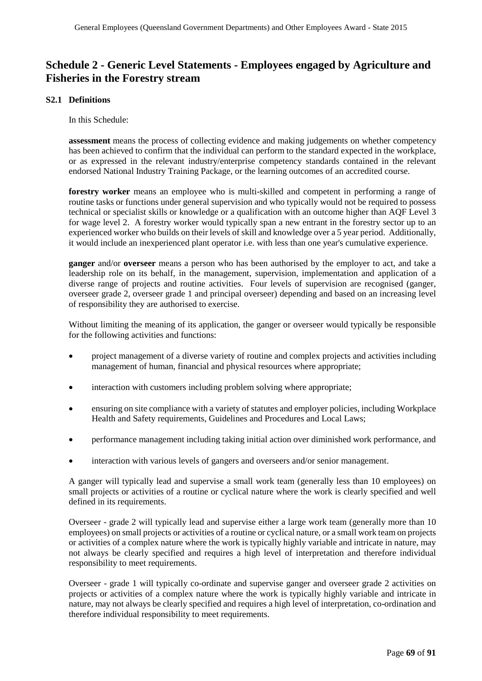# **Schedule 2 - Generic Level Statements - Employees engaged by Agriculture and Fisheries in the Forestry stream**

#### **S2.1 Definitions**

In this Schedule:

**assessment** means the process of collecting evidence and making judgements on whether competency has been achieved to confirm that the individual can perform to the standard expected in the workplace, or as expressed in the relevant industry/enterprise competency standards contained in the relevant endorsed National Industry Training Package, or the learning outcomes of an accredited course.

**forestry worker** means an employee who is multi-skilled and competent in performing a range of routine tasks or functions under general supervision and who typically would not be required to possess technical or specialist skills or knowledge or a qualification with an outcome higher than AQF Level 3 for wage level 2. A forestry worker would typically span a new entrant in the forestry sector up to an experienced worker who builds on their levels of skill and knowledge over a 5 year period. Additionally, it would include an inexperienced plant operator i.e. with less than one year's cumulative experience.

**ganger** and/or **overseer** means a person who has been authorised by the employer to act, and take a leadership role on its behalf, in the management, supervision, implementation and application of a diverse range of projects and routine activities. Four levels of supervision are recognised (ganger, overseer grade 2, overseer grade 1 and principal overseer) depending and based on an increasing level of responsibility they are authorised to exercise.

Without limiting the meaning of its application, the ganger or overseer would typically be responsible for the following activities and functions:

- project management of a diverse variety of routine and complex projects and activities including management of human, financial and physical resources where appropriate;
- interaction with customers including problem solving where appropriate;
- ensuring on site compliance with a variety of statutes and employer policies, including Workplace Health and Safety requirements, Guidelines and Procedures and Local Laws;
- performance management including taking initial action over diminished work performance, and
- interaction with various levels of gangers and overseers and/or senior management.

A ganger will typically lead and supervise a small work team (generally less than 10 employees) on small projects or activities of a routine or cyclical nature where the work is clearly specified and well defined in its requirements.

Overseer - grade 2 will typically lead and supervise either a large work team (generally more than 10 employees) on small projects or activities of a routine or cyclical nature, or a small work team on projects or activities of a complex nature where the work is typically highly variable and intricate in nature, may not always be clearly specified and requires a high level of interpretation and therefore individual responsibility to meet requirements.

Overseer - grade 1 will typically co-ordinate and supervise ganger and overseer grade 2 activities on projects or activities of a complex nature where the work is typically highly variable and intricate in nature, may not always be clearly specified and requires a high level of interpretation, co-ordination and therefore individual responsibility to meet requirements.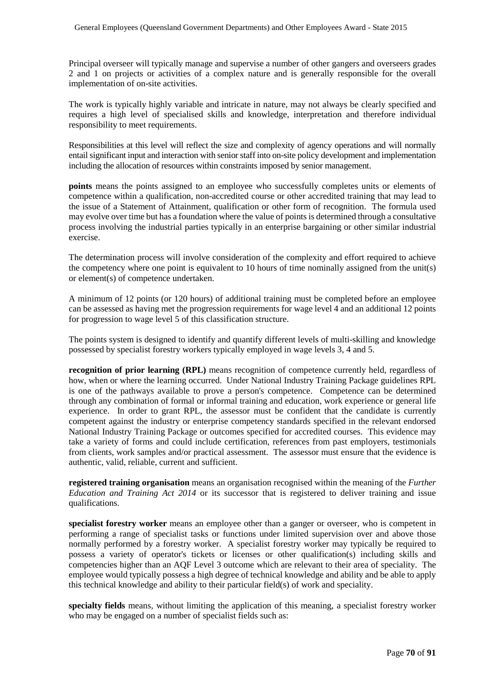Principal overseer will typically manage and supervise a number of other gangers and overseers grades 2 and 1 on projects or activities of a complex nature and is generally responsible for the overall implementation of on-site activities.

The work is typically highly variable and intricate in nature, may not always be clearly specified and requires a high level of specialised skills and knowledge, interpretation and therefore individual responsibility to meet requirements.

Responsibilities at this level will reflect the size and complexity of agency operations and will normally entail significant input and interaction with senior staff into on-site policy development and implementation including the allocation of resources within constraints imposed by senior management.

**points** means the points assigned to an employee who successfully completes units or elements of competence within a qualification, non-accredited course or other accredited training that may lead to the issue of a Statement of Attainment, qualification or other form of recognition. The formula used may evolve over time but has a foundation where the value of points is determined through a consultative process involving the industrial parties typically in an enterprise bargaining or other similar industrial exercise.

The determination process will involve consideration of the complexity and effort required to achieve the competency where one point is equivalent to 10 hours of time nominally assigned from the unit(s) or element(s) of competence undertaken.

A minimum of 12 points (or 120 hours) of additional training must be completed before an employee can be assessed as having met the progression requirements for wage level 4 and an additional 12 points for progression to wage level 5 of this classification structure.

The points system is designed to identify and quantify different levels of multi-skilling and knowledge possessed by specialist forestry workers typically employed in wage levels 3, 4 and 5.

**recognition of prior learning (RPL)** means recognition of competence currently held, regardless of how, when or where the learning occurred. Under National Industry Training Package guidelines RPL is one of the pathways available to prove a person's competence. Competence can be determined through any combination of formal or informal training and education, work experience or general life experience. In order to grant RPL, the assessor must be confident that the candidate is currently competent against the industry or enterprise competency standards specified in the relevant endorsed National Industry Training Package or outcomes specified for accredited courses. This evidence may take a variety of forms and could include certification, references from past employers, testimonials from clients, work samples and/or practical assessment. The assessor must ensure that the evidence is authentic, valid, reliable, current and sufficient.

**registered training organisation** means an organisation recognised within the meaning of the *Further Education and Training Act 2014* or its successor that is registered to deliver training and issue qualifications.

**specialist forestry worker** means an employee other than a ganger or overseer, who is competent in performing a range of specialist tasks or functions under limited supervision over and above those normally performed by a forestry worker. A specialist forestry worker may typically be required to possess a variety of operator's tickets or licenses or other qualification(s) including skills and competencies higher than an AQF Level 3 outcome which are relevant to their area of speciality. The employee would typically possess a high degree of technical knowledge and ability and be able to apply this technical knowledge and ability to their particular field(s) of work and speciality.

**specialty fields** means, without limiting the application of this meaning, a specialist forestry worker who may be engaged on a number of specialist fields such as: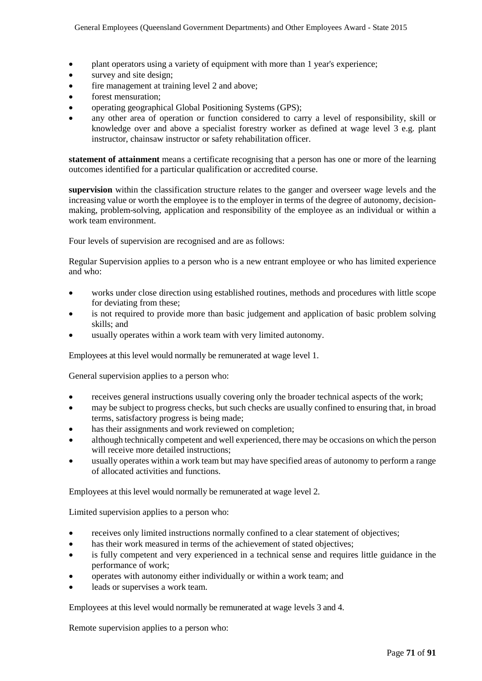- plant operators using a variety of equipment with more than 1 year's experience;
- survey and site design;
- fire management at training level 2 and above;
- forest mensuration:
- operating geographical Global Positioning Systems (GPS);
- any other area of operation or function considered to carry a level of responsibility, skill or knowledge over and above a specialist forestry worker as defined at wage level 3 e.g. plant instructor, chainsaw instructor or safety rehabilitation officer.

**statement of attainment** means a certificate recognising that a person has one or more of the learning outcomes identified for a particular qualification or accredited course.

**supervision** within the classification structure relates to the ganger and overseer wage levels and the increasing value or worth the employee is to the employer in terms of the degree of autonomy, decisionmaking, problem-solving, application and responsibility of the employee as an individual or within a work team environment.

Four levels of supervision are recognised and are as follows:

Regular Supervision applies to a person who is a new entrant employee or who has limited experience and who:

- works under close direction using established routines, methods and procedures with little scope for deviating from these;
- is not required to provide more than basic judgement and application of basic problem solving skills; and
- usually operates within a work team with very limited autonomy.

Employees at this level would normally be remunerated at wage level 1.

General supervision applies to a person who:

- receives general instructions usually covering only the broader technical aspects of the work;
- may be subject to progress checks, but such checks are usually confined to ensuring that, in broad terms, satisfactory progress is being made;
- has their assignments and work reviewed on completion;
- although technically competent and well experienced, there may be occasions on which the person will receive more detailed instructions;
- usually operates within a work team but may have specified areas of autonomy to perform a range of allocated activities and functions.

Employees at this level would normally be remunerated at wage level 2.

Limited supervision applies to a person who:

- receives only limited instructions normally confined to a clear statement of objectives;
- has their work measured in terms of the achievement of stated objectives;
- is fully competent and very experienced in a technical sense and requires little guidance in the performance of work;
- operates with autonomy either individually or within a work team; and
- leads or supervises a work team.

Employees at this level would normally be remunerated at wage levels 3 and 4.

Remote supervision applies to a person who: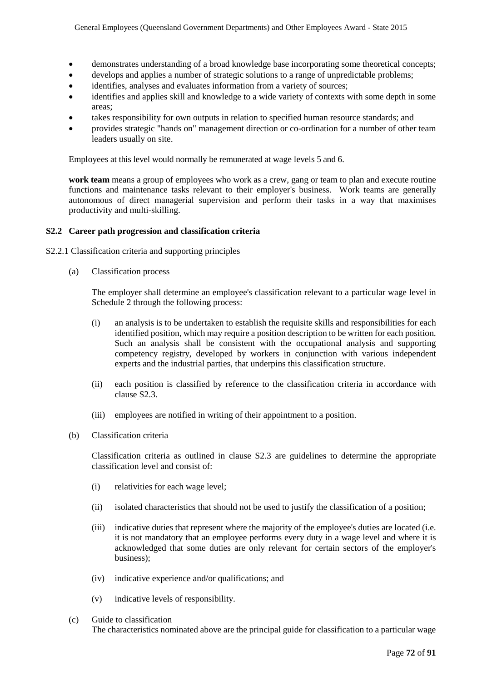- demonstrates understanding of a broad knowledge base incorporating some theoretical concepts;
- develops and applies a number of strategic solutions to a range of unpredictable problems;
- identifies, analyses and evaluates information from a variety of sources;
- identifies and applies skill and knowledge to a wide variety of contexts with some depth in some areas;
- takes responsibility for own outputs in relation to specified human resource standards; and
- provides strategic "hands on" management direction or co-ordination for a number of other team leaders usually on site.

Employees at this level would normally be remunerated at wage levels 5 and 6.

**work team** means a group of employees who work as a crew, gang or team to plan and execute routine functions and maintenance tasks relevant to their employer's business. Work teams are generally autonomous of direct managerial supervision and perform their tasks in a way that maximises productivity and multi-skilling.

#### **S2.2 Career path progression and classification criteria**

S2.2.1 Classification criteria and supporting principles

(a) Classification process

The employer shall determine an employee's classification relevant to a particular wage level in Schedule 2 through the following process:

- (i) an analysis is to be undertaken to establish the requisite skills and responsibilities for each identified position, which may require a position description to be written for each position. Such an analysis shall be consistent with the occupational analysis and supporting competency registry, developed by workers in conjunction with various independent experts and the industrial parties, that underpins this classification structure.
- (ii) each position is classified by reference to the classification criteria in accordance with clause S2.3.
- (iii) employees are notified in writing of their appointment to a position.
- (b) Classification criteria

Classification criteria as outlined in clause S2.3 are guidelines to determine the appropriate classification level and consist of:

- (i) relativities for each wage level;
- (ii) isolated characteristics that should not be used to justify the classification of a position;
- (iii) indicative duties that represent where the majority of the employee's duties are located (i.e. it is not mandatory that an employee performs every duty in a wage level and where it is acknowledged that some duties are only relevant for certain sectors of the employer's business);
- (iv) indicative experience and/or qualifications; and
- (v) indicative levels of responsibility.
- (c) Guide to classification The characteristics nominated above are the principal guide for classification to a particular wage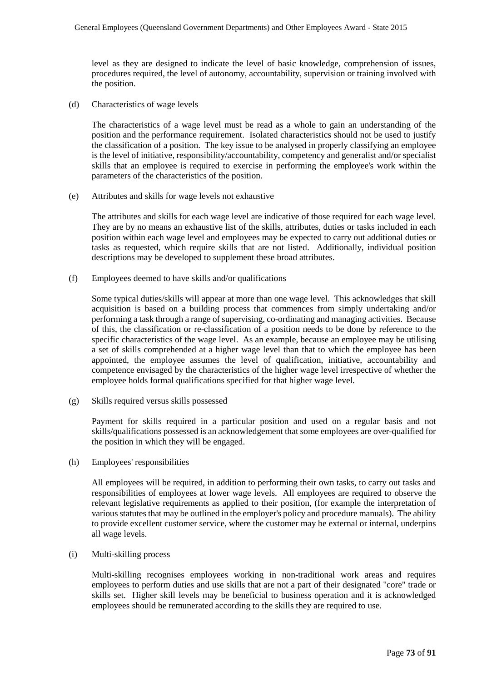level as they are designed to indicate the level of basic knowledge, comprehension of issues, procedures required, the level of autonomy, accountability, supervision or training involved with the position.

(d) Characteristics of wage levels

The characteristics of a wage level must be read as a whole to gain an understanding of the position and the performance requirement. Isolated characteristics should not be used to justify the classification of a position. The key issue to be analysed in properly classifying an employee is the level of initiative, responsibility/accountability, competency and generalist and/or specialist skills that an employee is required to exercise in performing the employee's work within the parameters of the characteristics of the position.

(e) Attributes and skills for wage levels not exhaustive

The attributes and skills for each wage level are indicative of those required for each wage level. They are by no means an exhaustive list of the skills, attributes, duties or tasks included in each position within each wage level and employees may be expected to carry out additional duties or tasks as requested, which require skills that are not listed. Additionally, individual position descriptions may be developed to supplement these broad attributes.

(f) Employees deemed to have skills and/or qualifications

Some typical duties/skills will appear at more than one wage level. This acknowledges that skill acquisition is based on a building process that commences from simply undertaking and/or performing a task through a range of supervising, co-ordinating and managing activities. Because of this, the classification or re-classification of a position needs to be done by reference to the specific characteristics of the wage level. As an example, because an employee may be utilising a set of skills comprehended at a higher wage level than that to which the employee has been appointed, the employee assumes the level of qualification, initiative, accountability and competence envisaged by the characteristics of the higher wage level irrespective of whether the employee holds formal qualifications specified for that higher wage level.

(g) Skills required versus skills possessed

Payment for skills required in a particular position and used on a regular basis and not skills/qualifications possessed is an acknowledgement that some employees are over-qualified for the position in which they will be engaged.

(h) Employees' responsibilities

All employees will be required, in addition to performing their own tasks, to carry out tasks and responsibilities of employees at lower wage levels. All employees are required to observe the relevant legislative requirements as applied to their position, (for example the interpretation of various statutes that may be outlined in the employer's policy and procedure manuals). The ability to provide excellent customer service, where the customer may be external or internal, underpins all wage levels.

(i) Multi-skilling process

Multi-skilling recognises employees working in non-traditional work areas and requires employees to perform duties and use skills that are not a part of their designated "core" trade or skills set. Higher skill levels may be beneficial to business operation and it is acknowledged employees should be remunerated according to the skills they are required to use.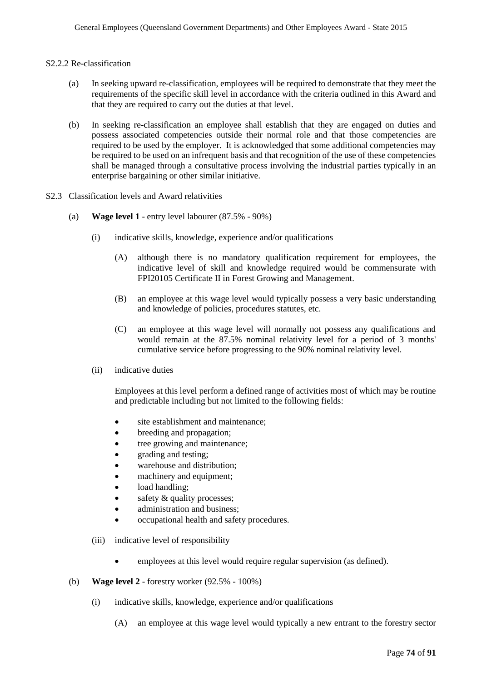#### S2.2.2 Re-classification

- (a) In seeking upward re-classification, employees will be required to demonstrate that they meet the requirements of the specific skill level in accordance with the criteria outlined in this Award and that they are required to carry out the duties at that level.
- (b) In seeking re-classification an employee shall establish that they are engaged on duties and possess associated competencies outside their normal role and that those competencies are required to be used by the employer. It is acknowledged that some additional competencies may be required to be used on an infrequent basis and that recognition of the use of these competencies shall be managed through a consultative process involving the industrial parties typically in an enterprise bargaining or other similar initiative.
- S2.3 Classification levels and Award relativities
	- (a) **Wage level 1**  entry level labourer (87.5% 90%)
		- (i) indicative skills, knowledge, experience and/or qualifications
			- (A) although there is no mandatory qualification requirement for employees, the indicative level of skill and knowledge required would be commensurate with FPI20105 Certificate II in Forest Growing and Management.
			- (B) an employee at this wage level would typically possess a very basic understanding and knowledge of policies, procedures statutes, etc.
			- (C) an employee at this wage level will normally not possess any qualifications and would remain at the 87.5% nominal relativity level for a period of 3 months' cumulative service before progressing to the 90% nominal relativity level.
		- (ii) indicative duties

Employees at this level perform a defined range of activities most of which may be routine and predictable including but not limited to the following fields:

- site establishment and maintenance;
- breeding and propagation;
- tree growing and maintenance;
- grading and testing;
- warehouse and distribution:
- machinery and equipment;
- load handling;
- safety & quality processes;
- administration and business;
- occupational health and safety procedures.
- (iii) indicative level of responsibility
	- employees at this level would require regular supervision (as defined).
- (b) **Wage level 2**  forestry worker (92.5% 100%)
	- (i) indicative skills, knowledge, experience and/or qualifications
		- (A) an employee at this wage level would typically a new entrant to the forestry sector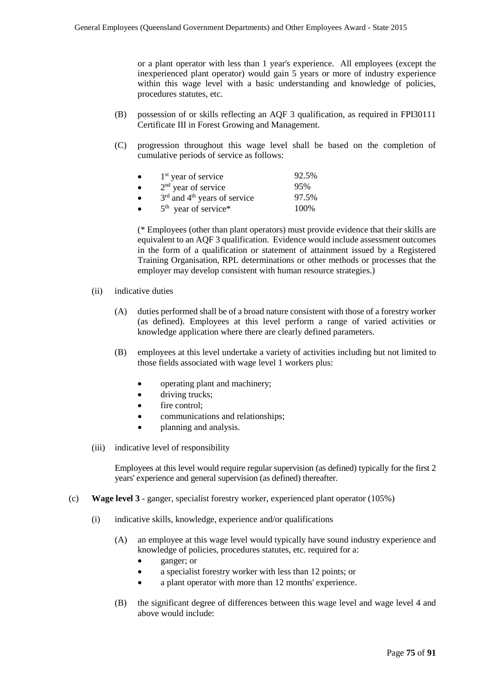or a plant operator with less than 1 year's experience. All employees (except the inexperienced plant operator) would gain 5 years or more of industry experience within this wage level with a basic understanding and knowledge of policies, procedures statutes, etc.

- (B) possession of or skills reflecting an AQF 3 qualification, as required in FPI30111 Certificate III in Forest Growing and Management.
- (C) progression throughout this wage level shall be based on the completion of cumulative periods of service as follows:

| $1st$ year of service            | 92.5% |
|----------------------------------|-------|
| $2nd$ year of service            | 95%   |
| $3rd$ and $4th$ years of service | 97.5% |
| $5th$ year of service*           | 100\% |

(\* Employees (other than plant operators) must provide evidence that their skills are equivalent to an AQF 3 qualification. Evidence would include assessment outcomes in the form of a qualification or statement of attainment issued by a Registered Training Organisation, RPL determinations or other methods or processes that the employer may develop consistent with human resource strategies.)

- (ii) indicative duties
	- (A) duties performed shall be of a broad nature consistent with those of a forestry worker (as defined). Employees at this level perform a range of varied activities or knowledge application where there are clearly defined parameters.
	- (B) employees at this level undertake a variety of activities including but not limited to those fields associated with wage level 1 workers plus:
		- operating plant and machinery;
		- driving trucks:
		- fire control:
		- communications and relationships;
		- planning and analysis.
- (iii) indicative level of responsibility

Employees at this level would require regular supervision (as defined) typically for the first 2 years' experience and general supervision (as defined) thereafter.

- (c) **Wage level 3** ganger, specialist forestry worker, experienced plant operator (105%)
	- (i) indicative skills, knowledge, experience and/or qualifications
		- (A) an employee at this wage level would typically have sound industry experience and knowledge of policies, procedures statutes, etc. required for a:
			- ganger; or
			- a specialist forestry worker with less than 12 points; or
			- a plant operator with more than 12 months' experience.
		- (B) the significant degree of differences between this wage level and wage level 4 and above would include: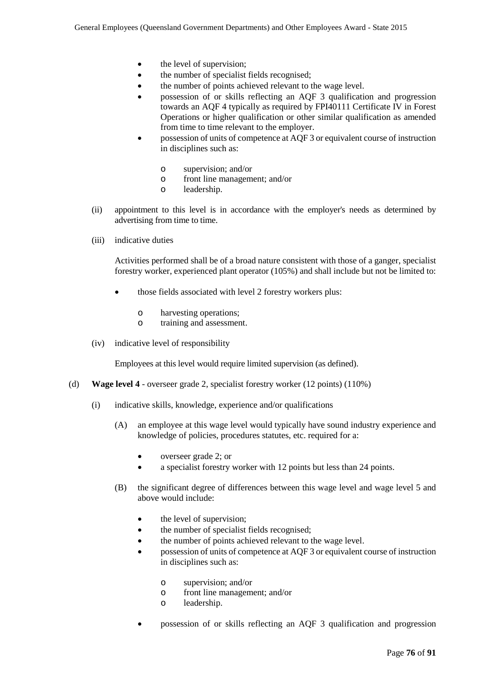- the level of supervision;
- the number of specialist fields recognised;
- the number of points achieved relevant to the wage level.
- possession of or skills reflecting an AQF 3 qualification and progression towards an AQF 4 typically as required by FPI40111 Certificate IV in Forest Operations or higher qualification or other similar qualification as amended from time to time relevant to the employer.
- possession of units of competence at AQF 3 or equivalent course of instruction in disciplines such as:
	- o supervision; and/or
	- o front line management; and/or
	- leadership.
- (ii) appointment to this level is in accordance with the employer's needs as determined by advertising from time to time.
- (iii) indicative duties

Activities performed shall be of a broad nature consistent with those of a ganger, specialist forestry worker, experienced plant operator (105%) and shall include but not be limited to:

- those fields associated with level 2 forestry workers plus:
	- o harvesting operations;<br>o training and assessmer
	- training and assessment.
- (iv) indicative level of responsibility

Employees at this level would require limited supervision (as defined).

- (d) **Wage level 4**  overseer grade 2, specialist forestry worker (12 points) (110%)
	- (i) indicative skills, knowledge, experience and/or qualifications
		- (A) an employee at this wage level would typically have sound industry experience and knowledge of policies, procedures statutes, etc. required for a:
			- overseer grade 2; or
			- a specialist forestry worker with 12 points but less than 24 points.
		- (B) the significant degree of differences between this wage level and wage level 5 and above would include:
			- the level of supervision;
			- the number of specialist fields recognised;
			- the number of points achieved relevant to the wage level.
			- possession of units of competence at AQF 3 or equivalent course of instruction in disciplines such as:
				- o supervision; and/or
				- front line management; and/or
				- o leadership.
			- possession of or skills reflecting an AQF 3 qualification and progression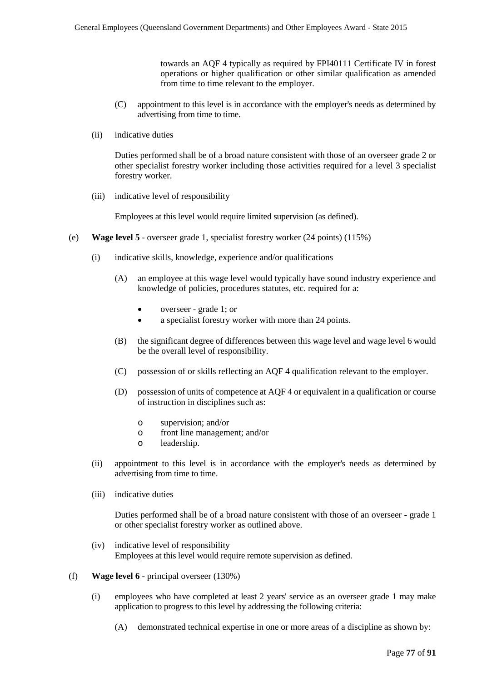towards an AQF 4 typically as required by FPI40111 Certificate IV in forest operations or higher qualification or other similar qualification as amended from time to time relevant to the employer.

- (C) appointment to this level is in accordance with the employer's needs as determined by advertising from time to time.
- (ii) indicative duties

Duties performed shall be of a broad nature consistent with those of an overseer grade 2 or other specialist forestry worker including those activities required for a level 3 specialist forestry worker.

(iii) indicative level of responsibility

Employees at this level would require limited supervision (as defined).

- (e) **Wage level 5** overseer grade 1, specialist forestry worker (24 points) (115%)
	- (i) indicative skills, knowledge, experience and/or qualifications
		- (A) an employee at this wage level would typically have sound industry experience and knowledge of policies, procedures statutes, etc. required for a:
			- overseer grade 1; or
			- a specialist forestry worker with more than 24 points.
		- (B) the significant degree of differences between this wage level and wage level 6 would be the overall level of responsibility.
		- (C) possession of or skills reflecting an AQF 4 qualification relevant to the employer.
		- (D) possession of units of competence at AQF 4 or equivalent in a qualification or course of instruction in disciplines such as:
			- o supervision; and/or
			- o front line management; and/or
			- o leadership.
	- (ii) appointment to this level is in accordance with the employer's needs as determined by advertising from time to time.
	- (iii) indicative duties

Duties performed shall be of a broad nature consistent with those of an overseer - grade 1 or other specialist forestry worker as outlined above.

- (iv) indicative level of responsibility Employees at this level would require remote supervision as defined.
- (f) **Wage level 6** principal overseer (130%)
	- (i) employees who have completed at least 2 years' service as an overseer grade 1 may make application to progress to this level by addressing the following criteria:
		- (A) demonstrated technical expertise in one or more areas of a discipline as shown by: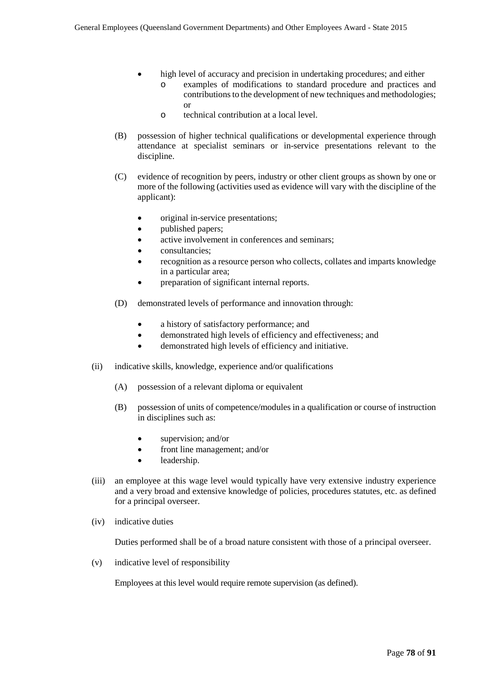- high level of accuracy and precision in undertaking procedures; and either
	- o examples of modifications to standard procedure and practices and contributions to the development of new techniques and methodologies; or
	- o technical contribution at a local level.
- (B) possession of higher technical qualifications or developmental experience through attendance at specialist seminars or in-service presentations relevant to the discipline.
- (C) evidence of recognition by peers, industry or other client groups as shown by one or more of the following (activities used as evidence will vary with the discipline of the applicant):
	- original in-service presentations;
	- published papers;
	- active involvement in conferences and seminars;
	- consultancies;
	- recognition as a resource person who collects, collates and imparts knowledge in a particular area;
	- preparation of significant internal reports.
- (D) demonstrated levels of performance and innovation through:
	- a history of satisfactory performance: and
	- demonstrated high levels of efficiency and effectiveness; and
	- demonstrated high levels of efficiency and initiative.
- (ii) indicative skills, knowledge, experience and/or qualifications
	- (A) possession of a relevant diploma or equivalent
	- (B) possession of units of competence/modules in a qualification or course of instruction in disciplines such as:
		- supervision; and/or
		- front line management; and/or
		- leadership.
- (iii) an employee at this wage level would typically have very extensive industry experience and a very broad and extensive knowledge of policies, procedures statutes, etc. as defined for a principal overseer.
- (iv) indicative duties

Duties performed shall be of a broad nature consistent with those of a principal overseer.

(v) indicative level of responsibility

Employees at this level would require remote supervision (as defined).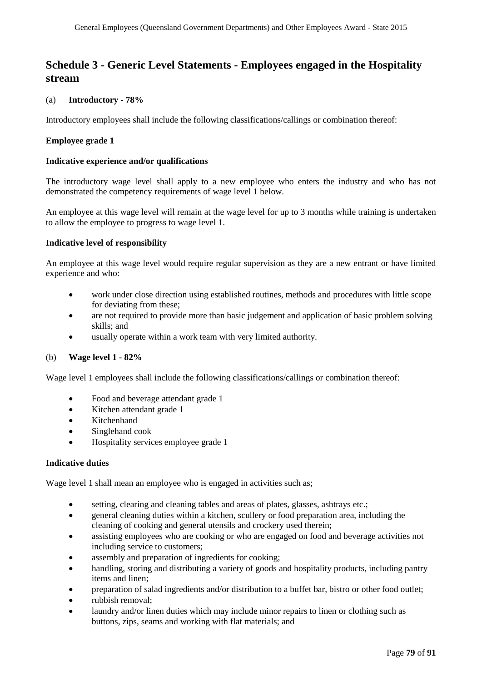## **Schedule 3 - Generic Level Statements - Employees engaged in the Hospitality stream**

## (a) **Introductory - 78%**

Introductory employees shall include the following classifications/callings or combination thereof:

## **Employee grade 1**

#### **Indicative experience and/or qualifications**

The introductory wage level shall apply to a new employee who enters the industry and who has not demonstrated the competency requirements of wage level 1 below.

An employee at this wage level will remain at the wage level for up to 3 months while training is undertaken to allow the employee to progress to wage level 1.

### **Indicative level of responsibility**

An employee at this wage level would require regular supervision as they are a new entrant or have limited experience and who:

- work under close direction using established routines, methods and procedures with little scope for deviating from these;
- are not required to provide more than basic judgement and application of basic problem solving skills; and
- usually operate within a work team with very limited authority.

### (b) **Wage level 1 - 82%**

Wage level 1 employees shall include the following classifications/callings or combination thereof:

- Food and beverage attendant grade 1
- Kitchen attendant grade 1
- Kitchenhand
- Singlehand cook
- Hospitality services employee grade 1

### **Indicative duties**

Wage level 1 shall mean an employee who is engaged in activities such as;

- setting, clearing and cleaning tables and areas of plates, glasses, ashtrays etc.;
- general cleaning duties within a kitchen, scullery or food preparation area, including the cleaning of cooking and general utensils and crockery used therein;
- assisting employees who are cooking or who are engaged on food and beverage activities not including service to customers;
- assembly and preparation of ingredients for cooking;
- handling, storing and distributing a variety of goods and hospitality products, including pantry items and linen;
- preparation of salad ingredients and/or distribution to a buffet bar, bistro or other food outlet;
- rubbish removal;
- laundry and/or linen duties which may include minor repairs to linen or clothing such as buttons, zips, seams and working with flat materials; and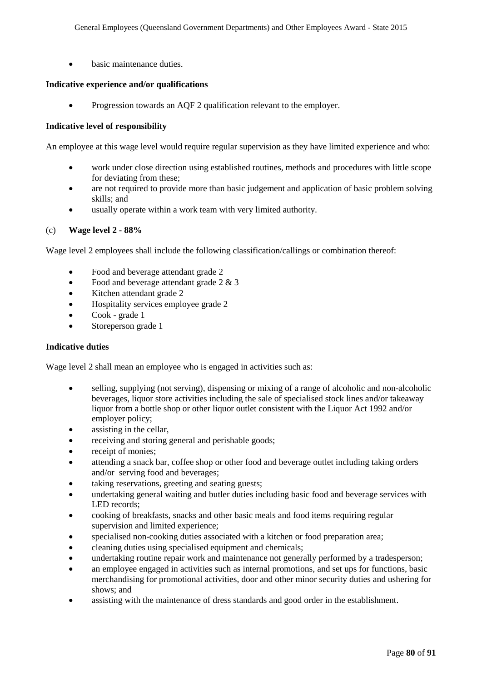• basic maintenance duties.

#### **Indicative experience and/or qualifications**

• Progression towards an AQF 2 qualification relevant to the employer.

#### **Indicative level of responsibility**

An employee at this wage level would require regular supervision as they have limited experience and who:

- work under close direction using established routines, methods and procedures with little scope for deviating from these;
- are not required to provide more than basic judgement and application of basic problem solving skills; and
- usually operate within a work team with very limited authority.

#### (c) **Wage level 2 - 88%**

Wage level 2 employees shall include the following classification/callings or combination thereof:

- Food and beverage attendant grade 2
- Food and beverage attendant grade  $2 & 3$
- Kitchen attendant grade 2
- Hospitality services employee grade 2
- Cook grade 1
- Storeperson grade 1

### **Indicative duties**

Wage level 2 shall mean an employee who is engaged in activities such as:

- selling, supplying (not serving), dispensing or mixing of a range of alcoholic and non-alcoholic beverages, liquor store activities including the sale of specialised stock lines and/or takeaway liquor from a bottle shop or other liquor outlet consistent with the Liquor Act 1992 and/or employer policy;
- assisting in the cellar.
- receiving and storing general and perishable goods;
- receipt of monies:
- attending a snack bar, coffee shop or other food and beverage outlet including taking orders and/or serving food and beverages;
- taking reservations, greeting and seating guests;
- undertaking general waiting and butler duties including basic food and beverage services with LED records;
- cooking of breakfasts, snacks and other basic meals and food items requiring regular supervision and limited experience;
- specialised non-cooking duties associated with a kitchen or food preparation area;
- cleaning duties using specialised equipment and chemicals;
- undertaking routine repair work and maintenance not generally performed by a tradesperson;
- an employee engaged in activities such as internal promotions, and set ups for functions, basic merchandising for promotional activities, door and other minor security duties and ushering for shows; and
- assisting with the maintenance of dress standards and good order in the establishment.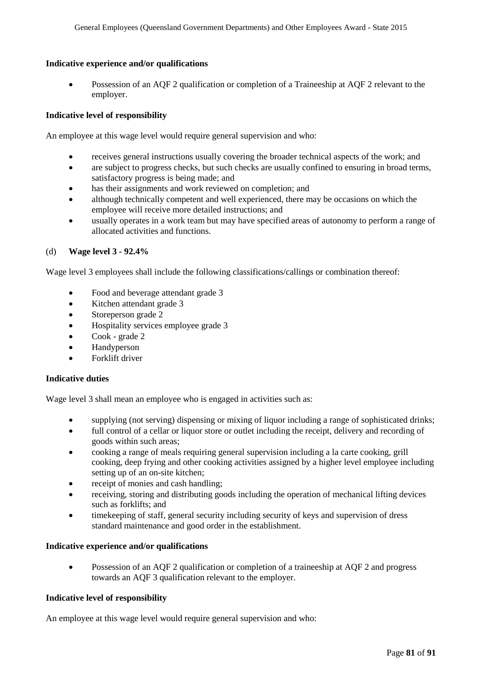### **Indicative experience and/or qualifications**

• Possession of an AQF 2 qualification or completion of a Traineeship at AQF 2 relevant to the employer.

## **Indicative level of responsibility**

An employee at this wage level would require general supervision and who:

- receives general instructions usually covering the broader technical aspects of the work; and
- are subject to progress checks, but such checks are usually confined to ensuring in broad terms, satisfactory progress is being made; and
- has their assignments and work reviewed on completion; and
- although technically competent and well experienced, there may be occasions on which the employee will receive more detailed instructions; and
- usually operates in a work team but may have specified areas of autonomy to perform a range of allocated activities and functions.

### (d) **Wage level 3 - 92.4%**

Wage level 3 employees shall include the following classifications/callings or combination thereof:

- Food and beverage attendant grade 3
- Kitchen attendant grade 3
- Storeperson grade 2
- Hospitality services employee grade 3
- Cook grade 2
- Handyperson
- Forklift driver

### **Indicative duties**

Wage level 3 shall mean an employee who is engaged in activities such as:

- supplying (not serving) dispensing or mixing of liquor including a range of sophisticated drinks;
- full control of a cellar or liquor store or outlet including the receipt, delivery and recording of goods within such areas;
- cooking a range of meals requiring general supervision including a la carte cooking, grill cooking, deep frying and other cooking activities assigned by a higher level employee including setting up of an on-site kitchen;
- receipt of monies and cash handling;
- receiving, storing and distributing goods including the operation of mechanical lifting devices such as forklifts; and
- timekeeping of staff, general security including security of keys and supervision of dress standard maintenance and good order in the establishment.

### **Indicative experience and/or qualifications**

• Possession of an AQF 2 qualification or completion of a traineeship at AQF 2 and progress towards an AQF 3 qualification relevant to the employer.

## **Indicative level of responsibility**

An employee at this wage level would require general supervision and who: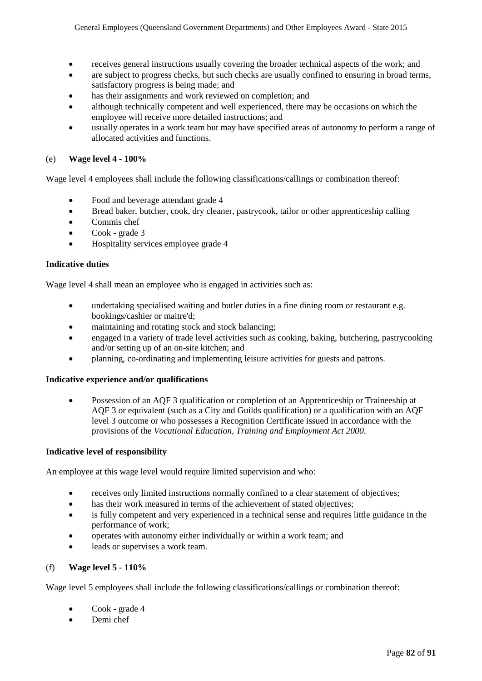- receives general instructions usually covering the broader technical aspects of the work; and
- are subject to progress checks, but such checks are usually confined to ensuring in broad terms, satisfactory progress is being made; and
- has their assignments and work reviewed on completion; and
- although technically competent and well experienced, there may be occasions on which the employee will receive more detailed instructions; and
- usually operates in a work team but may have specified areas of autonomy to perform a range of allocated activities and functions.

## (e) **Wage level 4 - 100%**

Wage level 4 employees shall include the following classifications/callings or combination thereof:

- Food and beverage attendant grade 4
- Bread baker, butcher, cook, dry cleaner, pastrycook, tailor or other apprenticeship calling
- Commis chef
- Cook grade 3
- Hospitality services employee grade 4

### **Indicative duties**

Wage level 4 shall mean an employee who is engaged in activities such as:

- undertaking specialised waiting and butler duties in a fine dining room or restaurant e.g. bookings/cashier or maitre'd;
- maintaining and rotating stock and stock balancing;
- engaged in a variety of trade level activities such as cooking, baking, butchering, pastrycooking and/or setting up of an on-site kitchen; and
- planning, co-ordinating and implementing leisure activities for guests and patrons.

### **Indicative experience and/or qualifications**

• Possession of an AQF 3 qualification or completion of an Apprenticeship or Traineeship at AQF 3 or equivalent (such as a City and Guilds qualification) or a qualification with an AQF level 3 outcome or who possesses a Recognition Certificate issued in accordance with the provisions of the *Vocational Education, Training and Employment Act 2000*.

### **Indicative level of responsibility**

An employee at this wage level would require limited supervision and who:

- receives only limited instructions normally confined to a clear statement of objectives;
- has their work measured in terms of the achievement of stated objectives;
- is fully competent and very experienced in a technical sense and requires little guidance in the performance of work;
- operates with autonomy either individually or within a work team; and
- leads or supervises a work team.

### (f) **Wage level 5 - 110%**

Wage level 5 employees shall include the following classifications/callings or combination thereof:

- Cook grade 4
- Demi chef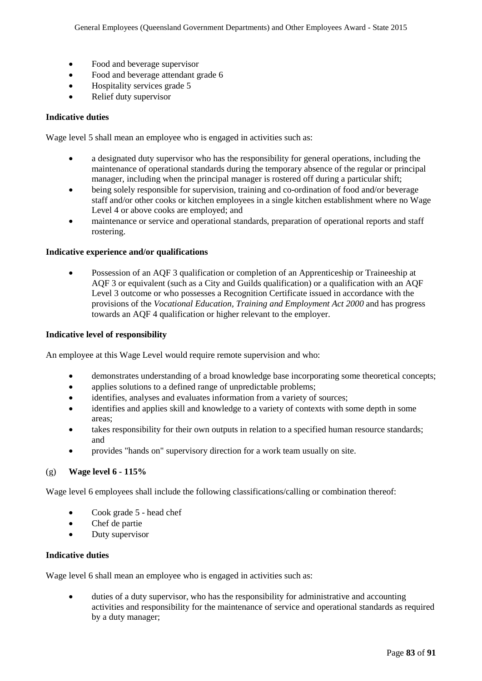- Food and beverage supervisor
- Food and beverage attendant grade 6
- Hospitality services grade 5
- Relief duty supervisor

### **Indicative duties**

Wage level 5 shall mean an employee who is engaged in activities such as:

- a designated duty supervisor who has the responsibility for general operations, including the maintenance of operational standards during the temporary absence of the regular or principal manager, including when the principal manager is rostered off during a particular shift;
- being solely responsible for supervision, training and co-ordination of food and/or beverage staff and/or other cooks or kitchen employees in a single kitchen establishment where no Wage Level 4 or above cooks are employed; and
- maintenance or service and operational standards, preparation of operational reports and staff rostering.

#### **Indicative experience and/or qualifications**

• Possession of an AQF 3 qualification or completion of an Apprenticeship or Traineeship at AQF 3 or equivalent (such as a City and Guilds qualification) or a qualification with an AQF Level 3 outcome or who possesses a Recognition Certificate issued in accordance with the provisions of the *Vocational Education, Training and Employment Act 2000* and has progress towards an AQF 4 qualification or higher relevant to the employer.

#### **Indicative level of responsibility**

An employee at this Wage Level would require remote supervision and who:

- demonstrates understanding of a broad knowledge base incorporating some theoretical concepts;
- applies solutions to a defined range of unpredictable problems;
- identifies, analyses and evaluates information from a variety of sources;
- identifies and applies skill and knowledge to a variety of contexts with some depth in some areas;
- takes responsibility for their own outputs in relation to a specified human resource standards; and
- provides "hands on" supervisory direction for a work team usually on site.

### (g) **Wage level 6 - 115%**

Wage level 6 employees shall include the following classifications/calling or combination thereof:

- Cook grade 5 head chef
- Chef de partie
- Duty supervisor

#### **Indicative duties**

Wage level 6 shall mean an employee who is engaged in activities such as:

duties of a duty supervisor, who has the responsibility for administrative and accounting activities and responsibility for the maintenance of service and operational standards as required by a duty manager;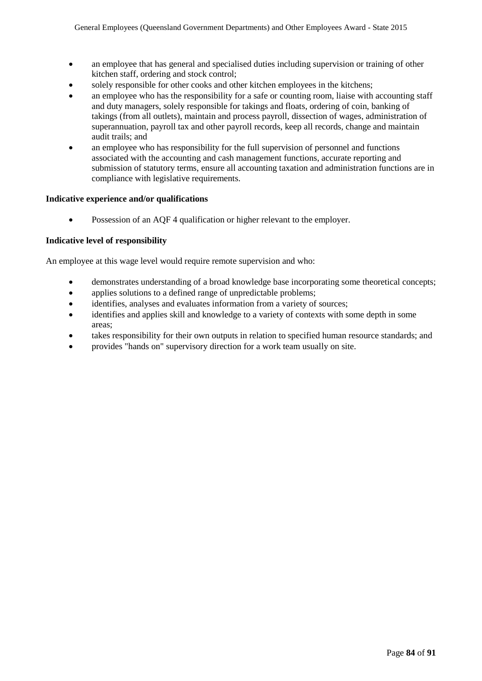- an employee that has general and specialised duties including supervision or training of other kitchen staff, ordering and stock control;
- solely responsible for other cooks and other kitchen employees in the kitchens;
- an employee who has the responsibility for a safe or counting room, liaise with accounting staff and duty managers, solely responsible for takings and floats, ordering of coin, banking of takings (from all outlets), maintain and process payroll, dissection of wages, administration of superannuation, payroll tax and other payroll records, keep all records, change and maintain audit trails; and
- an employee who has responsibility for the full supervision of personnel and functions associated with the accounting and cash management functions, accurate reporting and submission of statutory terms, ensure all accounting taxation and administration functions are in compliance with legislative requirements.

### **Indicative experience and/or qualifications**

• Possession of an AQF 4 qualification or higher relevant to the employer.

### **Indicative level of responsibility**

An employee at this wage level would require remote supervision and who:

- demonstrates understanding of a broad knowledge base incorporating some theoretical concepts;
- applies solutions to a defined range of unpredictable problems;
- identifies, analyses and evaluates information from a variety of sources;
- identifies and applies skill and knowledge to a variety of contexts with some depth in some areas;
- takes responsibility for their own outputs in relation to specified human resource standards; and
- provides "hands on" supervisory direction for a work team usually on site.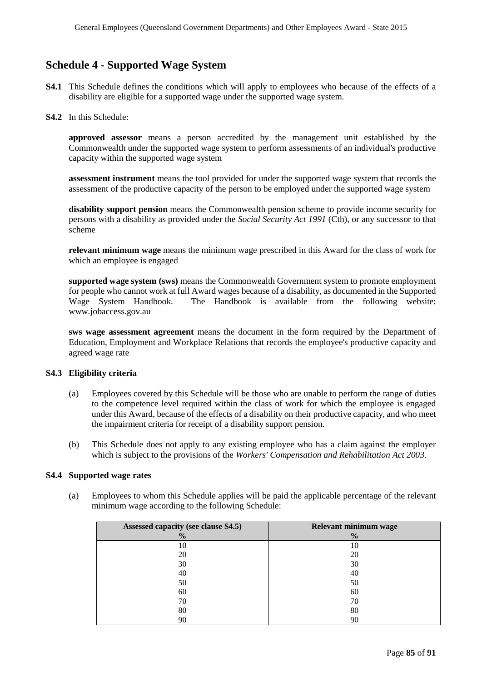## **Schedule 4 - Supported Wage System**

- **S4.1** This Schedule defines the conditions which will apply to employees who because of the effects of a disability are eligible for a supported wage under the supported wage system.
- **S4.2** In this Schedule:

**approved assessor** means a person accredited by the management unit established by the Commonwealth under the supported wage system to perform assessments of an individual's productive capacity within the supported wage system

**assessment instrument** means the tool provided for under the supported wage system that records the assessment of the productive capacity of the person to be employed under the supported wage system

**disability support pension** means the Commonwealth pension scheme to provide income security for persons with a disability as provided under the *Social Security Act 1991* (Cth), or any successor to that scheme

**relevant minimum wage** means the minimum wage prescribed in this Award for the class of work for which an employee is engaged

**supported wage system (sws)** means the Commonwealth Government system to promote employment for people who cannot work at full Award wages because of a disability, as documented in the Supported Wage System Handbook. The Handbook is available from the following website: www.jobaccess.gov.au

**sws wage assessment agreement** means the document in the form required by the Department of Education, Employment and Workplace Relations that records the employee's productive capacity and agreed wage rate

### **S4.3 Eligibility criteria**

- (a) Employees covered by this Schedule will be those who are unable to perform the range of duties to the competence level required within the class of work for which the employee is engaged under this Award, because of the effects of a disability on their productive capacity, and who meet the impairment criteria for receipt of a disability support pension.
- (b) This Schedule does not apply to any existing employee who has a claim against the employer which is subject to the provisions of the *Workers' Compensation and Rehabilitation Act 2003*.

## **S4.4 Supported wage rates**

(a) Employees to whom this Schedule applies will be paid the applicable percentage of the relevant minimum wage according to the following Schedule:

| Assessed capacity (see clause S4.5) | Relevant minimum wage |
|-------------------------------------|-----------------------|
| $\frac{0}{0}$                       | $\frac{0}{0}$         |
| 10                                  | 10                    |
| 20                                  | 20                    |
| 30                                  | 30                    |
| 40                                  | 40                    |
| 50                                  | 50                    |
| 60                                  | 60                    |
| 70                                  | 70                    |
| 80                                  | 80                    |
| 90                                  | 90                    |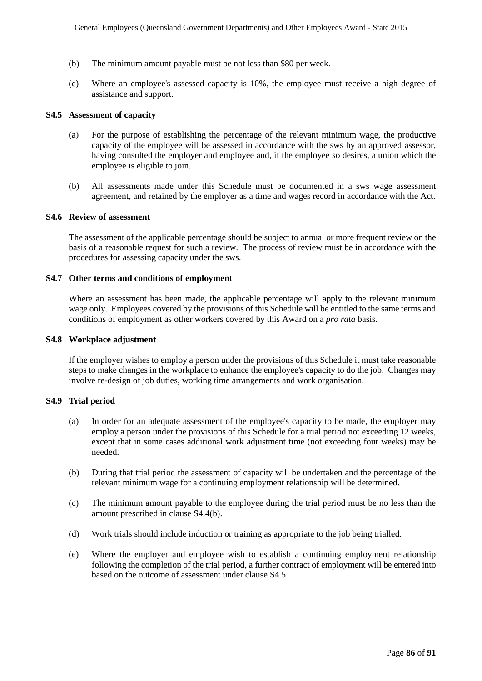- (b) The minimum amount payable must be not less than \$80 per week.
- (c) Where an employee's assessed capacity is 10%, the employee must receive a high degree of assistance and support.

#### **S4.5 Assessment of capacity**

- (a) For the purpose of establishing the percentage of the relevant minimum wage, the productive capacity of the employee will be assessed in accordance with the sws by an approved assessor, having consulted the employer and employee and, if the employee so desires, a union which the employee is eligible to join.
- (b) All assessments made under this Schedule must be documented in a sws wage assessment agreement, and retained by the employer as a time and wages record in accordance with the Act.

#### **S4.6 Review of assessment**

The assessment of the applicable percentage should be subject to annual or more frequent review on the basis of a reasonable request for such a review. The process of review must be in accordance with the procedures for assessing capacity under the sws.

#### **S4.7 Other terms and conditions of employment**

Where an assessment has been made, the applicable percentage will apply to the relevant minimum wage only. Employees covered by the provisions of this Schedule will be entitled to the same terms and conditions of employment as other workers covered by this Award on a *pro rata* basis.

#### **S4.8 Workplace adjustment**

If the employer wishes to employ a person under the provisions of this Schedule it must take reasonable steps to make changes in the workplace to enhance the employee's capacity to do the job. Changes may involve re-design of job duties, working time arrangements and work organisation.

#### **S4.9 Trial period**

- (a) In order for an adequate assessment of the employee's capacity to be made, the employer may employ a person under the provisions of this Schedule for a trial period not exceeding 12 weeks, except that in some cases additional work adjustment time (not exceeding four weeks) may be needed.
- (b) During that trial period the assessment of capacity will be undertaken and the percentage of the relevant minimum wage for a continuing employment relationship will be determined.
- (c) The minimum amount payable to the employee during the trial period must be no less than the amount prescribed in clause S4.4(b).
- (d) Work trials should include induction or training as appropriate to the job being trialled.
- (e) Where the employer and employee wish to establish a continuing employment relationship following the completion of the trial period, a further contract of employment will be entered into based on the outcome of assessment under clause S4.5.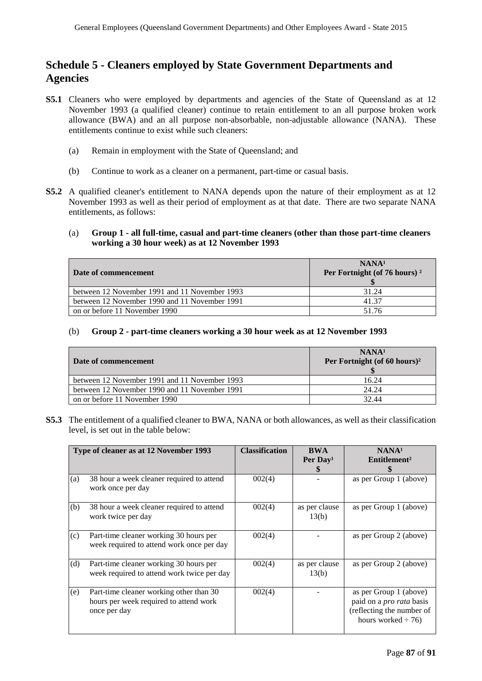# **Schedule 5 - Cleaners employed by State Government Departments and Agencies**

- **S5.1** Cleaners who were employed by departments and agencies of the State of Queensland as at 12 November 1993 (a qualified cleaner) continue to retain entitlement to an all purpose broken work allowance (BWA) and an all purpose non-absorbable, non-adjustable allowance (NANA). These entitlements continue to exist while such cleaners:
	- (a) Remain in employment with the State of Queensland; and
	- (b) Continue to work as a cleaner on a permanent, part-time or casual basis.
- **S5.2** A qualified cleaner's entitlement to NANA depends upon the nature of their employment as at 12 November 1993 as well as their period of employment as at that date. There are two separate NANA entitlements, as follows:

#### (a) **Group 1 - all full-time, casual and part-time cleaners (other than those part-time cleaners working a 30 hour week) as at 12 November 1993**

| Date of commencement                          | NANA <sup>1</sup><br>Per Fortnight (of 76 hours) <sup>2</sup> |
|-----------------------------------------------|---------------------------------------------------------------|
| between 12 November 1991 and 11 November 1993 | 31.24                                                         |
| between 12 November 1990 and 11 November 1991 | 41.37                                                         |
| on or before 11 November 1990                 | 51.76                                                         |

#### (b) **Group 2 - part-time cleaners working a 30 hour week as at 12 November 1993**

| Date of commencement                          | NANA <sup>1</sup><br>Per Fortnight (of 60 hours) <sup>2</sup> |
|-----------------------------------------------|---------------------------------------------------------------|
| between 12 November 1991 and 11 November 1993 | 16.24                                                         |
| between 12 November 1990 and 11 November 1991 | 24.24                                                         |
| on or before 11 November 1990                 | 32.44                                                         |

**S5.3** The entitlement of a qualified cleaner to BWA, NANA or both allowances, as well as their classification level, is set out in the table below:

| Type of cleaner as at 12 November 1993 |                                                                                                   | <b>Classification</b> | <b>BWA</b><br>Per Day <sup>1</sup><br>У, | NANA <sup>1</sup><br>Entitlement <sup>2</sup>                                                                     |
|----------------------------------------|---------------------------------------------------------------------------------------------------|-----------------------|------------------------------------------|-------------------------------------------------------------------------------------------------------------------|
| (a)                                    | 38 hour a week cleaner required to attend<br>work once per day                                    | 002(4)                |                                          | as per Group 1 (above)                                                                                            |
| (b)                                    | 38 hour a week cleaner required to attend<br>work twice per day                                   | 002(4)                | as per clause<br>13(b)                   | as per Group 1 (above)                                                                                            |
| (c)                                    | Part-time cleaner working 30 hours per<br>week required to attend work once per day               | 002(4)                |                                          | as per Group 2 (above)                                                                                            |
| (d)                                    | Part-time cleaner working 30 hours per<br>week required to attend work twice per day              | 002(4)                | as per clause<br>13(b)                   | as per Group 2 (above)                                                                                            |
| (e)                                    | Part-time cleaner working other than 30<br>hours per week required to attend work<br>once per day | 002(4)                |                                          | as per Group 1 (above)<br>paid on a <i>pro rata</i> basis<br>(reflecting the number of<br>hours worked $\div$ 76) |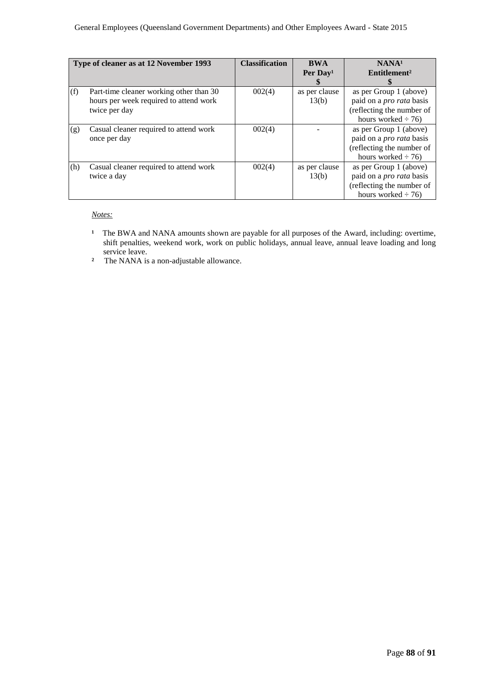| Type of cleaner as at 12 November 1993 |                                                                                                    | <b>Classification</b> | <b>BWA</b><br>Per $Day1$ | NANA <sup>1</sup><br>Entitlement <sup>2</sup>                                                                     |
|----------------------------------------|----------------------------------------------------------------------------------------------------|-----------------------|--------------------------|-------------------------------------------------------------------------------------------------------------------|
| (f)                                    | Part-time cleaner working other than 30<br>hours per week required to attend work<br>twice per day | 002(4)                | as per clause<br>13(b)   | as per Group 1 (above)<br>paid on a <i>pro rata</i> basis<br>(reflecting the number of<br>hours worked $\div$ 76) |
| (g)                                    | Casual cleaner required to attend work<br>once per day                                             | 002(4)                |                          | as per Group 1 (above)<br>paid on a <i>pro rata</i> basis<br>(reflecting the number of<br>hours worked $\div$ 76) |
| (h)                                    | Casual cleaner required to attend work<br>twice a day                                              | 002(4)                | as per clause<br>13(b)   | as per Group 1 (above)<br>paid on a <i>pro rata</i> basis<br>(reflecting the number of<br>hours worked $\div$ 76) |

*Notes:* 

- <sup>1</sup> The BWA and NANA amounts shown are payable for all purposes of the Award, including: overtime, shift penalties, weekend work, work on public holidays, annual leave, annual leave loading and long service leave.
- **²** The NANA is a non-adjustable allowance.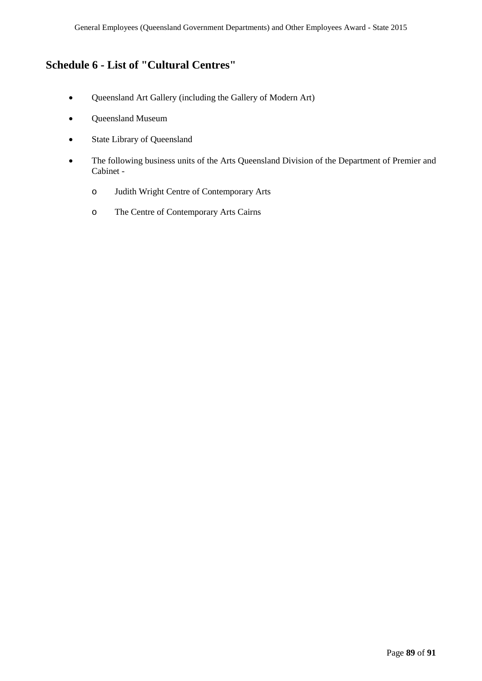# **Schedule 6 - List of "Cultural Centres"**

- Queensland Art Gallery (including the Gallery of Modern Art)
- Queensland Museum
- State Library of Queensland
- The following business units of the Arts Queensland Division of the Department of Premier and Cabinet
	- o Judith Wright Centre of Contemporary Arts
	- o The Centre of Contemporary Arts Cairns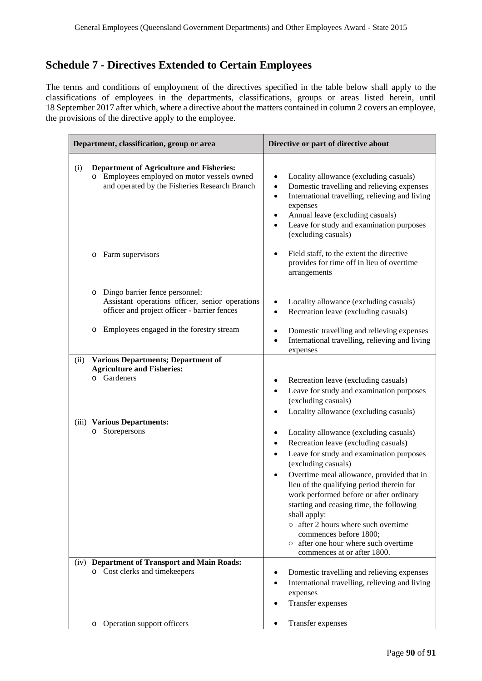# **Schedule 7 - Directives Extended to Certain Employees**

The terms and conditions of employment of the directives specified in the table below shall apply to the classifications of employees in the departments, classifications, groups or areas listed herein, until 18 September 2017 after which, where a directive about the matters contained in column 2 covers an employee, the provisions of the directive apply to the employee.

| Department, classification, group or area |                                                                                                                                                 | Directive or part of directive about                                                                                                                                                                                                                                                               |  |  |
|-------------------------------------------|-------------------------------------------------------------------------------------------------------------------------------------------------|----------------------------------------------------------------------------------------------------------------------------------------------------------------------------------------------------------------------------------------------------------------------------------------------------|--|--|
| (i)                                       | <b>Department of Agriculture and Fisheries:</b><br>o Employees employed on motor vessels owned<br>and operated by the Fisheries Research Branch | Locality allowance (excluding casuals)<br>٠<br>Domestic travelling and relieving expenses<br>$\bullet$<br>International travelling, relieving and living<br>$\bullet$<br>expenses<br>Annual leave (excluding casuals)<br>٠<br>Leave for study and examination purposes<br>٠<br>(excluding casuals) |  |  |
|                                           | Farm supervisors<br>O                                                                                                                           | Field staff, to the extent the directive<br>$\bullet$<br>provides for time off in lieu of overtime<br>arrangements                                                                                                                                                                                 |  |  |
|                                           | Dingo barrier fence personnel:<br>$\circ$<br>Assistant operations officer, senior operations<br>officer and project officer - barrier fences    | Locality allowance (excluding casuals)<br>$\bullet$<br>Recreation leave (excluding casuals)<br>$\bullet$                                                                                                                                                                                           |  |  |
|                                           | Employees engaged in the forestry stream<br>O                                                                                                   | Domestic travelling and relieving expenses<br>٠<br>International travelling, relieving and living<br>٠<br>expenses                                                                                                                                                                                 |  |  |
| (ii)                                      | <b>Various Departments; Department of</b>                                                                                                       |                                                                                                                                                                                                                                                                                                    |  |  |
|                                           | <b>Agriculture and Fisheries:</b><br>o Gardeners                                                                                                | Recreation leave (excluding casuals)                                                                                                                                                                                                                                                               |  |  |
|                                           |                                                                                                                                                 | Leave for study and examination purposes<br>٠                                                                                                                                                                                                                                                      |  |  |
|                                           |                                                                                                                                                 | (excluding casuals)                                                                                                                                                                                                                                                                                |  |  |
|                                           |                                                                                                                                                 | Locality allowance (excluding casuals)<br>٠                                                                                                                                                                                                                                                        |  |  |
| (iii)                                     | <b>Various Departments:</b><br>Storepersons<br>O                                                                                                |                                                                                                                                                                                                                                                                                                    |  |  |
|                                           |                                                                                                                                                 | Locality allowance (excluding casuals)<br>Recreation leave (excluding casuals)<br>$\bullet$                                                                                                                                                                                                        |  |  |
|                                           |                                                                                                                                                 | Leave for study and examination purposes                                                                                                                                                                                                                                                           |  |  |
|                                           |                                                                                                                                                 | (excluding casuals)                                                                                                                                                                                                                                                                                |  |  |
|                                           |                                                                                                                                                 | Overtime meal allowance, provided that in                                                                                                                                                                                                                                                          |  |  |
|                                           |                                                                                                                                                 | lieu of the qualifying period therein for                                                                                                                                                                                                                                                          |  |  |
|                                           |                                                                                                                                                 | work performed before or after ordinary<br>starting and ceasing time, the following                                                                                                                                                                                                                |  |  |
|                                           |                                                                                                                                                 | shall apply:                                                                                                                                                                                                                                                                                       |  |  |
|                                           |                                                                                                                                                 | o after 2 hours where such overtime                                                                                                                                                                                                                                                                |  |  |
|                                           |                                                                                                                                                 | commences before 1800;<br>o after one hour where such overtime                                                                                                                                                                                                                                     |  |  |
|                                           |                                                                                                                                                 | commences at or after 1800.                                                                                                                                                                                                                                                                        |  |  |
|                                           | (iv) Department of Transport and Main Roads:                                                                                                    |                                                                                                                                                                                                                                                                                                    |  |  |
|                                           | o Cost clerks and timekeepers                                                                                                                   | Domestic travelling and relieving expenses                                                                                                                                                                                                                                                         |  |  |
|                                           |                                                                                                                                                 | International travelling, relieving and living                                                                                                                                                                                                                                                     |  |  |
|                                           |                                                                                                                                                 | expenses<br>Transfer expenses                                                                                                                                                                                                                                                                      |  |  |
|                                           |                                                                                                                                                 |                                                                                                                                                                                                                                                                                                    |  |  |
|                                           | Operation support officers<br>O                                                                                                                 | Transfer expenses                                                                                                                                                                                                                                                                                  |  |  |